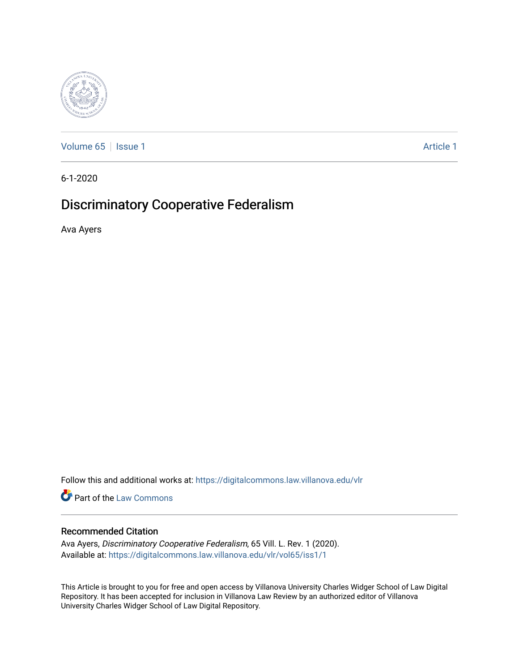

[Volume 65](https://digitalcommons.law.villanova.edu/vlr/vol65) | [Issue 1](https://digitalcommons.law.villanova.edu/vlr/vol65/iss1) Article 1

6-1-2020

# Discriminatory Cooperative Federalism

Ava Ayers

Follow this and additional works at: [https://digitalcommons.law.villanova.edu/vlr](https://digitalcommons.law.villanova.edu/vlr?utm_source=digitalcommons.law.villanova.edu%2Fvlr%2Fvol65%2Fiss1%2F1&utm_medium=PDF&utm_campaign=PDFCoverPages)

Part of the [Law Commons](http://network.bepress.com/hgg/discipline/578?utm_source=digitalcommons.law.villanova.edu%2Fvlr%2Fvol65%2Fiss1%2F1&utm_medium=PDF&utm_campaign=PDFCoverPages)

## Recommended Citation

Ava Ayers, Discriminatory Cooperative Federalism, 65 Vill. L. Rev. 1 (2020). Available at: [https://digitalcommons.law.villanova.edu/vlr/vol65/iss1/1](https://digitalcommons.law.villanova.edu/vlr/vol65/iss1/1?utm_source=digitalcommons.law.villanova.edu%2Fvlr%2Fvol65%2Fiss1%2F1&utm_medium=PDF&utm_campaign=PDFCoverPages) 

This Article is brought to you for free and open access by Villanova University Charles Widger School of Law Digital Repository. It has been accepted for inclusion in Villanova Law Review by an authorized editor of Villanova University Charles Widger School of Law Digital Repository.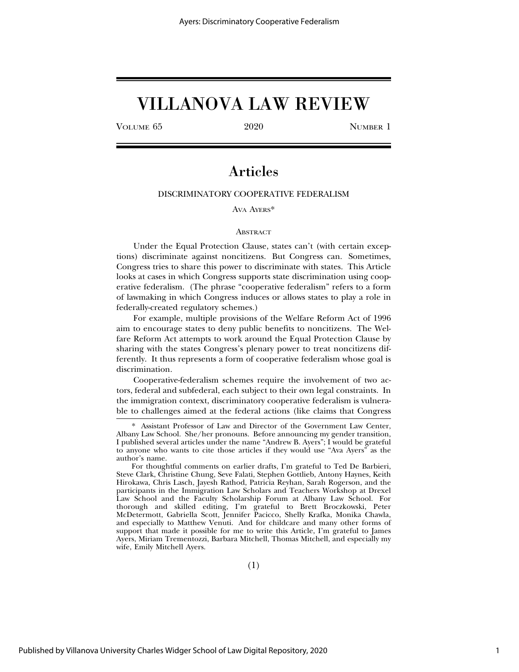# VILLANOVA LAW REVIEW

VOLUME 65 2020 NUMBER 1

# Articles

### DISCRIMINATORY COOPERATIVE FEDERALISM

### AVA AYERS\*

### **ABSTRACT**

Under the Equal Protection Clause, states can't (with certain exceptions) discriminate against noncitizens. But Congress can. Sometimes, Congress tries to share this power to discriminate with states. This Article looks at cases in which Congress supports state discrimination using cooperative federalism. (The phrase "cooperative federalism" refers to a form of lawmaking in which Congress induces or allows states to play a role in federally-created regulatory schemes.)

For example, multiple provisions of the Welfare Reform Act of 1996 aim to encourage states to deny public benefits to noncitizens. The Welfare Reform Act attempts to work around the Equal Protection Clause by sharing with the states Congress's plenary power to treat noncitizens differently. It thus represents a form of cooperative federalism whose goal is discrimination.

Cooperative-federalism schemes require the involvement of two actors, federal and subfederal, each subject to their own legal constraints. In the immigration context, discriminatory cooperative federalism is vulnerable to challenges aimed at the federal actions (like claims that Congress

<sup>\*</sup> Assistant Professor of Law and Director of the Government Law Center, Albany Law School. She/her pronouns. Before announcing my gender transition, I published several articles under the name "Andrew B. Ayers"; I would be grateful to anyone who wants to cite those articles if they would use "Ava Ayers" as the author's name.

For thoughtful comments on earlier drafts, I'm grateful to Ted De Barbieri, Steve Clark, Christine Chung, Seve Falati, Stephen Gottlieb, Antony Haynes, Keith Hirokawa, Chris Lasch, Jayesh Rathod, Patricia Reyhan, Sarah Rogerson, and the participants in the Immigration Law Scholars and Teachers Workshop at Drexel Law School and the Faculty Scholarship Forum at Albany Law School. For thorough and skilled editing, I'm grateful to Brett Broczkowski, Peter McDetermott, Gabriella Scott, Jennifer Pacicco, Shelly Krafka, Monika Chawla, and especially to Matthew Venuti. And for childcare and many other forms of support that made it possible for me to write this Article, I'm grateful to James Ayers, Miriam Trementozzi, Barbara Mitchell, Thomas Mitchell, and especially my wife, Emily Mitchell Ayers.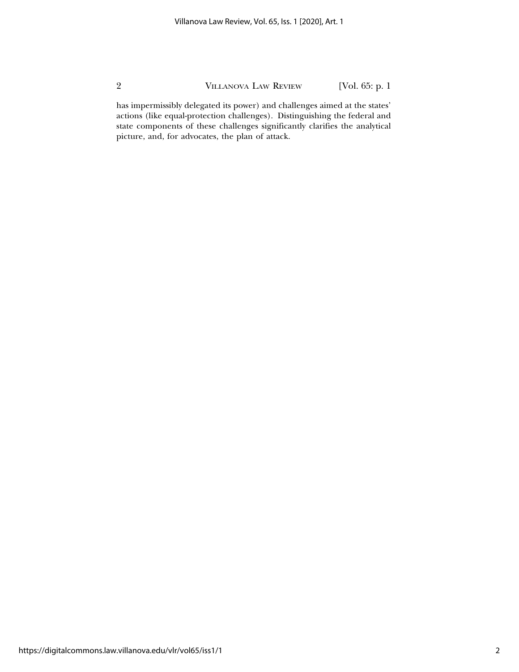has impermissibly delegated its power) and challenges aimed at the states' actions (like equal-protection challenges). Distinguishing the federal and state components of these challenges significantly clarifies the analytical picture, and, for advocates, the plan of attack.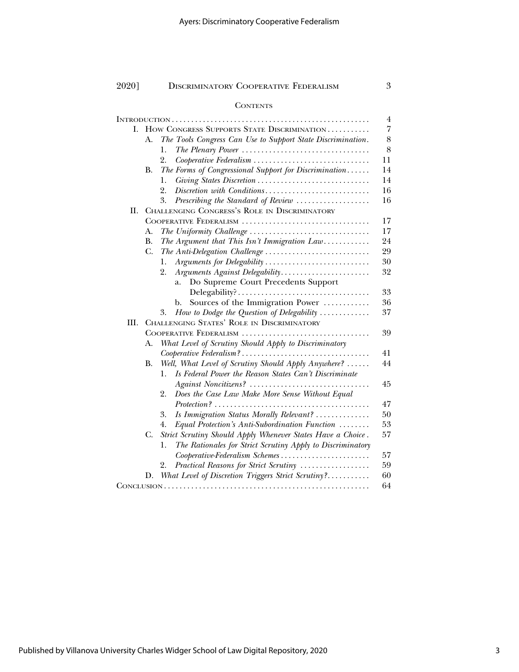| I |        |
|---|--------|
|   | ٦<br>٠ |
|   |        |

### **CONTENTS**

|      |                                                                               | $\overline{4}$ |
|------|-------------------------------------------------------------------------------|----------------|
| I.   | HOW CONGRESS SUPPORTS STATE DISCRIMINATION                                    | $\overline{7}$ |
|      | The Tools Congress Can Use to Support State Discrimination.<br>А.             | 8              |
|      | 1.                                                                            | 8              |
|      | Cooperative Federalism<br>2.                                                  | 11             |
|      | The Forms of Congressional Support for Discrimination<br>В.                   | 14             |
|      | Giving States Discretion<br>1.                                                | 14             |
|      | Discretion with Conditions<br>2.                                              | 16             |
|      | Prescribing the Standard of Review<br>3.                                      | 16             |
| II.  | CHALLENGING CONGRESS'S ROLE IN DISCRIMINATORY                                 |                |
|      | COOPERATIVE FEDERALISM                                                        | 17             |
|      | А.                                                                            | 17             |
|      | The Argument that This Isn't Immigration Law<br><b>B.</b>                     | 24             |
|      | The Anti-Delegation Challenge<br>C.                                           | 29             |
|      | Arguments for Delegability<br>1.                                              | 30             |
|      | Arguments Against Delegability<br>2.                                          | 32             |
|      | Do Supreme Court Precedents Support<br>a.                                     |                |
|      |                                                                               | 33             |
|      | Sources of the Immigration Power<br>b.                                        | 36             |
|      | How to Dodge the Question of Delegability<br>3.                               | 37             |
| III. | CHALLENGING STATES' ROLE IN DISCRIMINATORY                                    |                |
|      | COOPERATIVE FEDERALISM                                                        | 39             |
|      | What Level of Scrutiny Should Apply to Discriminatory<br>А.                   |                |
|      |                                                                               | 41             |
|      | Well, What Level of Scrutiny Should Apply Anywhere?<br>В.                     | 44             |
|      | Is Federal Power the Reason States Can't Discriminate<br>$\mathbf{1}_{\cdot}$ |                |
|      | Against Noncitizens?                                                          | 45             |
|      | Does the Case Law Make More Sense Without Equal<br>2.                         |                |
|      |                                                                               | 47             |
|      | Is Immigration Status Morally Relevant?<br>3.                                 | 50             |
|      | Equal Protection's Anti-Subordination Function<br>4.                          | 53             |
|      | Strict Scrutiny Should Apply Whenever States Have a Choice.<br>C.             | 57             |
|      | The Rationales for Strict Scrutiny Apply to Discriminatory<br>1.              |                |
|      | Cooperative-Federalism Schemes                                                | 57             |
|      | Practical Reasons for Strict Scrutiny<br>2.                                   | 59             |
|      | What Level of Discretion Triggers Strict Scrutiny?<br>D.                      | 60             |
|      |                                                                               | 64             |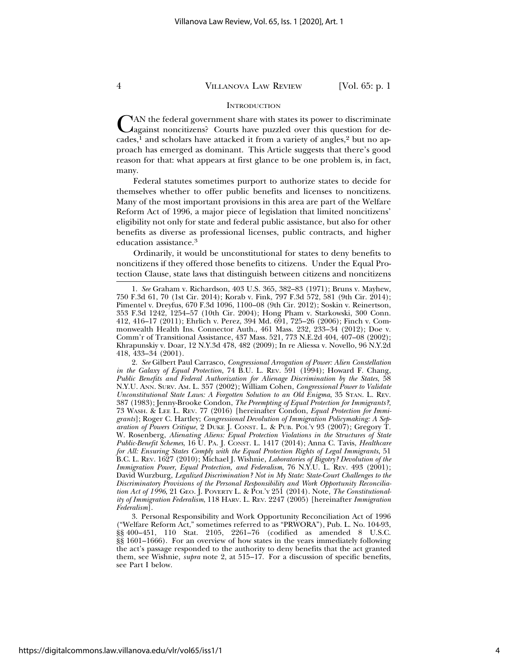### **INTRODUCTION**

CAN the federal government share with states its power to discriminate against noncitizens? Courts have puzzled over this question for de $cades$ ,<sup>1</sup> and scholars have attacked it from a variety of angles,<sup>2</sup> but no approach has emerged as dominant. This Article suggests that there's good reason for that: what appears at first glance to be one problem is, in fact, many.

Federal statutes sometimes purport to authorize states to decide for themselves whether to offer public benefits and licenses to noncitizens. Many of the most important provisions in this area are part of the Welfare Reform Act of 1996, a major piece of legislation that limited noncitizens' eligibility not only for state and federal public assistance, but also for other benefits as diverse as professional licenses, public contracts, and higher education assistance.3

Ordinarily, it would be unconstitutional for states to deny benefits to noncitizens if they offered those benefits to citizens. Under the Equal Protection Clause, state laws that distinguish between citizens and noncitizens

<sup>1.</sup> *See* Graham v. Richardson, 403 U.S. 365, 382–83 (1971); Bruns v. Mayhew, 750 F.3d 61, 70 (1st Cir. 2014); Korab v. Fink, 797 F.3d 572, 581 (9th Cir. 2014); Pimentel v. Dreyfus, 670 F.3d 1096, 1100–08 (9th Cir. 2012); Soskin v. Reinertson, 353 F.3d 1242, 1254–57 (10th Cir. 2004); Hong Pham v. Starkowski, 300 Conn. 412, 416–17 (2011); Ehrlich v. Perez, 394 Md. 691, 725–26 (2006); Finch v. Commonwealth Health Ins. Connector Auth., 461 Mass. 232, 233–34 (2012); Doe v. Comm'r of Transitional Assistance, 437 Mass. 521, 773 N.E.2d 404, 407–08 (2002); Khrapunskiy v. Doar, 12 N.Y.3d 478, 482 (2009); In re Aliessa v. Novello, 96 N.Y.2d 418, 433–34 (2001).

<sup>2.</sup> *See* Gilbert Paul Carrasco, *Congressional Arrogation of Power: Alien Constellation in the Galaxy of Equal Protection*, 74 B.U. L. REV. 591 (1994); Howard F. Chang, *Public Benefits and Federal Authorization for Alienage Discrimination by the States*, 58 N.Y.U. ANN. SURV. AM. L. 357 (2002); William Cohen, *Congressional Power to Validate Unconstitutional State Laws: A Forgotten Solution to an Old Enigma*, 35 STAN. L. REV. 387 (1983); Jenny-Brooke Condon, *The Preempting of Equal Protection for Immigrants?*, 73 WASH. & LEE L. REV. 77 (2016) [hereinafter Condon, *Equal Protection for Immigrants*]; Roger C. Hartley; *Congressional Devolution of Immigration Policymaking: A Separation of Powers Critique*, 2 DUKE J. CONST. L. & PUB. POL'Y 93 (2007); Gregory T. W. Rosenberg, *Alienating Aliens: Equal Protection Violations in the Structures of State Public-Benefit Schemes*, 16 U. PA. J. CONST. L. 1417 (2014); Anna C. Tavis, *Healthcare for All: Ensuring States Comply with the Equal Protection Rights of Legal Immigrants*, 51 B.C. L. REV. 1627 (2010); Michael J. Wishnie, *Laboratories of Bigotry? Devolution of the Immigration Power, Equal Protection, and Federalism*, 76 N.Y.U. L. REV. 493 (2001); David Wurzburg, *Legalized Discrimination? Not in My State: State-Court Challenges to the Discriminatory Provisions of the Personal Responsibility and Work Opportunity Reconciliation Act of 1996*, 21 GEO. J. POVERTY L. & POL'Y 251 (2014). Note, *The Constitutionality of Immigration Federalism*, 118 HARV. L. REV. 2247 (2005) [hereinafter *Immigration Federalism*].

<sup>3.</sup> Personal Responsibility and Work Opportunity Reconciliation Act of 1996 ("Welfare Reform Act," sometimes referred to as "PRWORA"), Pub. L. No. 104-93, §§ 400–451, 110 Stat. 2105, 2261–76 (codified as amended 8 U.S.C. §§ 1601–1666). For an overview of how states in the years immediately following the act's passage responded to the authority to deny benefits that the act granted them, see Wishnie, *supra* note 2, at 515–17. For a discussion of specific benefits, see Part I below.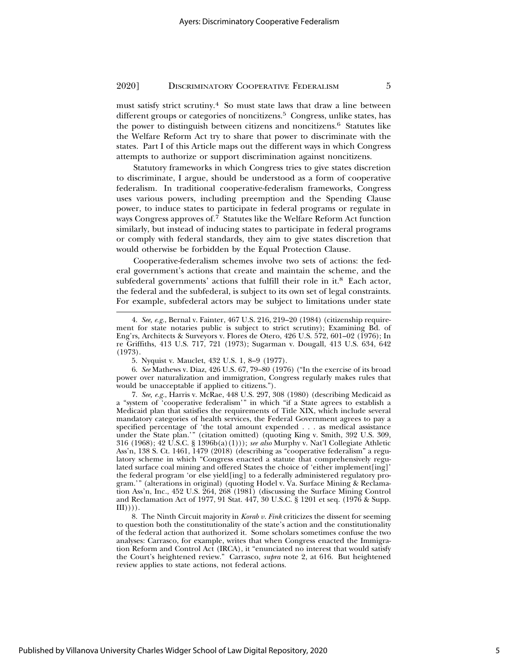must satisfy strict scrutiny.4 So must state laws that draw a line between different groups or categories of noncitizens.<sup>5</sup> Congress, unlike states, has the power to distinguish between citizens and noncitizens.6 Statutes like the Welfare Reform Act try to share that power to discriminate with the states. Part I of this Article maps out the different ways in which Congress attempts to authorize or support discrimination against noncitizens.

Statutory frameworks in which Congress tries to give states discretion to discriminate, I argue, should be understood as a form of cooperative federalism. In traditional cooperative-federalism frameworks, Congress uses various powers, including preemption and the Spending Clause power, to induce states to participate in federal programs or regulate in ways Congress approves of.7 Statutes like the Welfare Reform Act function similarly, but instead of inducing states to participate in federal programs or comply with federal standards, they aim to give states discretion that would otherwise be forbidden by the Equal Protection Clause.

Cooperative-federalism schemes involve two sets of actions: the federal government's actions that create and maintain the scheme, and the subfederal governments' actions that fulfill their role in it.8 Each actor, the federal and the subfederal, is subject to its own set of legal constraints. For example, subfederal actors may be subject to limitations under state

5. Nyquist v. Mauclet, 432 U.S. 1, 8–9 (1977).

6. *See* Mathews v. Diaz, 426 U.S. 67, 79–80 (1976) ("In the exercise of its broad power over naturalization and immigration, Congress regularly makes rules that would be unacceptable if applied to citizens.").

7. *See, e.g.*, Harris v. McRae, 448 U.S. 297, 308 (1980) (describing Medicaid as a "system of 'cooperative federalism'" in which "if a State agrees to establish a Medicaid plan that satisfies the requirements of Title XIX, which include several mandatory categories of health services, the Federal Government agrees to pay a specified percentage of 'the total amount expended . . . as medical assistance under the State plan.'" (citation omitted) (quoting King v. Smith, 392 U.S. 309, 316 (1968); 42 U.S.C. § 1396b(a)(1))); *see also* Murphy v. Nat'l Collegiate Athletic Ass'n, 138 S. Ct. 1461, 1479 (2018) (describing as "cooperative federalism" a regulatory scheme in which "Congress enacted a statute that comprehensively regulated surface coal mining and offered States the choice of 'either implement[ing]' the federal program 'or else yield[ing] to a federally administered regulatory program.'" (alterations in original) (quoting Hodel v. Va. Surface Mining & Reclamation Ass'n, Inc., 452 U.S. 264, 268 (1981) (discussing the Surface Mining Control and Reclamation Act of 1977, 91 Stat. 447, 30 U.S.C. § 1201 et seq. (1976 & Supp.  $III))$ ).

8. The Ninth Circuit majority in *Korab v. Fink* criticizes the dissent for seeming to question both the constitutionality of the state's action and the constitutionality of the federal action that authorized it. Some scholars sometimes confuse the two analyses: Carrasco, for example, writes that when Congress enacted the Immigration Reform and Control Act (IRCA), it "enunciated no interest that would satisfy the Court's heightened review." Carrasco, *supra* note 2, at 616. But heightened review applies to state actions, not federal actions.

<sup>4.</sup> *See, e.g.*, Bernal v. Fainter, 467 U.S. 216, 219–20 (1984) (citizenship requirement for state notaries public is subject to strict scrutiny); Examining Bd. of Eng'rs, Architects & Surveyors v. Flores de Otero, 426 U.S. 572, 601–02 (1976); In re Griffiths, 413 U.S. 717, 721 (1973); Sugarman v. Dougall, 413 U.S. 634, 642 (1973).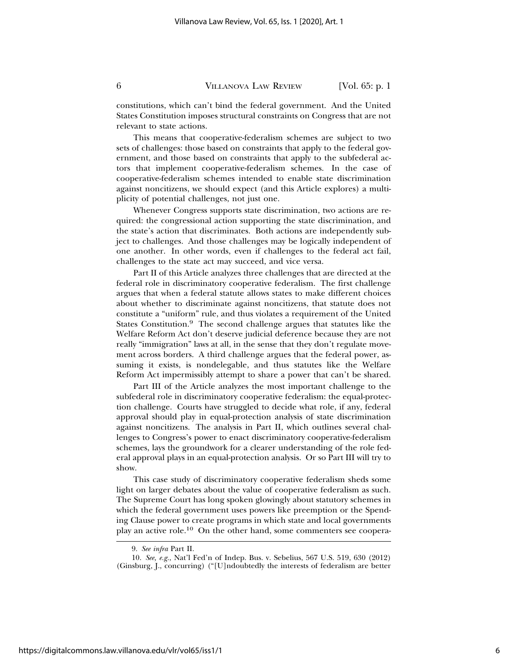constitutions, which can't bind the federal government. And the United States Constitution imposes structural constraints on Congress that are not relevant to state actions.

This means that cooperative-federalism schemes are subject to two sets of challenges: those based on constraints that apply to the federal government, and those based on constraints that apply to the subfederal actors that implement cooperative-federalism schemes. In the case of cooperative-federalism schemes intended to enable state discrimination against noncitizens, we should expect (and this Article explores) a multiplicity of potential challenges, not just one.

Whenever Congress supports state discrimination, two actions are required: the congressional action supporting the state discrimination, and the state's action that discriminates. Both actions are independently subject to challenges. And those challenges may be logically independent of one another. In other words, even if challenges to the federal act fail, challenges to the state act may succeed, and vice versa.

Part II of this Article analyzes three challenges that are directed at the federal role in discriminatory cooperative federalism. The first challenge argues that when a federal statute allows states to make different choices about whether to discriminate against noncitizens, that statute does not constitute a "uniform" rule, and thus violates a requirement of the United States Constitution.9 The second challenge argues that statutes like the Welfare Reform Act don't deserve judicial deference because they are not really "immigration" laws at all, in the sense that they don't regulate movement across borders. A third challenge argues that the federal power, assuming it exists, is nondelegable, and thus statutes like the Welfare Reform Act impermissibly attempt to share a power that can't be shared.

Part III of the Article analyzes the most important challenge to the subfederal role in discriminatory cooperative federalism: the equal-protection challenge. Courts have struggled to decide what role, if any, federal approval should play in equal-protection analysis of state discrimination against noncitizens. The analysis in Part II, which outlines several challenges to Congress's power to enact discriminatory cooperative-federalism schemes, lays the groundwork for a clearer understanding of the role federal approval plays in an equal-protection analysis. Or so Part III will try to show.

This case study of discriminatory cooperative federalism sheds some light on larger debates about the value of cooperative federalism as such. The Supreme Court has long spoken glowingly about statutory schemes in which the federal government uses powers like preemption or the Spending Clause power to create programs in which state and local governments play an active role.10 On the other hand, some commenters see coopera-

<sup>9.</sup> *See infra* Part II.

<sup>10.</sup> *See, e.g.*, Nat'l Fed'n of Indep. Bus. v. Sebelius, 567 U.S. 519, 630 (2012) (Ginsburg, J., concurring) ("[U]ndoubtedly the interests of federalism are better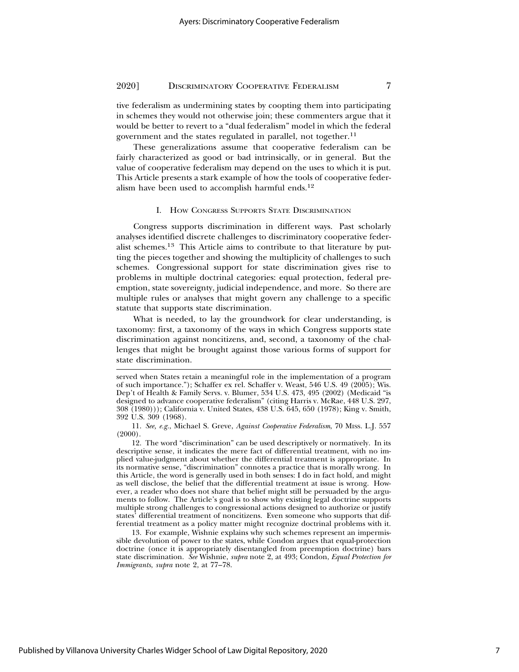tive federalism as undermining states by coopting them into participating in schemes they would not otherwise join; these commenters argue that it would be better to revert to a "dual federalism" model in which the federal government and the states regulated in parallel, not together.<sup>11</sup>

These generalizations assume that cooperative federalism can be fairly characterized as good or bad intrinsically, or in general. But the value of cooperative federalism may depend on the uses to which it is put. This Article presents a stark example of how the tools of cooperative federalism have been used to accomplish harmful ends.12

### I. HOW CONGRESS SUPPORTS STATE DISCRIMINATION

Congress supports discrimination in different ways. Past scholarly analyses identified discrete challenges to discriminatory cooperative federalist schemes.13 This Article aims to contribute to that literature by putting the pieces together and showing the multiplicity of challenges to such schemes. Congressional support for state discrimination gives rise to problems in multiple doctrinal categories: equal protection, federal preemption, state sovereignty, judicial independence, and more. So there are multiple rules or analyses that might govern any challenge to a specific statute that supports state discrimination.

What is needed, to lay the groundwork for clear understanding, is taxonomy: first, a taxonomy of the ways in which Congress supports state discrimination against noncitizens, and, second, a taxonomy of the challenges that might be brought against those various forms of support for state discrimination.

13. For example, Wishnie explains why such schemes represent an impermissible devolution of power to the states, while Condon argues that equal-protection doctrine (once it is appropriately disentangled from preemption doctrine) bars state discrimination. *See* Wishnie, *supra* note 2, at 493; Condon, *Equal Protection for Immigrants*, *supra* note 2, at 77–78.

served when States retain a meaningful role in the implementation of a program of such importance."); Schaffer ex rel. Schaffer v. Weast, 546 U.S. 49 (2005); Wis. Dep't of Health & Family Servs. v. Blumer, 534 U.S. 473, 495 (2002) (Medicaid "is designed to advance cooperative federalism" (citing Harris v. McRae, 448 U.S. 297, 308 (1980))); California v. United States, 438 U.S. 645, 650 (1978); King v. Smith, 392 U.S. 309 (1968).

<sup>11.</sup> *See, e.g.*, Michael S. Greve, *Against Cooperative Federalism*, 70 MISS. L.J. 557 (2000).

<sup>12.</sup> The word "discrimination" can be used descriptively or normatively. In its descriptive sense, it indicates the mere fact of differential treatment, with no implied value-judgment about whether the differential treatment is appropriate. In its normative sense, "discrimination" connotes a practice that is morally wrong. In this Article, the word is generally used in both senses: I do in fact hold, and might as well disclose, the belief that the differential treatment at issue is wrong. However, a reader who does not share that belief might still be persuaded by the arguments to follow. The Article's goal is to show why existing legal doctrine supports multiple strong challenges to congressional actions designed to authorize or justify states' differential treatment of noncitizens. Even someone who supports that differential treatment as a policy matter might recognize doctrinal problems with it.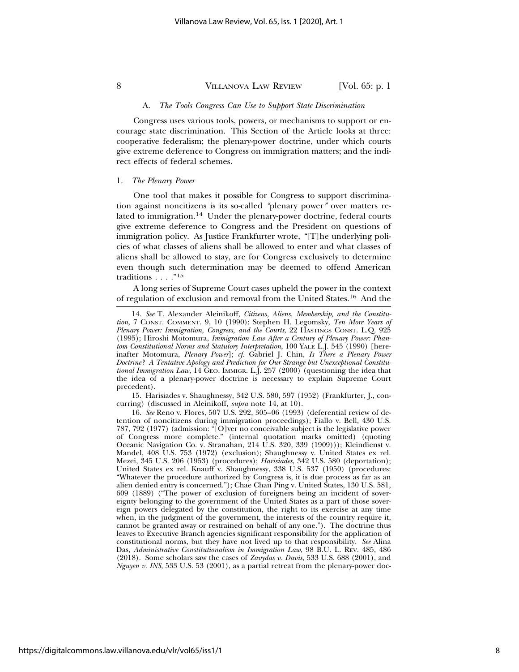### A. *The Tools Congress Can Use to Support State Discrimination*

Congress uses various tools, powers, or mechanisms to support or encourage state discrimination. This Section of the Article looks at three: cooperative federalism; the plenary-power doctrine, under which courts give extreme deference to Congress on immigration matters; and the indirect effects of federal schemes.

### 1. *The Plenary Power*

One tool that makes it possible for Congress to support discrimination against noncitizens is its so-called *"*plenary power*"* over matters related to immigration.<sup>14</sup> Under the plenary-power doctrine, federal courts give extreme deference to Congress and the President on questions of immigration policy. As Justice Frankfurter wrote, *"*[T]he underlying policies of what classes of aliens shall be allowed to enter and what classes of aliens shall be allowed to stay, are for Congress exclusively to determine even though such determination may be deemed to offend American traditions *. . . .*"<sup>15</sup>

A long series of Supreme Court cases upheld the power in the context of regulation of exclusion and removal from the United States.16 And the

15. Harisiades v. Shaughnessy, 342 U.S. 580, 597 (1952) (Frankfurter, J., concurring) (discussed in Aleinikoff, *supra* note 14, at 10).

16. *See* Reno v. Flores, 507 U.S. 292, 305–06 (1993) (deferential review of detention of noncitizens during immigration proceedings); Fiallo v. Bell, 430 U.S. 787, 792 (1977) (admission: "[O]ver no conceivable subject is the legislative power of Congress more complete." (internal quotation marks omitted) (quoting Oceanic Navigation Co. v. Stranahan, 214 U.S. 320, 339 (1909))); Kleindienst v. Mandel, 408 U.S. 753 (1972) (exclusion); Shaughnessy v. United States ex rel. Mezei, 345 U.S. 206 (1953) (procedures); *Harisiades*, 342 U.S. 580 (deportation); United States ex rel. Knauff v. Shaughnessy, 338 U.S. 537 (1950) (procedures: "Whatever the procedure authorized by Congress is, it is due process as far as an alien denied entry is concerned."); Chae Chan Ping v. United States, 130 U.S. 581, 609 (1889) ("The power of exclusion of foreigners being an incident of sovereignty belonging to the government of the United States as a part of those sovereign powers delegated by the constitution, the right to its exercise at any time when, in the judgment of the government, the interests of the country require it, cannot be granted away or restrained on behalf of any one."). The doctrine thus leaves to Executive Branch agencies significant responsibility for the application of constitutional norms, but they have not lived up to that responsibility. *See* Alina Das, *Administrative Constitutionalism in Immigration Law*, 98 B.U. L. REV. 485, 486 (2018). Some scholars saw the cases of *Zavydas v. Davis*, 533 U.S. 688 (2001), and *Nguyen v. INS*, 533 U.S. 53 (2001), as a partial retreat from the plenary-power doc-

<sup>14.</sup> *See* T. Alexander Aleinikoff, *Citizens, Aliens, Membership, and the Constitution*, 7 CONST. COMMENT. 9, 10 (1990); Stephen H. Legomsky, *Ten More Years of Plenary Power: Immigration, Congress, and the Courts*, 22 HASTINGS CONST. L.Q. 925 (1995); Hiroshi Motomura, *Immigration Law After a Century of Plenary Power: Phantom Constitutional Norms and Statutory Interpretation*, 100 YALE L.J. 545 (1990) [hereinafter Motomura, *Plenary Power*]; *cf.* Gabriel J. Chin, *Is There a Plenary Power Doctrine? A Tentative Apology and Prediction for Our Strange but Unexceptional Constitutional Immigration Law*, 14 GEO. IMMIGR. L.J. 257 (2000) (questioning the idea that the idea of a plenary-power doctrine is necessary to explain Supreme Court precedent).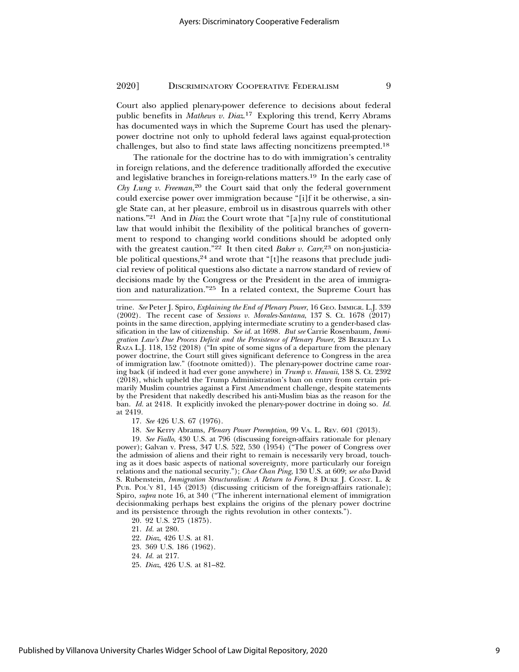Court also applied plenary-power deference to decisions about federal public benefits in *Mathews v. Diaz*. 17 Exploring this trend, Kerry Abrams has documented ways in which the Supreme Court has used the plenarypower doctrine not only to uphold federal laws against equal-protection challenges, but also to find state laws affecting noncitizens preempted.18

The rationale for the doctrine has to do with immigration's centrality in foreign relations, and the deference traditionally afforded the executive and legislative branches in foreign-relations matters.19 In the early case of *Chy Lung v. Freeman*, 20 the Court said that only the federal government could exercise power over immigration because "[i]f it be otherwise, a single State can, at her pleasure, embroil us in disastrous quarrels with other nations."21 And in *Diaz* the Court wrote that "[a]ny rule of constitutional law that would inhibit the flexibility of the political branches of government to respond to changing world conditions should be adopted only with the greatest caution."<sup>22</sup> It then cited *Baker v. Carr*,<sup>23</sup> on non-justiciable political questions,<sup>24</sup> and wrote that "[t]he reasons that preclude judicial review of political questions also dictate a narrow standard of review of decisions made by the Congress or the President in the area of immigration and naturalization."25 In a related context, the Supreme Court has

trine. *See* Peter J. Spiro, *Explaining the End of Plenary Power*, 16 GEO. IMMIGR. L.J. 339 (2002). The recent case of *Sessions v. Morales-Santana*, 137 S. Ct. 1678 (2017) points in the same direction, applying intermediate scrutiny to a gender-based classification in the law of citizenship. *See id.* at 1698*. But see* Carrie Rosenbaum, *Immigration Law's Due Process Deficit and the Persistence of Plenary Power*, 28 BERKELEY LA RAZA L.J. 118, 152 (2018) ("In spite of some signs of a departure from the plenary power doctrine, the Court still gives significant deference to Congress in the area of immigration law." (footnote omitted)). The plenary-power doctrine came roaring back (if indeed it had ever gone anywhere) in *Trump v. Hawaii*, 138 S. Ct. 2392 (2018), which upheld the Trump Administration's ban on entry from certain primarily Muslim countries against a First Amendment challenge, despite statements by the President that nakedly described his anti-Muslim bias as the reason for the ban. *Id.* at 2418. It explicitly invoked the plenary-power doctrine in doing so. *Id.* at 2419.

17. *See* 426 U.S. 67 (1976).

18. *See* Kerry Abrams, *Plenary Power Preemption*, 99 VA. L. REV. 601 (2013).

19. *See Fiallo*, 430 U.S. at 796 (discussing foreign-affairs rationale for plenary power); Galvan v. Press, 347 U.S. 522, 530 (1954) ("The power of Congress over the admission of aliens and their right to remain is necessarily very broad, touching as it does basic aspects of national sovereignty, more particularly our foreign relations and the national security."); *Chae Chan Ping*, 130 U.S. at 609; *see also* David S. Rubenstein, *Immigration Structuralism: A Return to Form*, 8 DUKE J. CONST. L. & PUB. POL'Y 81, 145 (2013) (discussing criticism of the foreign-affairs rationale); Spiro, *supra* note 16, at 340 ("The inherent international element of immigration decisionmaking perhaps best explains the origins of the plenary power doctrine and its persistence through the rights revolution in other contexts.").

20. 92 U.S. 275 (1875).

21. *Id.* at 280.

22. *Diaz*, 426 U.S. at 81.

23. 369 U.S. 186 (1962).

24. *Id.* at 217.

25. *Diaz*, 426 U.S. at 81–82.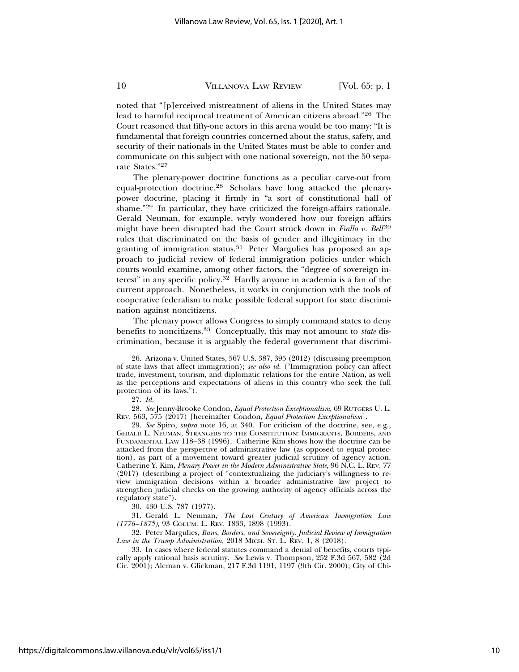noted that "[p]erceived mistreatment of aliens in the United States may lead to harmful reciprocal treatment of American citizens abroad."26 The Court reasoned that fifty-one actors in this arena would be too many: "It is fundamental that foreign countries concerned about the status, safety, and security of their nationals in the United States must be able to confer and communicate on this subject with one national sovereign, not the 50 separate States."27

The plenary-power doctrine functions as a peculiar carve-out from equal-protection doctrine.28 Scholars have long attacked the plenarypower doctrine, placing it firmly in "a sort of constitutional hall of shame."29 In particular, they have criticized the foreign-affairs rationale. Gerald Neuman, for example, wryly wondered how our foreign affairs might have been disrupted had the Court struck down in *Fiallo v. Bell*<sup>30</sup> rules that discriminated on the basis of gender and illegitimacy in the granting of immigration status.31 Peter Margulies has proposed an approach to judicial review of federal immigration policies under which courts would examine, among other factors, the "degree of sovereign interest" in any specific policy.32 Hardly anyone in academia is a fan of the current approach. Nonetheless, it works in conjunction with the tools of cooperative federalism to make possible federal support for state discrimination against noncitizens.

The plenary power allows Congress to simply command states to deny benefits to noncitizens.33 Conceptually, this may not amount to *state* discrimination, because it is arguably the federal government that discrimi-

28. *See* Jenny-Brooke Condon, *Equal Protection Exceptionalism*, 69 RUTGERS U. L. REV. 563, 575 (2017) [hereinafter Condon, *Equal Protection Exceptionalism*].

29. *See* Spiro, *supra* note 16, at 340. For criticism of the doctrine, see, e.g., GERALD L. NEUMAN, STRANGERS TO THE CONSTITUTION: IMMIGRANTS, BORDERS, AND FUNDAMENTAL LAW 118–38 (1996). Catherine Kim shows how the doctrine can be attacked from the perspective of administrative law (as opposed to equal protection), as part of a movement toward greater judicial scrutiny of agency action. Catherine Y. Kim, *Plenary Power in the Modern Administrative State*, 96 N.C. L. REV. 77 (2017) (describing a project of "contextualizing the judiciary's willingness to review immigration decisions within a broader administrative law project to strengthen judicial checks on the growing authority of agency officials across the regulatory state").

30. 430 U.S. 787 (1977).

31. Gerald L. Neuman, *The Lost Century of American Immigration Law (1776–1875)*, 93 COLUM. L. REV. 1833, 1898 (1993).

32. Peter Margulies, *Bans, Borders, and Sovereignty: Judicial Review of Immigration Law in the Trump Administration*, 2018 MICH. ST. L. REV. 1, 8 (2018).

33. In cases where federal statutes command a denial of benefits, courts typically apply rational basis scrutiny. *See* Lewis v. Thompson, 252 F.3d 567, 582 (2d Cir. 2001); Aleman v. Glickman, 217 F.3d 1191, 1197 (9th Cir. 2000); City of Chi-

<sup>26.</sup> Arizona v. United States, 567 U.S. 387, 395 (2012) (discussing preemption of state laws that affect immigration); *see also id.* ("Immigration policy can affect trade, investment, tourism, and diplomatic relations for the entire Nation, as well as the perceptions and expectations of aliens in this country who seek the full protection of its laws.").

<sup>27.</sup> *Id.*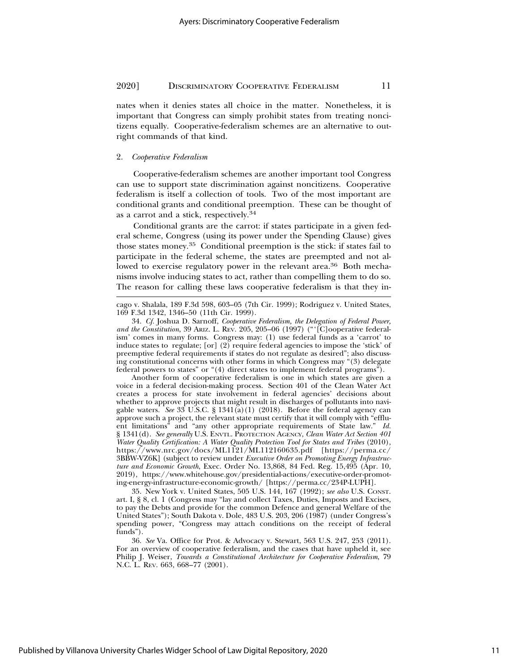nates when it denies states all choice in the matter. Nonetheless, it is important that Congress can simply prohibit states from treating noncitizens equally. Cooperative-federalism schemes are an alternative to outright commands of that kind.

### 2. *Cooperative Federalism*

Cooperative-federalism schemes are another important tool Congress can use to support state discrimination against noncitizens. Cooperative federalism is itself a collection of tools. Two of the most important are conditional grants and conditional preemption. These can be thought of as a carrot and a stick, respectively.34

Conditional grants are the carrot: if states participate in a given federal scheme, Congress (using its power under the Spending Clause) gives those states money.35 Conditional preemption is the stick: if states fail to participate in the federal scheme, the states are preempted and not allowed to exercise regulatory power in the relevant area.<sup>36</sup> Both mechanisms involve inducing states to act, rather than compelling them to do so. The reason for calling these laws cooperative federalism is that they in-

Another form of cooperative federalism is one in which states are given a voice in a federal decision-making process. Section 401 of the Clean Water Act creates a process for state involvement in federal agencies' decisions about whether to approve projects that might result in discharges of pollutants into navigable waters. See  $33 \text{ U.S.C. }$  §  $1341(a)(1)$  (2018). Before the federal agency can approve such a project, the relevant state must certify that it will comply with "effluent limitations" and "any other appropriate requirements of State law." *Id.* § 1341(d). *See generally* U.S. ENVTL. PROTECTION AGENCY, *Clean Water Act Section 401 Water Quality Certification: A Water Quality Protection Tool for States and Tribes* (2010), https://www.nrc.gov/docs/ML1121/ML112160635.pdf [https://perma.cc/ 3BBW-VZ6K] (subject to review under *Executive Order on Promoting Energy Infrastructure and Economic Growth*, Exec. Order No. 13,868, 84 Fed. Reg. 15,495 (Apr. 10, 2019), https://www.whitehouse.gov/presidential-actions/executive-order-promoting-energy-infrastructure-economic-growth/ [https://perma.cc/234P-LUPH].

35. New York v. United States, 505 U.S. 144, 167 (1992); *see also* U.S. CONST. art. I, § 8, cl. 1 (Congress may "lay and collect Taxes, Duties, Imposts and Excises, to pay the Debts and provide for the common Defence and general Welfare of the United States"); South Dakota v. Dole, 483 U.S. 203, 206 (1987) (under Congress's spending power, "Congress may attach conditions on the receipt of federal funds").

36. *See* Va. Office for Prot. & Advocacy v. Stewart, 563 U.S. 247, 253 (2011). For an overview of cooperative federalism, and the cases that have upheld it, see Philip J. Weiser, *Towards a Constitutional Architecture for Cooperative Federalism*, 79 N.C. L. REV. 663, 668–77 (2001).

cago v. Shalala, 189 F.3d 598, 603–05 (7th Cir. 1999); Rodriguez v. United States, 169 F.3d 1342, 1346–50 (11th Cir. 1999).

<sup>34.</sup> *Cf.* Joshua D. Sarnoff, *Cooperative Federalism, the Delegation of Federal Power, and the Constitution*, 39 ARIZ. L. REV. 205, 205–06 (1997) ("'[C]ooperative federalism' comes in many forms. Congress may: (1) use federal funds as a 'carrot' to induce states to regulate; [or] (2) require federal agencies to impose the 'stick' of preemptive federal requirements if states do not regulate as desired"; also discussing constitutional concerns with other forms in which Congress may "(3) delegate federal powers to states" or "(4) direct states to implement federal programs").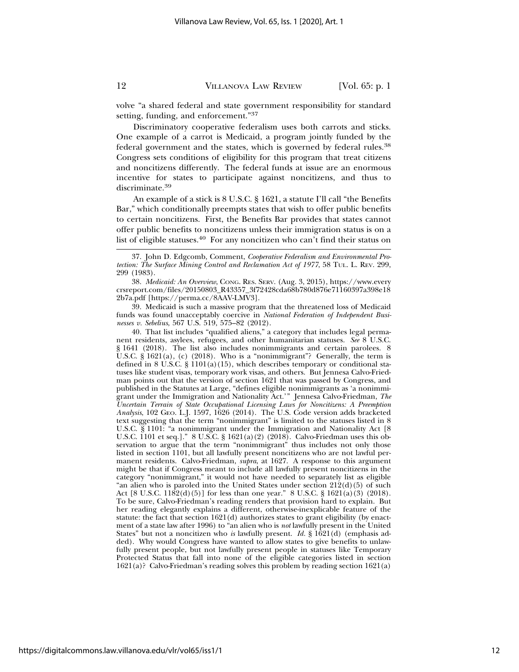volve "a shared federal and state government responsibility for standard setting, funding, and enforcement."37

Discriminatory cooperative federalism uses both carrots and sticks. One example of a carrot is Medicaid, a program jointly funded by the federal government and the states, which is governed by federal rules.<sup>38</sup> Congress sets conditions of eligibility for this program that treat citizens and noncitizens differently. The federal funds at issue are an enormous incentive for states to participate against noncitizens, and thus to discriminate.<sup>39</sup>

An example of a stick is 8 U.S.C. § 1621, a statute I'll call "the Benefits Bar," which conditionally preempts states that wish to offer public benefits to certain noncitizens. First, the Benefits Bar provides that states cannot offer public benefits to noncitizens unless their immigration status is on a list of eligible statuses.40 For any noncitizen who can't find their status on

38. *Medicaid: An Overview*, CONG. RES. SERV. (Aug. 3, 2015), https://www.every crsreport.com/files/20150803\_R43357\_3f72428cda68b780d876e71160397a398e18 2b7a.pdf [https://perma.cc/8AAV-LMV3].

39. Medicaid is such a massive program that the threatened loss of Medicaid funds was found unacceptably coercive in *National Federation of Independent Businesses v. Sebelius*, 567 U.S. 519, 575–82 (2012).

40. That list includes "qualified aliens," a category that includes legal permanent residents, asylees, refugees, and other humanitarian statuses. *See* 8 U.S.C. § 1641 (2018). The list also includes nonimmigrants and certain parolees. 8 U.S.C. § 1621(a), (c) (2018). Who is a "nonimmigrant"? Generally, the term is defined in 8 U.S.C. § 1101(a)(15), which describes temporary or conditional statuses like student visas, temporary work visas, and others. But Jennesa Calvo-Friedman points out that the version of section 1621 that was passed by Congress, and published in the Statutes at Large, "defines eligible nonimmigrants as 'a nonimmigrant under the Immigration and Nationality Act.'" Jennesa Calvo-Friedman, *The Uncertain Terrain of State Occupational Licensing Laws for Noncitizens: A Preemption Analysis*, 102 GEO. L.J. 1597, 1626 (2014). The U.S. Code version adds bracketed text suggesting that the term "nonimmigrant" is limited to the statuses listed in 8 U.S.C. § 1101: "a nonimmigrant under the Immigration and Nationality Act [8 U.S.C. 1101 et seq.]." 8 U.S.C. § 1621(a)(2) (2018). Calvo-Friedman uses this observation to argue that the term "nonimmigrant" thus includes not only those listed in section 1101, but all lawfully present noncitizens who are not lawful permanent residents. Calvo-Friedman, *supra*, at 1627. A response to this argument might be that if Congress meant to include all lawfully present noncitizens in the category "nonimmigrant," it would not have needed to separately list as eligible "an alien who is paroled into the United States under section  $212(d)(5)$  of such Act [8 U.S.C. 1182(d)(5)] for less than one year." 8 U.S.C. § 1621(a)(3) (2018). To be sure, Calvo-Friedman's reading renders that provision hard to explain. But her reading elegantly explains a different, otherwise-inexplicable feature of the statute: the fact that section 1621(d) authorizes states to grant eligibility (by enactment of a state law after 1996) to "an alien who is *not* lawfully present in the United States" but not a noncitizen who *is* lawfully present. *Id.* § 1621(d) (emphasis added). Why would Congress have wanted to allow states to give benefits to unlawfully present people, but not lawfully present people in statuses like Temporary Protected Status that fall into none of the eligible categories listed in section 1621(a)? Calvo-Friedman's reading solves this problem by reading section 1621(a)

<sup>37.</sup> John D. Edgcomb, Comment, *Cooperative Federalism and Environmental Protection: The Surface Mining Control and Reclamation Act of 1977*, 58 TUL. L. REV. 299, 299 (1983).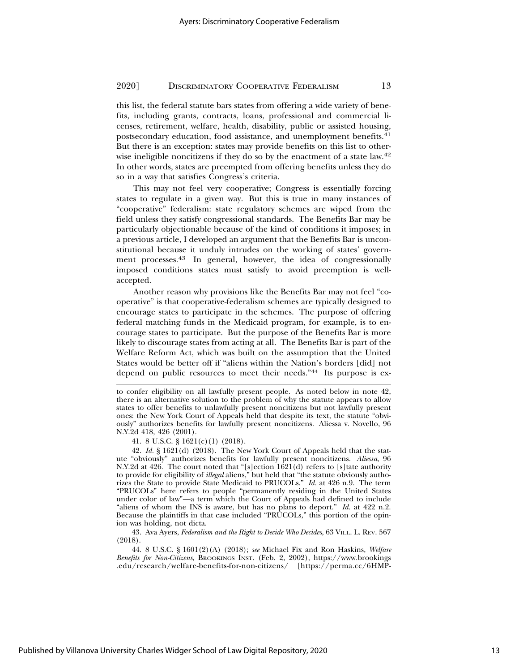this list, the federal statute bars states from offering a wide variety of benefits, including grants, contracts, loans, professional and commercial licenses, retirement, welfare, health, disability, public or assisted housing, postsecondary education, food assistance, and unemployment benefits.41 But there is an exception: states may provide benefits on this list to otherwise ineligible noncitizens if they do so by the enactment of a state law.<sup>42</sup> In other words, states are preempted from offering benefits unless they do so in a way that satisfies Congress's criteria.

This may not feel very cooperative; Congress is essentially forcing states to regulate in a given way. But this is true in many instances of "cooperative" federalism: state regulatory schemes are wiped from the field unless they satisfy congressional standards. The Benefits Bar may be particularly objectionable because of the kind of conditions it imposes; in a previous article, I developed an argument that the Benefits Bar is unconstitutional because it unduly intrudes on the working of states' government processes.43 In general, however, the idea of congressionally imposed conditions states must satisfy to avoid preemption is wellaccepted.

Another reason why provisions like the Benefits Bar may not feel "cooperative" is that cooperative-federalism schemes are typically designed to encourage states to participate in the schemes. The purpose of offering federal matching funds in the Medicaid program, for example, is to encourage states to participate. But the purpose of the Benefits Bar is more likely to discourage states from acting at all. The Benefits Bar is part of the Welfare Reform Act, which was built on the assumption that the United States would be better off if "aliens within the Nation's borders [did] not depend on public resources to meet their needs."44 Its purpose is ex-

41. 8 U.S.C. § 1621(c)(1) (2018).

42. *Id.* § 1621(d) (2018). The New York Court of Appeals held that the statute "obviously" authorizes benefits for lawfully present noncitizens. *Aliessa*, 96 N.Y.2d at 426. The court noted that "[s]ection 1621(d) refers to [s]tate authority to provide for eligibility of *illegal* aliens," but held that "the statute obviously authorizes the State to provide State Medicaid to PRUCOLs." *Id.* at 426 n.9. The term "PRUCOLs" here refers to people "permanently residing in the United States under color of law"—a term which the Court of Appeals had defined to include "aliens of whom the INS is aware, but has no plans to deport." *Id.* at 422 n.2. Because the plaintiffs in that case included "PRUCOLs," this portion of the opinion was holding, not dicta.

43. Ava Ayers, *Federalism and the Right to Decide Who Decides*, 63 VILL. L. REV. 567 (2018).

44. 8 U.S.C. § 1601(2)(A) (2018); *see* Michael Fix and Ron Haskins, *Welfare Benefits for Non-Citizens*, BROOKINGS INST. (Feb. 2, 2002), https://www.brookings .edu/research/welfare-benefits-for-non-citizens/ [https://perma.cc/6HMP-

to confer eligibility on all lawfully present people. As noted below in note 42, there is an alternative solution to the problem of why the statute appears to allow states to offer benefits to unlawfully present noncitizens but not lawfully present ones: the New York Court of Appeals held that despite its text, the statute "obviously" authorizes benefits for lawfully present noncitizens. Aliessa v. Novello, 96 N.Y.2d 418, 426 (2001).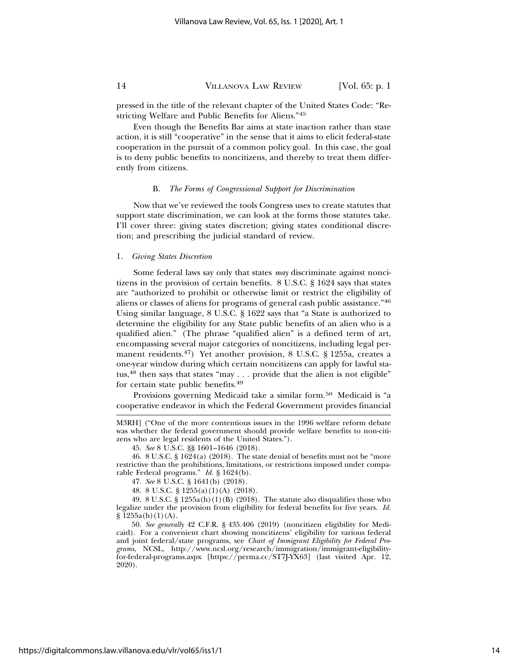pressed in the title of the relevant chapter of the United States Code: "Restricting Welfare and Public Benefits for Aliens."45

Even though the Benefits Bar aims at state inaction rather than state action, it is still "cooperative" in the sense that it aims to elicit federal-state cooperation in the pursuit of a common policy goal. In this case, the goal is to deny public benefits to noncitizens, and thereby to treat them differently from citizens.

### B. *The Forms of Congressional Support for Discrimination*

Now that we've reviewed the tools Congress uses to create statutes that support state discrimination, we can look at the forms those statutes take. I'll cover three: giving states discretion; giving states conditional discretion; and prescribing the judicial standard of review.

### 1. *Giving States Discretion*

Some federal laws say only that states *may* discriminate against noncitizens in the provision of certain benefits. 8 U.S.C. § 1624 says that states are "authorized to prohibit or otherwise limit or restrict the eligibility of aliens or classes of aliens for programs of general cash public assistance."46 Using similar language, 8 U.S.C. § 1622 says that "a State is authorized to determine the eligibility for any State public benefits of an alien who is a qualified alien." (The phrase "qualified alien" is a defined term of art, encompassing several major categories of noncitizens, including legal permanent residents.47) Yet another provision, 8 U.S.C. § 1255a, creates a one-year window during which certain noncitizens can apply for lawful status,<sup>48</sup> then says that states "may . . . provide that the alien is not eligible" for certain state public benefits.49

Provisions governing Medicaid take a similar form.50 Medicaid is "a cooperative endeavor in which the Federal Government provides financial

M3RH] ("One of the more contentious issues in the 1996 welfare reform debate was whether the federal government should provide welfare benefits to non-citizens who are legal residents of the United States.").

45. *See* 8 U.S.C. §§ 1601–1646 (2018).

46. 8 U.S.C. § 1624(a) (2018). The state denial of benefits must not be "more restrictive than the prohibitions, limitations, or restrictions imposed under comparable Federal programs." *Id.* § 1624(b).

48. 8 U.S.C. § 1255(a)(1)(A) (2018).

49. 8 U.S.C. §  $1255a(h)(1)(B)$  (2018). The statute also disqualifies those who legalize under the provision from eligibility for federal benefits for five years. *Id.*  $§ 1255a(h)(1)(A).$ 

50. *See generally* 42 C.F.R. § 435.406 (2019) (noncitizen eligibility for Medicaid). For a convenient chart showing noncitizens' eligibility for various federal and joint federal/state programs, see *Chart of Immigrant Eligibility for Federal Programs*, NCSL, http://www.ncsl.org/research/immigration/immigrant-eligibilityfor-federal-programs.aspx [https://perma.cc/ST7J-YX63] (last visited Apr. 12, 2020).

<sup>47.</sup> *See* 8 U.S.C. § 1641(b) (2018).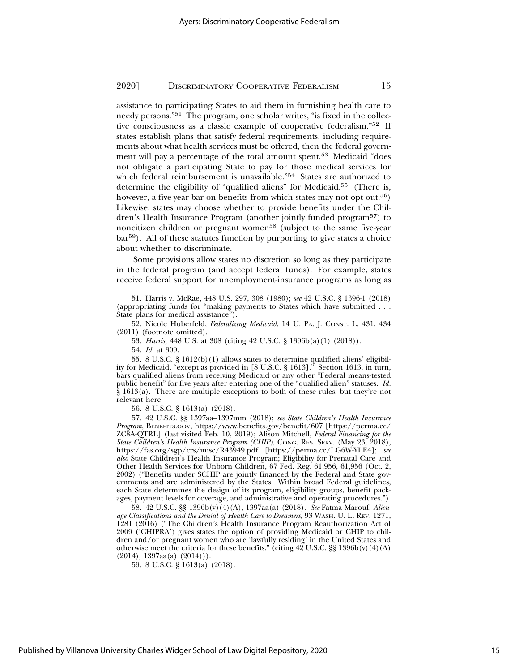assistance to participating States to aid them in furnishing health care to needy persons."51 The program, one scholar writes, "is fixed in the collective consciousness as a classic example of cooperative federalism."52 If states establish plans that satisfy federal requirements, including requirements about what health services must be offered, then the federal government will pay a percentage of the total amount spent.53 Medicaid "does not obligate a participating State to pay for those medical services for which federal reimbursement is unavailable."54 States are authorized to determine the eligibility of "qualified aliens" for Medicaid.55 (There is, however, a five-year bar on benefits from which states may not opt out.<sup>56</sup>) Likewise, states may choose whether to provide benefits under the Children's Health Insurance Program (another jointly funded program<sup>57</sup>) to noncitizen children or pregnant women<sup>58</sup> (subject to the same five-year bar59). All of these statutes function by purporting to give states a choice about whether to discriminate.

Some provisions allow states no discretion so long as they participate in the federal program (and accept federal funds). For example, states receive federal support for unemployment-insurance programs as long as

52. Nicole Huberfeld, *Federalizing Medicaid*, 14 U. PA. J. CONST. L. 431, 434 (2011) (footnote omitted).

53. *Harris*, 448 U.S. at 308 (citing 42 U.S.C. § 1396b(a)(1) (2018)).

54. *Id.* at 309.

55. 8 U.S.C. § 1612(b)(1) allows states to determine qualified aliens' eligibility for Medicaid, "except as provided in [8 U.S.C. § 1613]." Section 1613, in turn, bars qualified aliens from receiving Medicaid or any other "Federal means-tested public benefit" for five years after entering one of the "qualified alien" statuses. *Id.* § 1613(a). There are multiple exceptions to both of these rules, but they're not relevant here.

56. 8 U.S.C. § 1613(a) (2018).

57. 42 U.S.C. §§ 1397aa–1397mm (2018); *see State Children's Health Insurance Program*, BENEFITS.GOV, https://www.benefits.gov/benefit/607 [https://perma.cc/ ZC8A-QTRL] (last visited Feb. 10, 2019); Alison Mitchell, *Federal Financing for the State Children's Health Insurance Program (CHIP)*, CONG. RES. SERV. (May 23, 2018), https://fas.org/sgp/crs/misc/R43949.pdf [https://perma.cc/LG6W-YLE4]; *see also* State Children's Health Insurance Program; Eligibility for Prenatal Care and Other Health Services for Unborn Children, 67 Fed. Reg. 61,956, 61,956 (Oct. 2, 2002) ("Benefits under SCHIP are jointly financed by the Federal and State governments and are administered by the States. Within broad Federal guidelines, each State determines the design of its program, eligibility groups, benefit packages, payment levels for coverage, and administrative and operating procedures.").

58. 42 U.S.C. §§ 1396b(v)(4)(A), 1397aa(a) (2018). *See* Fatma Marouf, *Alienage Classifications and the Denial of Health Care to Dreamers*, 93 WASH. U. L. REV. 1271, 1281 (2016) ("The Children's Health Insurance Program Reauthorization Act of 2009 ('CHIPRA') gives states the option of providing Medicaid or CHIP to children and/or pregnant women who are 'lawfully residing' in the United States and otherwise meet the criteria for these benefits." (citing  $42 \text{ U.S.C.}$  §§  $1396b(v)(4)(A)$ (2014), 1397aa(a) (2014))).

59. 8 U.S.C. § 1613(a) (2018).

<sup>51.</sup> Harris v. McRae, 448 U.S. 297, 308 (1980); *see* 42 U.S.C. § 1396-1 (2018) (appropriating funds for "making payments to States which have submitted . . . State plans for medical assistance").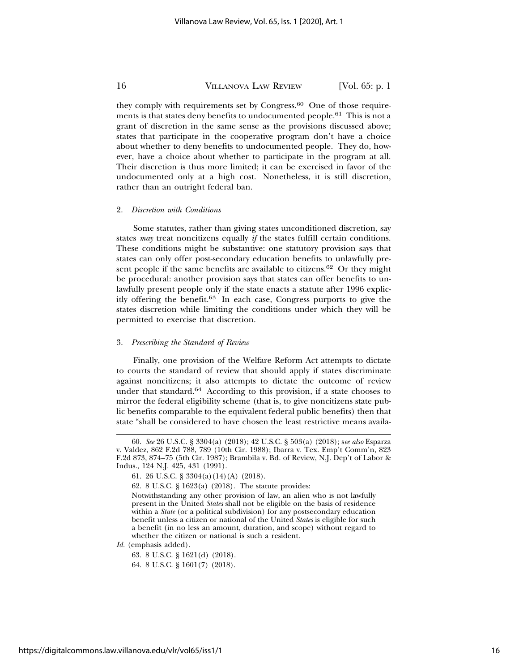they comply with requirements set by Congress. $60$  One of those requirements is that states deny benefits to undocumented people.61 This is not a grant of discretion in the same sense as the provisions discussed above; states that participate in the cooperative program don't have a choice about whether to deny benefits to undocumented people. They do, however, have a choice about whether to participate in the program at all. Their discretion is thus more limited; it can be exercised in favor of the undocumented only at a high cost. Nonetheless, it is still discretion, rather than an outright federal ban.

### 2. *Discretion with Conditions*

Some statutes, rather than giving states unconditioned discretion, say states *may* treat noncitizens equally *if* the states fulfill certain conditions. These conditions might be substantive: one statutory provision says that states can only offer post-secondary education benefits to unlawfully present people if the same benefits are available to citizens.<sup>62</sup> Or they might be procedural: another provision says that states can offer benefits to unlawfully present people only if the state enacts a statute after 1996 explicitly offering the benefit.63 In each case, Congress purports to give the states discretion while limiting the conditions under which they will be permitted to exercise that discretion.

### 3. *Prescribing the Standard of Review*

Finally, one provision of the Welfare Reform Act attempts to dictate to courts the standard of review that should apply if states discriminate against noncitizens; it also attempts to dictate the outcome of review under that standard.<sup>64</sup> According to this provision, if a state chooses to mirror the federal eligibility scheme (that is, to give noncitizens state public benefits comparable to the equivalent federal public benefits) then that state "shall be considered to have chosen the least restrictive means availa-

<sup>60.</sup> *See* 26 U.S.C. § 3304(a) (2018); 42 U.S.C. § 503(a) (2018); s*ee also* Esparza v. Valdez, 862 F.2d 788, 789 (10th Cir. 1988); Ibarra v. Tex. Emp't Comm'n, 823 F.2d 873, 874–75 (5th Cir. 1987); Brambila v. Bd. of Review, N.J. Dep't of Labor & Indus., 124 N.J. 425, 431 (1991).

<sup>61. 26</sup> U.S.C. § 3304(a)(14)(A) (2018).

<sup>62. 8</sup> U.S.C. § 1623(a) (2018). The statute provides:

Notwithstanding any other provision of law, an alien who is not lawfully present in the United *States* shall not be eligible on the basis of residence within a *State* (or a political subdivision) for any postsecondary education benefit unless a citizen or national of the United *States* is eligible for such a benefit (in no less an amount, duration, and scope) without regard to whether the citizen or national is such a resident.

*Id.* (emphasis added).

<sup>63. 8</sup> U.S.C. § 1621(d) (2018).

<sup>64. 8</sup> U.S.C. § 1601(7) (2018).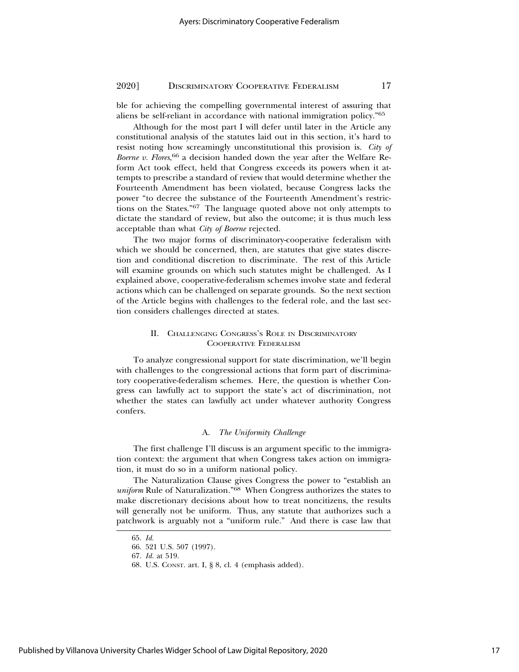ble for achieving the compelling governmental interest of assuring that aliens be self-reliant in accordance with national immigration policy."65

Although for the most part I will defer until later in the Article any constitutional analysis of the statutes laid out in this section, it's hard to resist noting how screamingly unconstitutional this provision is. *City of Boerne v. Flores*, 66 a decision handed down the year after the Welfare Reform Act took effect, held that Congress exceeds its powers when it attempts to prescribe a standard of review that would determine whether the Fourteenth Amendment has been violated, because Congress lacks the power "to decree the substance of the Fourteenth Amendment's restrictions on the States."67 The language quoted above not only attempts to dictate the standard of review, but also the outcome; it is thus much less acceptable than what *City of Boerne* rejected.

The two major forms of discriminatory-cooperative federalism with which we should be concerned, then, are statutes that give states discretion and conditional discretion to discriminate. The rest of this Article will examine grounds on which such statutes might be challenged. As I explained above, cooperative-federalism schemes involve state and federal actions which can be challenged on separate grounds. So the next section of the Article begins with challenges to the federal role, and the last section considers challenges directed at states.

### II. CHALLENGING CONGRESS'S ROLE IN DISCRIMINATORY COOPERATIVE FEDERALISM

To analyze congressional support for state discrimination, we'll begin with challenges to the congressional actions that form part of discriminatory cooperative-federalism schemes. Here, the question is whether Congress can lawfully act to support the state's act of discrimination, not whether the states can lawfully act under whatever authority Congress confers.

### A. *The Uniformity Challenge*

The first challenge I'll discuss is an argument specific to the immigration context: the argument that when Congress takes action on immigration, it must do so in a uniform national policy.

The Naturalization Clause gives Congress the power to "establish an *uniform* Rule of Naturalization."68 When Congress authorizes the states to make discretionary decisions about how to treat noncitizens, the results will generally not be uniform. Thus, any statute that authorizes such a patchwork is arguably not a "uniform rule." And there is case law that

<sup>65.</sup> *Id.*

<sup>66. 521</sup> U.S. 507 (1997).

<sup>67.</sup> *Id.* at 519.

<sup>68.</sup> U.S. CONST. art. I, § 8, cl. 4 (emphasis added).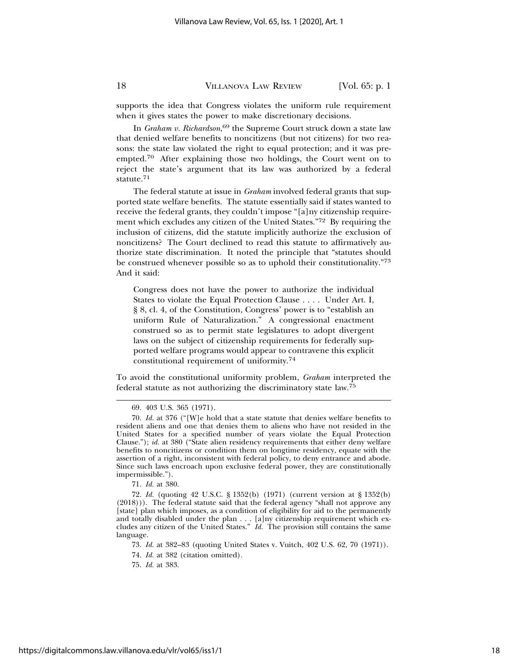supports the idea that Congress violates the uniform rule requirement when it gives states the power to make discretionary decisions.

In *Graham v. Richardson*, 69 the Supreme Court struck down a state law that denied welfare benefits to noncitizens (but not citizens) for two reasons: the state law violated the right to equal protection; and it was preempted.70 After explaining those two holdings, the Court went on to reject the state's argument that its law was authorized by a federal statute.<sup>71</sup>

The federal statute at issue in *Graham* involved federal grants that supported state welfare benefits. The statute essentially said if states wanted to receive the federal grants, they couldn't impose "[a]ny citizenship requirement which excludes any citizen of the United States."72 By requiring the inclusion of citizens, did the statute implicitly authorize the exclusion of noncitizens? The Court declined to read this statute to affirmatively authorize state discrimination. It noted the principle that "statutes should be construed whenever possible so as to uphold their constitutionality."73 And it said:

Congress does not have the power to authorize the individual States to violate the Equal Protection Clause . . . . Under Art. I, § 8, cl. 4, of the Constitution, Congress' power is to "establish an uniform Rule of Naturalization." A congressional enactment construed so as to permit state legislatures to adopt divergent laws on the subject of citizenship requirements for federally supported welfare programs would appear to contravene this explicit constitutional requirement of uniformity.74

To avoid the constitutional uniformity problem, *Graham* interpreted the federal statute as not authorizing the discriminatory state law.75

71. *Id.* at 380.

73. *Id.* at 382–83 (quoting United States v. Vuitch, 402 U.S. 62, 70 (1971)).

<sup>69. 403</sup> U.S. 365 (1971).

<sup>70.</sup> *Id.* at 376 ("[W]e hold that a state statute that denies welfare benefits to resident aliens and one that denies them to aliens who have not resided in the United States for a specified number of years violate the Equal Protection Clause."); *id.* at 380 ("State alien residency requirements that either deny welfare benefits to noncitizens or condition them on longtime residency, equate with the assertion of a right, inconsistent with federal policy, to deny entrance and abode. Since such laws encroach upon exclusive federal power, they are constitutionally impermissible.").

<sup>72.</sup> *Id.* (quoting 42 U.S.C. § 1352(b) (1971) (current version at § 1352(b) (2018))). The federal statute said that the federal agency "shall not approve any [state] plan which imposes, as a condition of eligibility for aid to the permanently and totally disabled under the plan . . . [a]ny citizenship requirement which excludes any citizen of the United States." *Id.* The provision still contains the same language.

<sup>74.</sup> *Id.* at 382 (citation omitted).

<sup>75.</sup> *Id.* at 383.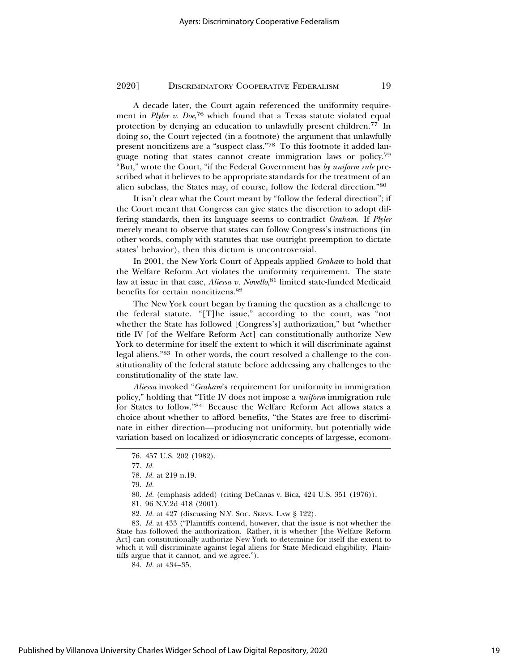A decade later, the Court again referenced the uniformity requirement in *Plyler v. Doe*, 76 which found that a Texas statute violated equal protection by denying an education to unlawfully present children.77 In doing so, the Court rejected (in a footnote) the argument that unlawfully present noncitizens are a "suspect class."78 To this footnote it added language noting that states cannot create immigration laws or policy.79 "But," wrote the Court, "if the Federal Government has *by uniform rule* prescribed what it believes to be appropriate standards for the treatment of an alien subclass, the States may, of course, follow the federal direction."80

It isn't clear what the Court meant by "follow the federal direction"; if the Court meant that Congress can give states the discretion to adopt differing standards, then its language seems to contradict *Graham*. If *Plyler* merely meant to observe that states can follow Congress's instructions (in other words, comply with statutes that use outright preemption to dictate states' behavior), then this dictum is uncontroversial.

In 2001, the New York Court of Appeals applied *Graham* to hold that the Welfare Reform Act violates the uniformity requirement. The state law at issue in that case, *Aliessa v. Novello*, 81 limited state-funded Medicaid benefits for certain noncitizens.82

The New York court began by framing the question as a challenge to the federal statute. "[T]he issue," according to the court, was "not whether the State has followed [Congress's] authorization," but "whether title IV [of the Welfare Reform Act] can constitutionally authorize New York to determine for itself the extent to which it will discriminate against legal aliens."83 In other words, the court resolved a challenge to the constitutionality of the federal statute before addressing any challenges to the constitutionality of the state law.

*Aliessa* invoked "*Graham*'s requirement for uniformity in immigration policy," holding that "Title IV does not impose a *uniform* immigration rule for States to follow."84 Because the Welfare Reform Act allows states a choice about whether to afford benefits, "the States are free to discriminate in either direction—producing not uniformity, but potentially wide variation based on localized or idiosyncratic concepts of largesse, econom-

83. *Id.* at 433 ("Plaintiffs contend, however, that the issue is not whether the State has followed the authorization. Rather, it is whether [the Welfare Reform Act] can constitutionally authorize New York to determine for itself the extent to which it will discriminate against legal aliens for State Medicaid eligibility. Plaintiffs argue that it cannot, and we agree.").

84. *Id.* at 434–35.

<sup>76. 457</sup> U.S. 202 (1982).

<sup>77.</sup> *Id.*

<sup>78.</sup> *Id.* at 219 n.19.

<sup>79.</sup> *Id.*

<sup>80.</sup> *Id.* (emphasis added) (citing DeCanas v. Bica, 424 U.S. 351 (1976)).

<sup>81. 96</sup> N.Y.2d 418 (2001).

<sup>82.</sup> *Id.* at 427 (discussing N.Y. SOC. SERVS. LAW § 122).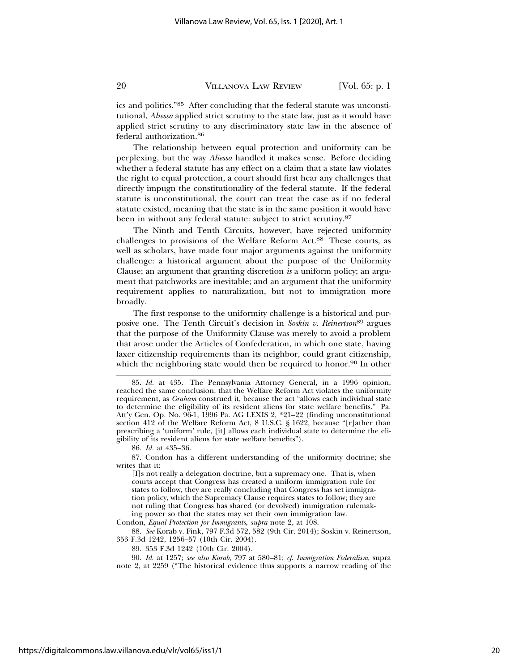ics and politics."85 After concluding that the federal statute was unconstitutional, *Aliessa* applied strict scrutiny to the state law, just as it would have applied strict scrutiny to any discriminatory state law in the absence of federal authorization.86

The relationship between equal protection and uniformity can be perplexing, but the way *Aliessa* handled it makes sense. Before deciding whether a federal statute has any effect on a claim that a state law violates the right to equal protection, a court should first hear any challenges that directly impugn the constitutionality of the federal statute. If the federal statute is unconstitutional, the court can treat the case as if no federal statute existed, meaning that the state is in the same position it would have been in without any federal statute: subject to strict scrutiny.87

The Ninth and Tenth Circuits, however, have rejected uniformity challenges to provisions of the Welfare Reform Act.<sup>88</sup> These courts, as well as scholars, have made four major arguments against the uniformity challenge: a historical argument about the purpose of the Uniformity Clause; an argument that granting discretion *is* a uniform policy; an argument that patchworks are inevitable; and an argument that the uniformity requirement applies to naturalization, but not to immigration more broadly.

The first response to the uniformity challenge is a historical and purposive one. The Tenth Circuit's decision in *Soskin v. Reinertson*89 argues that the purpose of the Uniformity Clause was merely to avoid a problem that arose under the Articles of Confederation, in which one state, having laxer citizenship requirements than its neighbor, could grant citizenship, which the neighboring state would then be required to honor.<sup>90</sup> In other

86. *Id.* at 435–36.

87. Condon has a different understanding of the uniformity doctrine; she writes that it:

[I]s not really a delegation doctrine, but a supremacy one. That is, when courts accept that Congress has created a uniform immigration rule for states to follow, they are really concluding that Congress has set immigration policy, which the Supremacy Clause requires states to follow; they are not ruling that Congress has shared (or devolved) immigration rulemaking power so that the states may set their own immigration law.

Condon, *Equal Protection for Immigrants*, *supra* note 2, at 108.

88. *See* Korab v. Fink, 797 F.3d 572, 582 (9th Cir. 2014); Soskin v. Reinertson, 353 F.3d 1242, 1256–57 (10th Cir. 2004).

89. 353 F.3d 1242 (10th Cir. 2004).

90. *Id*. at 1257; *see also Korab*, 797 at 580–81; *cf*. *Immigration Federalism*, supra note 2, at 2259 ("The historical evidence thus supports a narrow reading of the

<sup>85.</sup> *Id.* at 435. The Pennsylvania Attorney General, in a 1996 opinion, reached the same conclusion: that the Welfare Reform Act violates the uniformity requirement, as *Graham* construed it, because the act "allows each individual state to determine the eligibility of its resident aliens for state welfare benefits." Pa. Att'y Gen. Op. No. 96-1, 1996 Pa. AG LEXIS 2, \*21–22 (finding unconstitutional section 412 of the Welfare Reform Act, 8 U.S.C. § 1622, because "[r]ather than prescribing a 'uniform' rule, [it] allows each individual state to determine the eligibility of its resident aliens for state welfare benefits").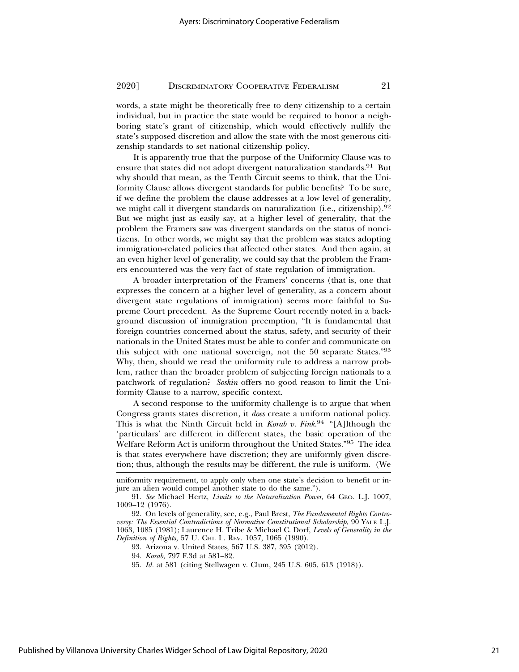words, a state might be theoretically free to deny citizenship to a certain individual, but in practice the state would be required to honor a neighboring state's grant of citizenship, which would effectively nullify the state's supposed discretion and allow the state with the most generous citizenship standards to set national citizenship policy.

It is apparently true that the purpose of the Uniformity Clause was to ensure that states did not adopt divergent naturalization standards.<sup>91</sup> But why should that mean, as the Tenth Circuit seems to think, that the Uniformity Clause allows divergent standards for public benefits? To be sure, if we define the problem the clause addresses at a low level of generality, we might call it divergent standards on naturalization (i.e., citizenship).<sup>92</sup> But we might just as easily say, at a higher level of generality, that the problem the Framers saw was divergent standards on the status of noncitizens. In other words, we might say that the problem was states adopting immigration-related policies that affected other states. And then again, at an even higher level of generality, we could say that the problem the Framers encountered was the very fact of state regulation of immigration.

A broader interpretation of the Framers' concerns (that is, one that expresses the concern at a higher level of generality, as a concern about divergent state regulations of immigration) seems more faithful to Supreme Court precedent. As the Supreme Court recently noted in a background discussion of immigration preemption, "It is fundamental that foreign countries concerned about the status, safety, and security of their nationals in the United States must be able to confer and communicate on this subject with one national sovereign, not the 50 separate States."93 Why, then, should we read the uniformity rule to address a narrow problem, rather than the broader problem of subjecting foreign nationals to a patchwork of regulation? *Soskin* offers no good reason to limit the Uniformity Clause to a narrow, specific context.

A second response to the uniformity challenge is to argue that when Congress grants states discretion, it *does* create a uniform national policy. This is what the Ninth Circuit held in *Korab v. Fink*. 94 "[A]lthough the 'particulars' are different in different states, the basic operation of the Welfare Reform Act is uniform throughout the United States."95 The idea is that states everywhere have discretion; they are uniformly given discretion; thus, although the results may be different, the rule is uniform. (We

95. *Id.* at 581 (citing Stellwagen v. Clum, 245 U.S. 605, 613 (1918)).

uniformity requirement, to apply only when one state's decision to benefit or injure an alien would compel another state to do the same.").

<sup>91.</sup> *See* Michael Hertz, *Limits to the Naturalization Power*, 64 GEO. L.J. 1007, 1009–12 (1976).

<sup>92.</sup> On levels of generality, see, e.g., Paul Brest, *The Fundamental Rights Controversy: The Essential Contradictions of Normative Constitutional Scholarship*, 90 YALE L.J. 1063, 1085 (1981); Laurence H. Tribe & Michael C. Dorf, *Levels of Generality in the Definition of Rights*, 57 U. CHI. L. REV. 1057, 1065 (1990).

<sup>93.</sup> Arizona v. United States, 567 U.S. 387, 395 (2012).

<sup>94.</sup> *Korab*, 797 F.3d at 581–82.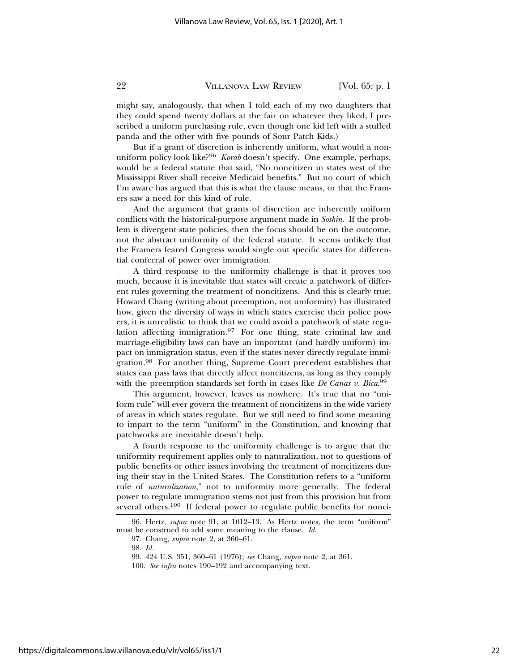might say, analogously, that when I told each of my two daughters that they could spend twenty dollars at the fair on whatever they liked, I prescribed a uniform purchasing rule, even though one kid left with a stuffed panda and the other with five pounds of Sour Patch Kids.)

But if a grant of discretion is inherently uniform, what would a nonuniform policy look like?96 *Korab* doesn't specify. One example, perhaps, would be a federal statute that said, "No noncitizen in states west of the Mississippi River shall receive Medicaid benefits." But no court of which I'm aware has argued that this is what the clause means, or that the Framers saw a need for this kind of rule.

And the argument that grants of discretion are inherently uniform conflicts with the historical-purpose argument made in *Soskin*. If the problem is divergent state policies, then the focus should be on the outcome, not the abstract uniformity of the federal statute. It seems unlikely that the Framers feared Congress would single out specific states for differential conferral of power over immigration.

A third response to the uniformity challenge is that it proves too much, because it is inevitable that states will create a patchwork of different rules governing the treatment of noncitizens. And this is clearly true; Howard Chang (writing about preemption, not uniformity) has illustrated how, given the diversity of ways in which states exercise their police powers, it is unrealistic to think that we could avoid a patchwork of state regulation affecting immigration.97 For one thing, state criminal law and marriage-eligibility laws can have an important (and hardly uniform) impact on immigration status, even if the states never directly regulate immigration.98 For another thing, Supreme Court precedent establishes that states can pass laws that directly affect noncitizens, as long as they comply with the preemption standards set forth in cases like *De Canas v. Bica*. 99

This argument, however, leaves us nowhere. It's true that no "uniform rule" will ever govern the treatment of noncitizens in the wide variety of areas in which states regulate. But we still need to find some meaning to impart to the term "uniform" in the Constitution, and knowing that patchworks are inevitable doesn't help.

A fourth response to the uniformity challenge is to argue that the uniformity requirement applies only to naturalization, not to questions of public benefits or other issues involving the treatment of noncitizens during their stay in the United States. The Constitution refers to a "uniform rule of *naturalization*," not to uniformity more generally. The federal power to regulate immigration stems not just from this provision but from several others.<sup>100</sup> If federal power to regulate public benefits for nonci-

<sup>96.</sup> Hertz, *supra* note 91, at 1012–13. As Hertz notes, the term "uniform" must be construed to add some meaning to the clause. *Id.*

<sup>97.</sup> Chang, *supra* note 2, at 360–61.

<sup>98.</sup> *Id.*

<sup>99. 424</sup> U.S. 351, 360–61 (1976); *see* Chang, *supra* note 2, at 361.

<sup>100.</sup> *See infra* notes 190–192 and accompanying text.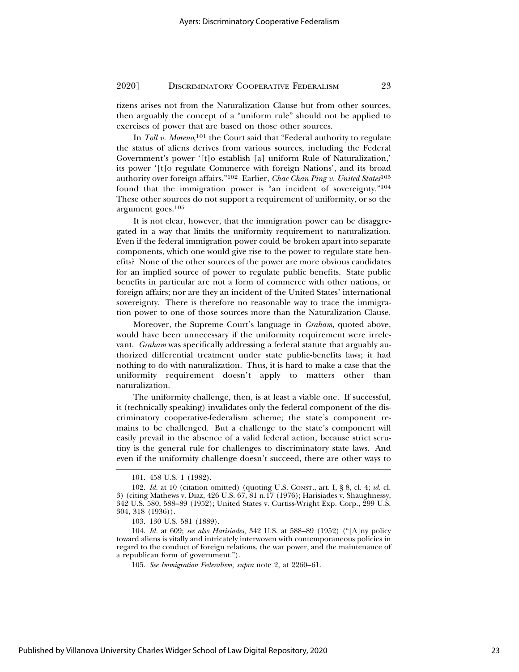tizens arises not from the Naturalization Clause but from other sources, then arguably the concept of a "uniform rule" should not be applied to exercises of power that are based on those other sources.

In *Toll v. Moreno*,<sup>101</sup> the Court said that "Federal authority to regulate the status of aliens derives from various sources, including the Federal Government's power '[t]o establish [a] uniform Rule of Naturalization,' its power '[t]o regulate Commerce with foreign Nations', and its broad authority over foreign affairs."102 Earlier, *Chae Chan Ping v. United States*<sup>103</sup> found that the immigration power is "an incident of sovereignty."104 These other sources do not support a requirement of uniformity, or so the argument goes.105

It is not clear, however, that the immigration power can be disaggregated in a way that limits the uniformity requirement to naturalization. Even if the federal immigration power could be broken apart into separate components, which one would give rise to the power to regulate state benefits? None of the other sources of the power are more obvious candidates for an implied source of power to regulate public benefits. State public benefits in particular are not a form of commerce with other nations, or foreign affairs; nor are they an incident of the United States' international sovereignty. There is therefore no reasonable way to trace the immigration power to one of those sources more than the Naturalization Clause.

Moreover, the Supreme Court's language in *Graham*, quoted above, would have been unnecessary if the uniformity requirement were irrelevant. *Graham* was specifically addressing a federal statute that arguably authorized differential treatment under state public-benefits laws; it had nothing to do with naturalization. Thus, it is hard to make a case that the uniformity requirement doesn't apply to matters other than naturalization.

The uniformity challenge, then, is at least a viable one. If successful, it (technically speaking) invalidates only the federal component of the discriminatory cooperative-federalism scheme; the state's component remains to be challenged. But a challenge to the state's component will easily prevail in the absence of a valid federal action, because strict scrutiny is the general rule for challenges to discriminatory state laws. And even if the uniformity challenge doesn't succeed, there are other ways to

<sup>101. 458</sup> U.S. 1 (1982).

<sup>102.</sup> *Id.* at 10 (citation omitted) (quoting U.S. CONST., art. I, § 8, cl. 4; *id.* cl. 3) (citing Mathews v. Diaz, 426 U.S. 67, 81 n.17 (1976); Harisiades v. Shaughnessy, 342 U.S. 580, 588–89 (1952); United States v. Curtiss-Wright Exp. Corp., 299 U.S. 304, 318 (1936)).

<sup>103. 130</sup> U.S. 581 (1889).

<sup>104.</sup> *Id.* at 609; *see also Harisiades*, 342 U.S. at 588–89 (1952) ("[A]ny policy toward aliens is vitally and intricately interwoven with contemporaneous policies in regard to the conduct of foreign relations, the war power, and the maintenance of a republican form of government.").

<sup>105.</sup> *See Immigration Federalism*, *supra* note 2, at 2260–61.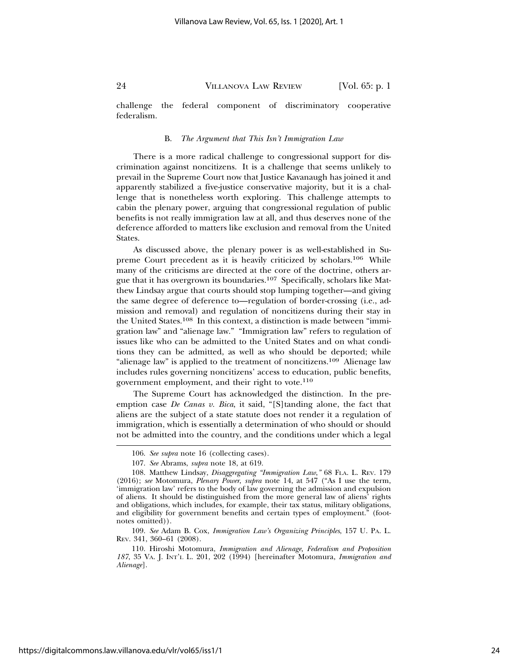challenge the federal component of discriminatory cooperative federalism.

### B. *The Argument that This Isn't Immigration Law*

There is a more radical challenge to congressional support for discrimination against noncitizens. It is a challenge that seems unlikely to prevail in the Supreme Court now that Justice Kavanaugh has joined it and apparently stabilized a five-justice conservative majority, but it is a challenge that is nonetheless worth exploring. This challenge attempts to cabin the plenary power, arguing that congressional regulation of public benefits is not really immigration law at all, and thus deserves none of the deference afforded to matters like exclusion and removal from the United States.

As discussed above, the plenary power is as well-established in Supreme Court precedent as it is heavily criticized by scholars.106 While many of the criticisms are directed at the core of the doctrine, others argue that it has overgrown its boundaries.107 Specifically, scholars like Matthew Lindsay argue that courts should stop lumping together—and giving the same degree of deference to—regulation of border-crossing (i.e., admission and removal) and regulation of noncitizens during their stay in the United States.108 In this context, a distinction is made between "immigration law" and "alienage law." "Immigration law" refers to regulation of issues like who can be admitted to the United States and on what conditions they can be admitted, as well as who should be deported; while "alienage law" is applied to the treatment of noncitizens.109 Alienage law includes rules governing noncitizens' access to education, public benefits, government employment, and their right to vote.110

The Supreme Court has acknowledged the distinction. In the preemption case *De Canas v. Bica*, it said, "[S]tanding alone, the fact that aliens are the subject of a state statute does not render it a regulation of immigration, which is essentially a determination of who should or should not be admitted into the country, and the conditions under which a legal

<sup>106.</sup> *See supra* note 16 (collecting cases).

<sup>107.</sup> *See* Abrams, *supra* note 18, at 619.

<sup>108.</sup> Matthew Lindsay, *Disaggregating "Immigration Law*,*"* 68 FLA. L. REV. 179 (2016); *see* Motomura, *Plenary Power*, *supra* note 14, at 547 ("As I use the term, 'immigration law' refers to the body of law governing the admission and expulsion of aliens. It should be distinguished from the more general law of aliens' rights and obligations, which includes, for example, their tax status, military obligations, and eligibility for government benefits and certain types of employment." (footnotes omitted)).

<sup>109.</sup> *See* Adam B. Cox, *Immigration Law's Organizing Principles*, 157 U. PA. L. REV. 341, 360–61 (2008).

<sup>110.</sup> Hiroshi Motomura, *Immigration and Alienage, Federalism and Proposition 187*, 35 VA. J. INT'L L. 201, 202 (1994) [hereinafter Motomura, *Immigration and Alienage*].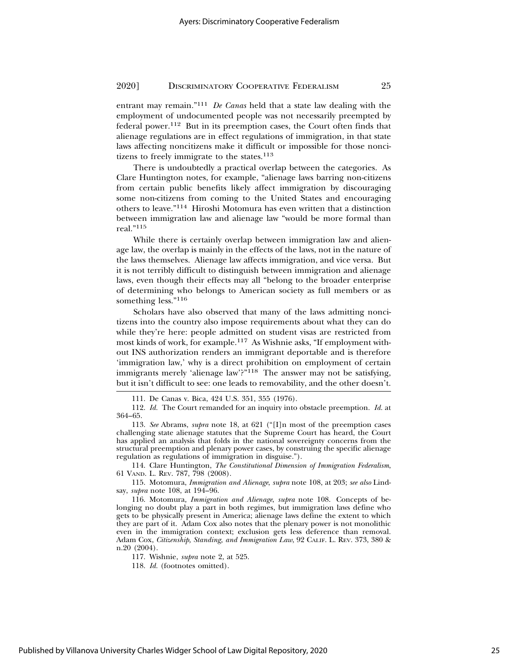entrant may remain."111 *De Canas* held that a state law dealing with the employment of undocumented people was not necessarily preempted by federal power.112 But in its preemption cases, the Court often finds that alienage regulations are in effect regulations of immigration, in that state laws affecting noncitizens make it difficult or impossible for those noncitizens to freely immigrate to the states.<sup>113</sup>

There is undoubtedly a practical overlap between the categories. As Clare Huntington notes, for example, "alienage laws barring non-citizens from certain public benefits likely affect immigration by discouraging some non-citizens from coming to the United States and encouraging others to leave."114 Hiroshi Motomura has even written that a distinction between immigration law and alienage law "would be more formal than real."<sup>115</sup>

While there is certainly overlap between immigration law and alienage law, the overlap is mainly in the effects of the laws, not in the nature of the laws themselves. Alienage law affects immigration, and vice versa. But it is not terribly difficult to distinguish between immigration and alienage laws, even though their effects may all "belong to the broader enterprise of determining who belongs to American society as full members or as something less."116

Scholars have also observed that many of the laws admitting noncitizens into the country also impose requirements about what they can do while they're here: people admitted on student visas are restricted from most kinds of work, for example.117 As Wishnie asks, "If employment without INS authorization renders an immigrant deportable and is therefore 'immigration law,' why is a direct prohibition on employment of certain immigrants merely 'alienage law'?"118 The answer may not be satisfying, but it isn't difficult to see: one leads to removability, and the other doesn't.

114. Clare Huntington, *The Constitutional Dimension of Immigration Federalism*, 61 VAND. L. REV. 787, 798 (2008).

115. Motomura, *Immigration and Alienage*, *supra* note 108, at 203; *see also* Lindsay, *supra* note 108, at 194–96.

116. Motomura*, Immigration and Alienage*, *supra* note 108. Concepts of belonging no doubt play a part in both regimes, but immigration laws define who gets to be physically present in America; alienage laws define the extent to which they are part of it. Adam Cox also notes that the plenary power is not monolithic even in the immigration context; exclusion gets less deference than removal. Adam Cox, *Citizenship, Standing, and Immigration Law*, 92 CALIF. L. REV. 373, 380 & n.20 (2004).

117. Wishnie, *supra* note 2, at 525.

118. *Id.* (footnotes omitted).

<sup>111.</sup> De Canas v. Bica, 424 U.S. 351, 355 (1976).

<sup>112.</sup> *Id.* The Court remanded for an inquiry into obstacle preemption. *Id.* at 364–65.

<sup>113.</sup> *See* Abrams, *supra* note 18, at 621 ("[I]n most of the preemption cases challenging state alienage statutes that the Supreme Court has heard, the Court has applied an analysis that folds in the national sovereignty concerns from the structural preemption and plenary power cases, by construing the specific alienage regulation as regulations of immigration in disguise.").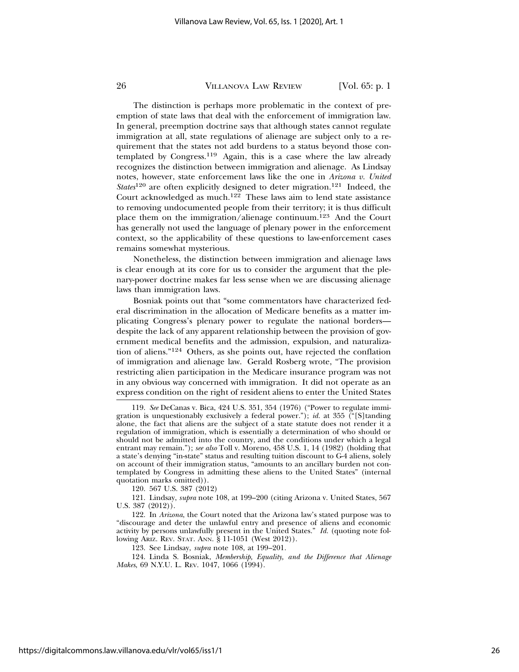The distinction is perhaps more problematic in the context of preemption of state laws that deal with the enforcement of immigration law. In general, preemption doctrine says that although states cannot regulate immigration at all, state regulations of alienage are subject only to a requirement that the states not add burdens to a status beyond those contemplated by Congress.119 Again, this is a case where the law already recognizes the distinction between immigration and alienage. As Lindsay notes, however, state enforcement laws like the one in *Arizona v. United States*<sup>120</sup> are often explicitly designed to deter migration.<sup>121</sup> Indeed, the Court acknowledged as much.122 These laws aim to lend state assistance to removing undocumented people from their territory; it is thus difficult place them on the immigration/alienage continuum.123 And the Court has generally not used the language of plenary power in the enforcement context, so the applicability of these questions to law-enforcement cases remains somewhat mysterious.

Nonetheless, the distinction between immigration and alienage laws is clear enough at its core for us to consider the argument that the plenary-power doctrine makes far less sense when we are discussing alienage laws than immigration laws.

Bosniak points out that "some commentators have characterized federal discrimination in the allocation of Medicare benefits as a matter implicating Congress's plenary power to regulate the national borders despite the lack of any apparent relationship between the provision of government medical benefits and the admission, expulsion, and naturalization of aliens."124 Others, as she points out, have rejected the conflation of immigration and alienage law. Gerald Rosberg wrote, "The provision restricting alien participation in the Medicare insurance program was not in any obvious way concerned with immigration. It did not operate as an express condition on the right of resident aliens to enter the United States

120. 567 U.S. 387 (2012)

121. Lindsay, *supra* note 108, at 199–200 (citing Arizona v. United States, 567 U.S. 387 (2012)).

122. In *Arizona*, the Court noted that the Arizona law's stated purpose was to "discourage and deter the unlawful entry and presence of aliens and economic activity by persons unlawfully present in the United States." *Id.* (quoting note following ARIZ. REV. STAT. ANN. § 11-1051 (West 2012)).

123. See Lindsay, *supra* note 108, at 199–201.

124. Linda S. Bosniak, *Membership, Equality, and the Difference that Alienage Makes*, 69 N.Y.U. L. REV. 1047, 1066 (1994).

<sup>119.</sup> *See* DeCanas v. Bica, 424 U.S. 351, 354 (1976) ("Power to regulate immigration is unquestionably exclusively a federal power."); *id.* at 355 ("[S]tanding alone, the fact that aliens are the subject of a state statute does not render it a regulation of immigration, which is essentially a determination of who should or should not be admitted into the country, and the conditions under which a legal entrant may remain."); *see also* Toll v. Moreno, 458 U.S. 1, 14 (1982) (holding that a state's denying "in-state" status and resulting tuition discount to G-4 aliens, solely on account of their immigration status, "amounts to an ancillary burden not contemplated by Congress in admitting these aliens to the United States" (internal quotation marks omitted)).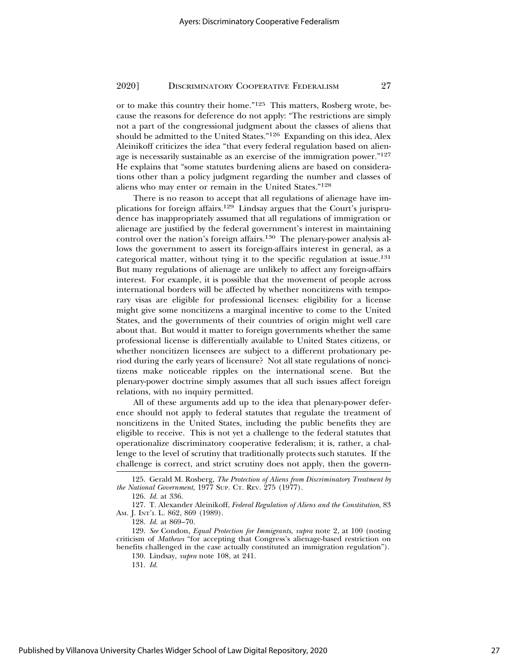or to make this country their home."125 This matters, Rosberg wrote, because the reasons for deference do not apply: "The restrictions are simply not a part of the congressional judgment about the classes of aliens that should be admitted to the United States."126 Expanding on this idea, Alex Aleinikoff criticizes the idea "that every federal regulation based on alienage is necessarily sustainable as an exercise of the immigration power.<sup>"127</sup> He explains that "some statutes burdening aliens are based on considerations other than a policy judgment regarding the number and classes of aliens who may enter or remain in the United States."128

There is no reason to accept that all regulations of alienage have implications for foreign affairs.129 Lindsay argues that the Court's jurisprudence has inappropriately assumed that all regulations of immigration or alienage are justified by the federal government's interest in maintaining control over the nation's foreign affairs.130 The plenary-power analysis allows the government to assert its foreign-affairs interest in general, as a categorical matter, without tying it to the specific regulation at issue.<sup>131</sup> But many regulations of alienage are unlikely to affect any foreign-affairs interest. For example, it is possible that the movement of people across international borders will be affected by whether noncitizens with temporary visas are eligible for professional licenses: eligibility for a license might give some noncitizens a marginal incentive to come to the United States, and the governments of their countries of origin might well care about that. But would it matter to foreign governments whether the same professional license is differentially available to United States citizens, or whether noncitizen licensees are subject to a different probationary period during the early years of licensure? Not all state regulations of noncitizens make noticeable ripples on the international scene. But the plenary-power doctrine simply assumes that all such issues affect foreign relations, with no inquiry permitted.

All of these arguments add up to the idea that plenary-power deference should not apply to federal statutes that regulate the treatment of noncitizens in the United States, including the public benefits they are eligible to receive. This is not yet a challenge to the federal statutes that operationalize discriminatory cooperative federalism; it is, rather, a challenge to the level of scrutiny that traditionally protects such statutes. If the challenge is correct, and strict scrutiny does not apply, then the govern-

126. *Id.* at 336.

127. T. Alexander Aleinikoff, *Federal Regulation of Aliens and the Constitution*, 83 AM. J. INT'L L. 862, 869 (1989).

129. *See* Condon, *Equal Protection for Immigrants*, *supra* note 2, at 100 (noting criticism of *Mathews* "for accepting that Congress's alienage-based restriction on benefits challenged in the case actually constituted an immigration regulation").

<sup>125.</sup> Gerald M. Rosberg, *The Protection of Aliens from Discriminatory Treatment by the National Government*, 1977 SUP. CT. REV. 275 (1977).

<sup>128.</sup> *Id.* at 869–70.

<sup>130.</sup> Lindsay, *supra* note 108, at 241.

<sup>131.</sup> *Id.*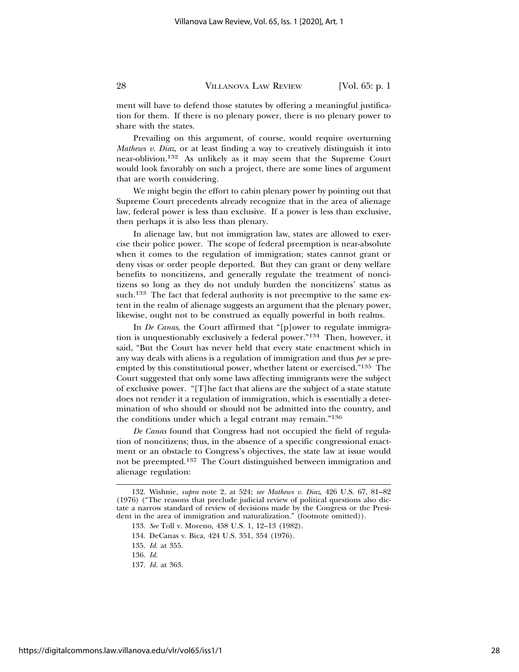ment will have to defend those statutes by offering a meaningful justification for them. If there is no plenary power, there is no plenary power to share with the states.

Prevailing on this argument, of course, would require overturning *Mathews v. Diaz*, or at least finding a way to creatively distinguish it into near-oblivion.132 As unlikely as it may seem that the Supreme Court would look favorably on such a project, there are some lines of argument that are worth considering.

We might begin the effort to cabin plenary power by pointing out that Supreme Court precedents already recognize that in the area of alienage law, federal power is less than exclusive. If a power is less than exclusive, then perhaps it is also less than plenary.

In alienage law, but not immigration law, states are allowed to exercise their police power. The scope of federal preemption is near-absolute when it comes to the regulation of immigration; states cannot grant or deny visas or order people deported. But they can grant or deny welfare benefits to noncitizens, and generally regulate the treatment of noncitizens so long as they do not unduly burden the noncitizens' status as such.<sup>133</sup> The fact that federal authority is not preemptive to the same extent in the realm of alienage suggests an argument that the plenary power, likewise, ought not to be construed as equally powerful in both realms.

In *De Canas*, the Court affirmed that "[p]ower to regulate immigration is unquestionably exclusively a federal power."134 Then, however, it said, "But the Court has never held that every state enactment which in any way deals with aliens is a regulation of immigration and thus *per se* preempted by this constitutional power, whether latent or exercised."135 The Court suggested that only some laws affecting immigrants were the subject of exclusive power. "[T]he fact that aliens are the subject of a state statute does not render it a regulation of immigration, which is essentially a determination of who should or should not be admitted into the country, and the conditions under which a legal entrant may remain."136

*De Canas* found that Congress had not occupied the field of regulation of noncitizens; thus, in the absence of a specific congressional enactment or an obstacle to Congress's objectives, the state law at issue would not be preempted.137 The Court distinguished between immigration and alienage regulation:

<sup>132.</sup> Wishnie, *supra* note 2, at 524; *see Mathews v. Diaz*, 426 U.S. 67, 81–82 (1976) ("The reasons that preclude judicial review of political questions also dictate a narrow standard of review of decisions made by the Congress or the President in the area of immigration and naturalization." (footnote omitted)).

<sup>133.</sup> *See* Toll v. Moreno, 458 U.S. 1, 12–13 (1982).

<sup>134.</sup> DeCanas v. Bica, 424 U.S. 351, 354 (1976).

<sup>135.</sup> *Id.* at 355.

<sup>136.</sup> *Id.*

<sup>137.</sup> *Id.* at 363.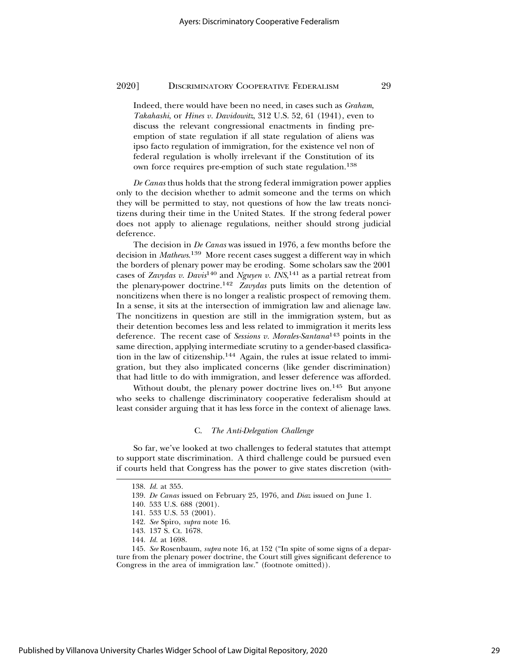Indeed, there would have been no need, in cases such as *Graham*, *Takahashi*, or *Hines v. Davidowitz*, 312 U.S. 52, 61 (1941), even to discuss the relevant congressional enactments in finding preemption of state regulation if all state regulation of aliens was ipso facto regulation of immigration, for the existence vel non of federal regulation is wholly irrelevant if the Constitution of its own force requires pre-emption of such state regulation.138

*De Canas* thus holds that the strong federal immigration power applies only to the decision whether to admit someone and the terms on which they will be permitted to stay, not questions of how the law treats noncitizens during their time in the United States. If the strong federal power does not apply to alienage regulations, neither should strong judicial deference.

The decision in *De Canas* was issued in 1976, a few months before the decision in *Mathews*. 139 More recent cases suggest a different way in which the borders of plenary power may be eroding. Some scholars saw the 2001 cases of *Zavydas v. Davis*140 and *Nguyen v. INS*, 141 as a partial retreat from the plenary-power doctrine.142 *Zavydas* puts limits on the detention of noncitizens when there is no longer a realistic prospect of removing them. In a sense, it sits at the intersection of immigration law and alienage law. The noncitizens in question are still in the immigration system, but as their detention becomes less and less related to immigration it merits less deference. The recent case of *Sessions v. Morales-Santana*143 points in the same direction, applying intermediate scrutiny to a gender-based classification in the law of citizenship.144 Again, the rules at issue related to immigration, but they also implicated concerns (like gender discrimination) that had little to do with immigration, and lesser deference was afforded.

Without doubt, the plenary power doctrine lives on.<sup>145</sup> But anyone who seeks to challenge discriminatory cooperative federalism should at least consider arguing that it has less force in the context of alienage laws.

### C. *The Anti-Delegation Challenge*

So far, we've looked at two challenges to federal statutes that attempt to support state discrimination. A third challenge could be pursued even if courts held that Congress has the power to give states discretion (with-

<sup>138.</sup> *Id.* at 355.

<sup>139.</sup> *De Canas* issued on February 25, 1976, and *Diaz* issued on June 1.

<sup>140. 533</sup> U.S. 688 (2001).

<sup>141. 533</sup> U.S. 53 (2001).

<sup>142.</sup> *See* Spiro, *supra* note 16.

<sup>143. 137</sup> S. Ct. 1678.

<sup>144.</sup> *Id.* at 1698.

<sup>145.</sup> *See* Rosenbaum, *supra* note 16, at 152 ("In spite of some signs of a departure from the plenary power doctrine, the Court still gives significant deference to Congress in the area of immigration law." (footnote omitted)).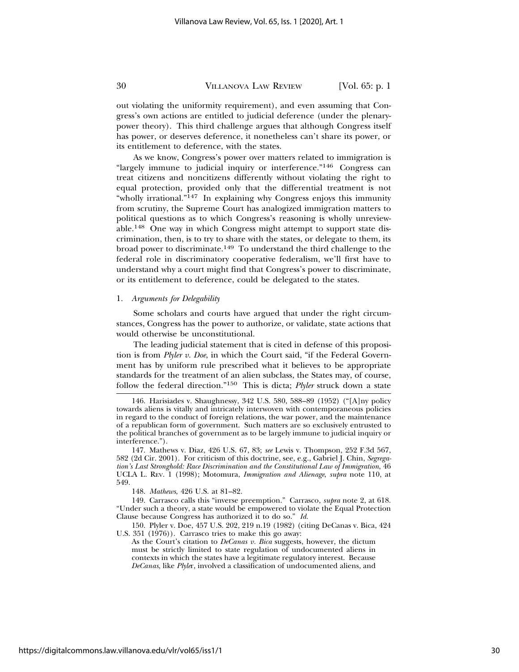out violating the uniformity requirement), and even assuming that Congress's own actions are entitled to judicial deference (under the plenarypower theory). This third challenge argues that although Congress itself has power, or deserves deference, it nonetheless can't share its power, or its entitlement to deference, with the states.

As we know, Congress's power over matters related to immigration is "largely immune to judicial inquiry or interference."<sup>146</sup> Congress can treat citizens and noncitizens differently without violating the right to equal protection, provided only that the differential treatment is not "wholly irrational."147 In explaining why Congress enjoys this immunity from scrutiny, the Supreme Court has analogized immigration matters to political questions as to which Congress's reasoning is wholly unreviewable.148 One way in which Congress might attempt to support state discrimination, then, is to try to share with the states, or delegate to them, its broad power to discriminate.149 To understand the third challenge to the federal role in discriminatory cooperative federalism, we'll first have to understand why a court might find that Congress's power to discriminate, or its entitlement to deference, could be delegated to the states.

### 1. *Arguments for Delegability*

Some scholars and courts have argued that under the right circumstances, Congress has the power to authorize, or validate, state actions that would otherwise be unconstitutional.

The leading judicial statement that is cited in defense of this proposition is from *Plyler v. Doe*, in which the Court said, "if the Federal Government has by uniform rule prescribed what it believes to be appropriate standards for the treatment of an alien subclass, the States may, of course, follow the federal direction."150 This is dicta; *Plyler* struck down a state

148. *Mathews*, 426 U.S. at 81–82.

<sup>146.</sup> Harisiades v. Shaughnessy, 342 U.S. 580, 588–89 (1952) ("[A]ny policy towards aliens is vitally and intricately interwoven with contemporaneous policies in regard to the conduct of foreign relations, the war power, and the maintenance of a republican form of government. Such matters are so exclusively entrusted to the political branches of government as to be largely immune to judicial inquiry or interference.").

<sup>147.</sup> Mathews v. Diaz, 426 U.S. 67, 83; *see* Lewis v. Thompson, 252 F.3d 567, 582 (2d Cir. 2001). For criticism of this doctrine, see, e.g., Gabriel J. Chin, *Segregation's Last Stronghold: Race Discrimination and the Constitutional Law of Immigration*, 46 UCLA L. REV. 1 (1998); Motomura, *Immigration and Alienage*, *supra* note 110, at 549.

<sup>149.</sup> Carrasco calls this "inverse preemption." Carrasco, *supra* note 2, at 618. "Under such a theory, a state would be empowered to violate the Equal Protection Clause because Congress has authorized it to do so." *Id.*

<sup>150.</sup> Plyler v. Doe, 457 U.S. 202, 219 n.19 (1982) (citing DeCanas v. Bica, 424 U.S. 351 (1976)). Carrasco tries to make this go away:

As the Court's citation to *DeCanas v. Bica* suggests, however, the dictum must be strictly limited to state regulation of undocumented aliens in contexts in which the states have a legitimate regulatory interest. Because *DeCanas*, like *Plyle*r, involved a classification of undocumented aliens, and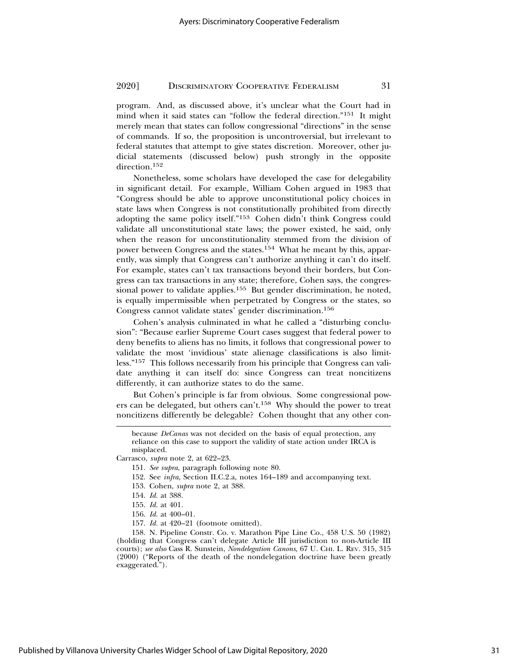program. And, as discussed above, it's unclear what the Court had in mind when it said states can "follow the federal direction."151 It might merely mean that states can follow congressional "directions" in the sense of commands. If so, the proposition is uncontroversial, but irrelevant to federal statutes that attempt to give states discretion. Moreover, other judicial statements (discussed below) push strongly in the opposite direction.<sup>152</sup>

Nonetheless, some scholars have developed the case for delegability in significant detail. For example, William Cohen argued in 1983 that "Congress should be able to approve unconstitutional policy choices in state laws when Congress is not constitutionally prohibited from directly adopting the same policy itself."153 Cohen didn't think Congress could validate all unconstitutional state laws; the power existed, he said, only when the reason for unconstitutionality stemmed from the division of power between Congress and the states.154 What he meant by this, apparently, was simply that Congress can't authorize anything it can't do itself. For example, states can't tax transactions beyond their borders, but Congress can tax transactions in any state; therefore, Cohen says, the congressional power to validate applies.<sup>155</sup> But gender discrimination, he noted, is equally impermissible when perpetrated by Congress or the states, so Congress cannot validate states' gender discrimination.156

Cohen's analysis culminated in what he called a "disturbing conclusion": "Because earlier Supreme Court cases suggest that federal power to deny benefits to aliens has no limits, it follows that congressional power to validate the most 'invidious' state alienage classifications is also limitless."157 This follows necessarily from his principle that Congress can validate anything it can itself do: since Congress can treat noncitizens differently, it can authorize states to do the same.

But Cohen's principle is far from obvious. Some congressional powers can be delegated, but others can't.158 Why should the power to treat noncitizens differently be delegable? Cohen thought that any other con-

153. Cohen, *supra* note 2, at 388.

because *DeCanas* was not decided on the basis of equal protection, any reliance on this case to support the validity of state action under IRCA is misplaced.

Carrasco, *supra* note 2, at 622–23.

<sup>151.</sup> *See supra*, paragraph following note 80.

<sup>152.</sup> See *infra*, Section II.C.2.a, notes 164–189 and accompanying text.

<sup>154.</sup> *Id.* at 388.

<sup>155.</sup> *Id.* at 401.

<sup>156.</sup> *Id.* at 400–01.

<sup>157.</sup> *Id.* at 420–21 (footnote omitted).

<sup>158.</sup> N. Pipeline Constr. Co. v. Marathon Pipe Line Co., 458 U.S. 50 (1982) (holding that Congress can't delegate Article III jurisdiction to non-Article III courts); *see also* Cass R. Sunstein, *Nondelegation Canons*, 67 U. CHI. L. REV. 315, 315 (2000) ("Reports of the death of the nondelegation doctrine have been greatly exaggerated.").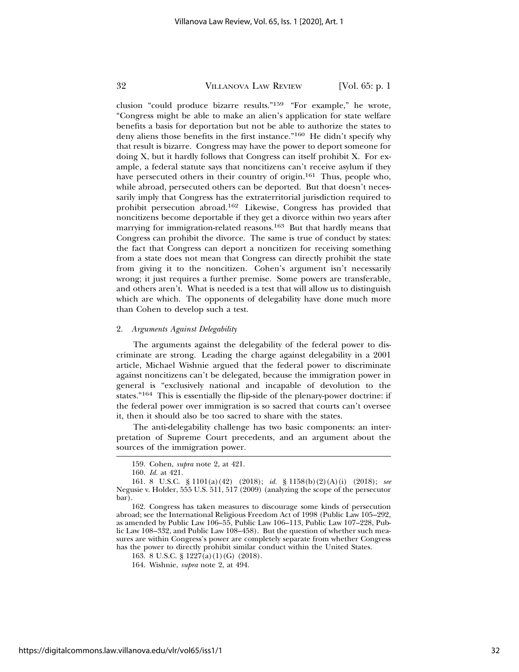clusion "could produce bizarre results."<sup>159</sup> "For example," he wrote, "Congress might be able to make an alien's application for state welfare benefits a basis for deportation but not be able to authorize the states to deny aliens those benefits in the first instance."160 He didn't specify why that result is bizarre. Congress may have the power to deport someone for doing X, but it hardly follows that Congress can itself prohibit X. For example, a federal statute says that noncitizens can't receive asylum if they have persecuted others in their country of origin.161 Thus, people who, while abroad, persecuted others can be deported. But that doesn't necessarily imply that Congress has the extraterritorial jurisdiction required to prohibit persecution abroad.162 Likewise, Congress has provided that noncitizens become deportable if they get a divorce within two years after marrying for immigration-related reasons.163 But that hardly means that Congress can prohibit the divorce. The same is true of conduct by states: the fact that Congress can deport a noncitizen for receiving something from a state does not mean that Congress can directly prohibit the state from giving it to the noncitizen. Cohen's argument isn't necessarily wrong; it just requires a further premise. Some powers are transferable, and others aren't. What is needed is a test that will allow us to distinguish which are which. The opponents of delegability have done much more than Cohen to develop such a test.

### 2. *Arguments Against Delegability*

The arguments against the delegability of the federal power to discriminate are strong. Leading the charge against delegability in a 2001 article, Michael Wishnie argued that the federal power to discriminate against noncitizens can't be delegated, because the immigration power in general is "exclusively national and incapable of devolution to the states."164 This is essentially the flip-side of the plenary-power doctrine: if the federal power over immigration is so sacred that courts can't oversee it, then it should also be too sacred to share with the states.

The anti-delegability challenge has two basic components: an interpretation of Supreme Court precedents, and an argument about the sources of the immigration power.

162. Congress has taken measures to discourage some kinds of persecution abroad; see the International Religious Freedom Act of 1998 (Public Law 105–292, as amended by Public Law 106–55, Public Law 106–113, Public Law 107–228, Public Law 108–332, and Public Law 108–458). But the question of whether such measures are within Congress's power are completely separate from whether Congress has the power to directly prohibit similar conduct within the United States.

163. 8 U.S.C. § 1227(a)(1)(G) (2018).

<sup>159.</sup> Cohen, *supra* note 2, at 421.

<sup>160.</sup> *Id.* at 421.

<sup>161. 8</sup> U.S.C. § 1101(a)(42) (2018); *id.* § 1158(b)(2)(A)(i) (2018); *see* Negusie v. Holder, 555 U.S. 511, 517 (2009) (analyzing the scope of the persecutor bar).

<sup>164.</sup> Wishnie, *supra* note 2, at 494.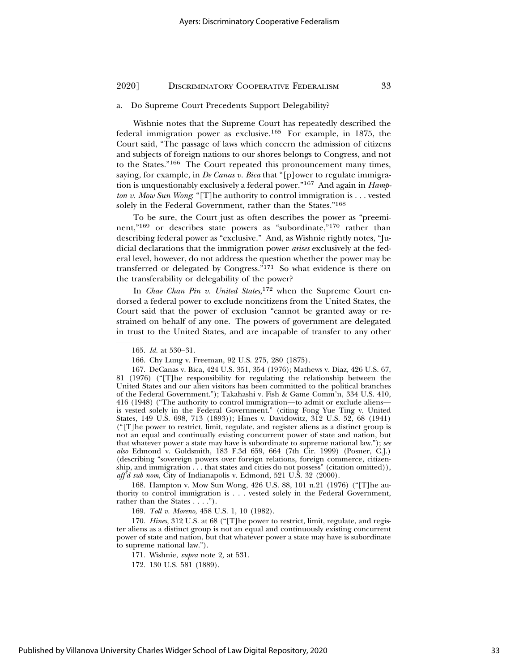## a. Do Supreme Court Precedents Support Delegability?

Wishnie notes that the Supreme Court has repeatedly described the federal immigration power as exclusive.165 For example, in 1875, the Court said, "The passage of laws which concern the admission of citizens and subjects of foreign nations to our shores belongs to Congress, and not to the States."166 The Court repeated this pronouncement many times, saying, for example, in *De Canas v. Bica* that "[p]ower to regulate immigration is unquestionably exclusively a federal power."167 And again in *Hampton v. Mow Sun Wong*: "[T]he authority to control immigration is . . . vested solely in the Federal Government, rather than the States."168

To be sure, the Court just as often describes the power as "preeminent,"169 or describes state powers as "subordinate,"170 rather than describing federal power as "exclusive." And, as Wishnie rightly notes, "Judicial declarations that the immigration power *arises* exclusively at the federal level, however, do not address the question whether the power may be transferred or delegated by Congress."171 So what evidence is there on the transferability or delegability of the power?

In *Chae Chan Pin v. United States*, 172 when the Supreme Court endorsed a federal power to exclude noncitizens from the United States, the Court said that the power of exclusion "cannot be granted away or restrained on behalf of any one. The powers of government are delegated in trust to the United States, and are incapable of transfer to any other

168. Hampton v. Mow Sun Wong, 426 U.S. 88, 101 n.21 (1976) ("[T]he authority to control immigration is . . . vested solely in the Federal Government, rather than the States . . . .").

169. *Toll v. Moreno*, 458 U.S. 1, 10 (1982).

170. *Hines*, 312 U.S. at 68 ("[T]he power to restrict, limit, regulate, and register aliens as a distinct group is not an equal and continuously existing concurrent power of state and nation, but that whatever power a state may have is subordinate to supreme national law.").

171. Wishnie, *supra* note 2, at 531.

<sup>165.</sup> *Id.* at 530–31.

<sup>166.</sup> Chy Lung v. Freeman, 92 U.S. 275, 280 (1875).

<sup>167.</sup> DeCanas v. Bica, 424 U.S. 351, 354 (1976); Mathews v. Diaz, 426 U.S. 67, 81 (1976) ("[T]he responsibility for regulating the relationship between the United States and our alien visitors has been committed to the political branches of the Federal Government."); Takahashi v. Fish & Game Comm'n, 334 U.S. 410, 416 (1948) ("The authority to control immigration—to admit or exclude aliens is vested solely in the Federal Government." (citing Fong Yue Ting v. United States, 149 U.S. 698, 713 (1893)); Hines v. Davidowitz, 312 U.S. 52, 68 (1941) ("[T]he power to restrict, limit, regulate, and register aliens as a distinct group is not an equal and continually existing concurrent power of state and nation, but that whatever power a state may have is subordinate to supreme national law."); *see also* Edmond v. Goldsmith, 183 F.3d 659, 664 (7th Cir. 1999) (Posner, C.J.) (describing "sovereign powers over foreign relations, foreign commerce, citizenship, and immigration . . . that states and cities do not possess" (citation omitted)), *aff'd sub nom*, City of Indianapolis v. Edmond, 521 U.S. 32 (2000).

<sup>172. 130</sup> U.S. 581 (1889).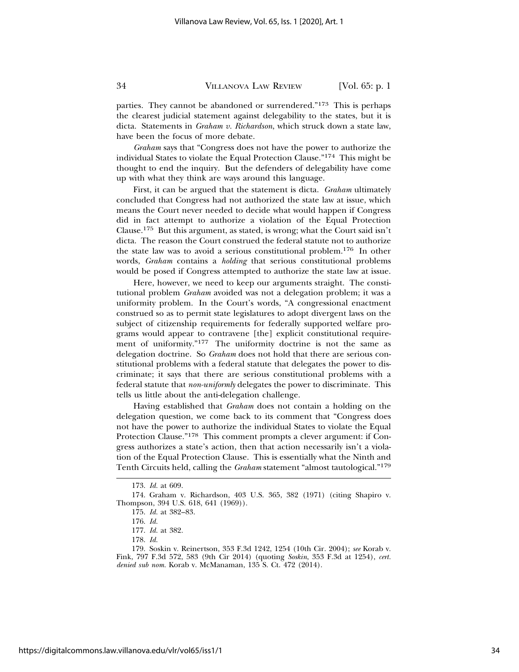parties. They cannot be abandoned or surrendered."173 This is perhaps the clearest judicial statement against delegability to the states, but it is dicta. Statements in *Graham v. Richardson*, which struck down a state law, have been the focus of more debate.

*Graham* says that "Congress does not have the power to authorize the individual States to violate the Equal Protection Clause."174 This might be thought to end the inquiry. But the defenders of delegability have come up with what they think are ways around this language.

First, it can be argued that the statement is dicta. *Graham* ultimately concluded that Congress had not authorized the state law at issue, which means the Court never needed to decide what would happen if Congress did in fact attempt to authorize a violation of the Equal Protection Clause.175 But this argument, as stated, is wrong; what the Court said isn't dicta. The reason the Court construed the federal statute not to authorize the state law was to avoid a serious constitutional problem.176 In other words, *Graham* contains a *holding* that serious constitutional problems would be posed if Congress attempted to authorize the state law at issue.

Here, however, we need to keep our arguments straight. The constitutional problem *Graham* avoided was not a delegation problem; it was a uniformity problem. In the Court's words, "A congressional enactment construed so as to permit state legislatures to adopt divergent laws on the subject of citizenship requirements for federally supported welfare programs would appear to contravene [the] explicit constitutional requirement of uniformity."177 The uniformity doctrine is not the same as delegation doctrine. So *Graham* does not hold that there are serious constitutional problems with a federal statute that delegates the power to discriminate; it says that there are serious constitutional problems with a federal statute that *non-uniformly* delegates the power to discriminate. This tells us little about the anti-delegation challenge.

Having established that *Graham* does not contain a holding on the delegation question, we come back to its comment that "Congress does not have the power to authorize the individual States to violate the Equal Protection Clause."178 This comment prompts a clever argument: if Congress authorizes a state's action, then that action necessarily isn't a violation of the Equal Protection Clause. This is essentially what the Ninth and Tenth Circuits held, calling the *Graham* statement "almost tautological."179

<sup>173.</sup> *Id.* at 609.

<sup>174.</sup> Graham v. Richardson, 403 U.S. 365, 382 (1971) (citing Shapiro v. Thompson, 394 U.S. 618, 641 (1969)).

<sup>175.</sup> *Id.* at 382–83.

<sup>176.</sup> *Id.*

<sup>177.</sup> *Id.* at 382.

<sup>178.</sup> *Id.*

<sup>179.</sup> Soskin v. Reinertson, 353 F.3d 1242, 1254 (10th Cir. 2004); *see* Korab v. Fink, 797 F.3d 572, 583 (9th Cir 2014) (quoting *Soskin*, 353 F.3d at 1254), *cert. denied sub nom.* Korab v. McManaman, 135 S. Ct. 472 (2014).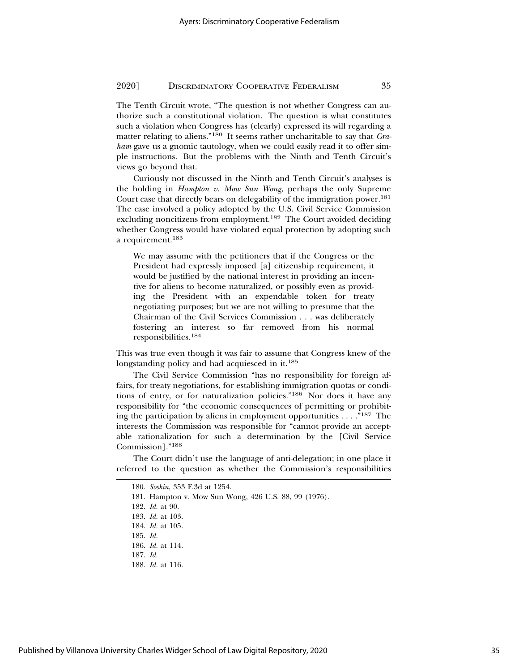The Tenth Circuit wrote, "The question is not whether Congress can authorize such a constitutional violation. The question is what constitutes such a violation when Congress has (clearly) expressed its will regarding a matter relating to aliens."180 It seems rather uncharitable to say that *Graham* gave us a gnomic tautology, when we could easily read it to offer simple instructions. But the problems with the Ninth and Tenth Circuit's views go beyond that.

Curiously not discussed in the Ninth and Tenth Circuit's analyses is the holding in *Hampton v. Mow Sun Wong*, perhaps the only Supreme Court case that directly bears on delegability of the immigration power.181 The case involved a policy adopted by the U.S. Civil Service Commission excluding noncitizens from employment.<sup>182</sup> The Court avoided deciding whether Congress would have violated equal protection by adopting such a requirement.183

We may assume with the petitioners that if the Congress or the President had expressly imposed [a] citizenship requirement, it would be justified by the national interest in providing an incentive for aliens to become naturalized, or possibly even as providing the President with an expendable token for treaty negotiating purposes; but we are not willing to presume that the Chairman of the Civil Services Commission . . . was deliberately fostering an interest so far removed from his normal responsibilities.<sup>184</sup>

This was true even though it was fair to assume that Congress knew of the longstanding policy and had acquiesced in it.<sup>185</sup>

The Civil Service Commission "has no responsibility for foreign affairs, for treaty negotiations, for establishing immigration quotas or conditions of entry, or for naturalization policies."186 Nor does it have any responsibility for "the economic consequences of permitting or prohibiting the participation by aliens in employment opportunities . . . ."187 The interests the Commission was responsible for "cannot provide an acceptable rationalization for such a determination by the [Civil Service Commission]."<sup>188</sup>

The Court didn't use the language of anti-delegation; in one place it referred to the question as whether the Commission's responsibilities

<sup>180.</sup> *Soskin*, 353 F.3d at 1254.

<sup>181.</sup> Hampton v. Mow Sun Wong, 426 U.S. 88, 99 (1976).

<sup>182.</sup> *Id.* at 90.

<sup>183.</sup> *Id.* at 103.

<sup>184.</sup> *Id.* at 105.

<sup>185.</sup> *Id.*

<sup>186.</sup> *Id.* at 114.

<sup>187.</sup> *Id.*

<sup>188.</sup> *Id.* at 116.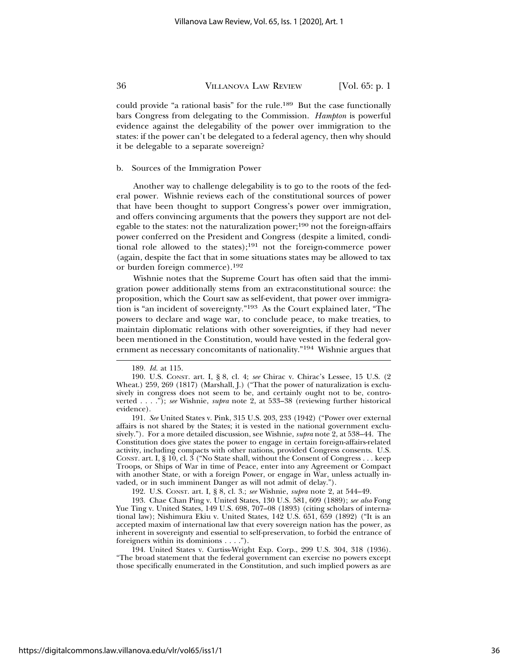could provide "a rational basis" for the rule.189 But the case functionally bars Congress from delegating to the Commission. *Hampton* is powerful evidence against the delegability of the power over immigration to the states: if the power can't be delegated to a federal agency, then why should it be delegable to a separate sovereign?

### b. Sources of the Immigration Power

Another way to challenge delegability is to go to the roots of the federal power. Wishnie reviews each of the constitutional sources of power that have been thought to support Congress's power over immigration, and offers convincing arguments that the powers they support are not delegable to the states: not the naturalization power;<sup>190</sup> not the foreign-affairs power conferred on the President and Congress (despite a limited, conditional role allowed to the states);<sup>191</sup> not the foreign-commerce power (again, despite the fact that in some situations states may be allowed to tax or burden foreign commerce).192

Wishnie notes that the Supreme Court has often said that the immigration power additionally stems from an extraconstitutional source: the proposition, which the Court saw as self-evident, that power over immigration is "an incident of sovereignty."193 As the Court explained later, "The powers to declare and wage war, to conclude peace, to make treaties, to maintain diplomatic relations with other sovereignties, if they had never been mentioned in the Constitution, would have vested in the federal government as necessary concomitants of nationality."194 Wishnie argues that

192. U.S. CONST. art. I, § 8, cl. 3.; *see* Wishnie, *supra* note 2, at 544–49.

193. Chae Chan Ping v. United States, 130 U.S. 581, 609 (1889); *see also* Fong Yue Ting v. United States, 149 U.S. 698, 707-08 (1893) (citing scholars of international law); Nishimura Ekiu v. United States, 142 U.S. 651, 659 (1892) ("It is an accepted maxim of international law that every sovereign nation has the power, as inherent in sovereignty and essential to self-preservation, to forbid the entrance of foreigners within its dominions . . . .").

194. United States v. Curtiss-Wright Exp. Corp., 299 U.S. 304, 318 (1936). "The broad statement that the federal government can exercise no powers except those specifically enumerated in the Constitution, and such implied powers as are

<sup>189.</sup> *Id.* at 115.

<sup>190.</sup> U.S. CONST. art. I, § 8, cl. 4; *see* Chirac v. Chirac's Lessee, 15 U.S. (2 Wheat.) 259, 269 (1817) (Marshall, J.) ("That the power of naturalization is exclusively in congress does not seem to be, and certainly ought not to be, controverted . . . ."); *see* Wishnie, *supra* note 2, at 533–38 (reviewing further historical evidence).

<sup>191.</sup> *See* United States v. Pink, 315 U.S. 203, 233 (1942) ("Power over external affairs is not shared by the States; it is vested in the national government exclusively."). For a more detailed discussion, see Wishnie, *supra* note 2, at 538–44. The Constitution does give states the power to engage in certain foreign-affairs-related activity, including compacts with other nations, provided Congress consents. U.S. CONST. art. I, § 10, cl. 3 ("No State shall, without the Consent of Congress . . . keep Troops, or Ships of War in time of Peace, enter into any Agreement or Compact with another State, or with a foreign Power, or engage in War, unless actually invaded, or in such imminent Danger as will not admit of delay.").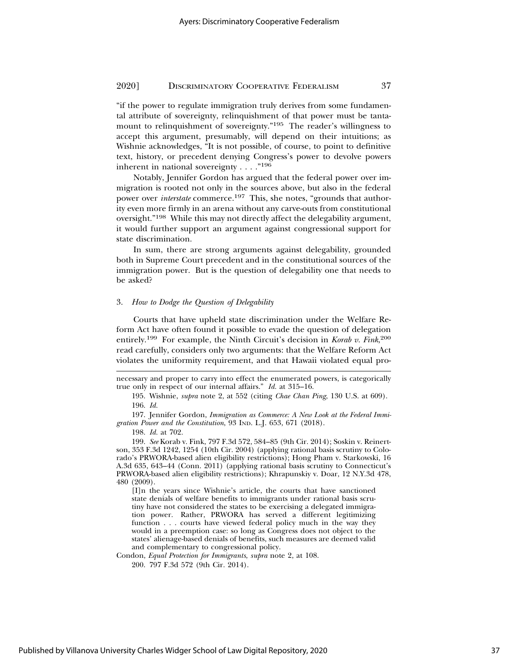"if the power to regulate immigration truly derives from some fundamental attribute of sovereignty, relinquishment of that power must be tantamount to relinquishment of sovereignty."195 The reader's willingness to accept this argument, presumably, will depend on their intuitions; as Wishnie acknowledges, "It is not possible, of course, to point to definitive text, history, or precedent denying Congress's power to devolve powers inherent in national sovereignty  $\dots$ ."<sup>196</sup>

Notably, Jennifer Gordon has argued that the federal power over immigration is rooted not only in the sources above, but also in the federal power over *interstate* commerce.197 This, she notes, "grounds that authority even more firmly in an arena without any carve-outs from constitutional oversight."198 While this may not directly affect the delegability argument, it would further support an argument against congressional support for state discrimination.

In sum, there are strong arguments against delegability, grounded both in Supreme Court precedent and in the constitutional sources of the immigration power. But is the question of delegability one that needs to be asked?

### 3. *How to Dodge the Question of Delegability*

Courts that have upheld state discrimination under the Welfare Reform Act have often found it possible to evade the question of delegation entirely.199 For example, the Ninth Circuit's decision in *Korab v. Fink*, 200 read carefully, considers only two arguments: that the Welfare Reform Act violates the uniformity requirement, and that Hawaii violated equal pro-

necessary and proper to carry into effect the enumerated powers, is categorically true only in respect of our internal affairs." *Id.* at 315–16.

197. Jennifer Gordon, *Immigration as Commerce: A New Look at the Federal Immigration Power and the Constitution*, 93 IND. L.J. 653, 671 (2018).

198. *Id.* at 702.

199. *See* Korab v. Fink, 797 F.3d 572, 584–85 (9th Cir. 2014); Soskin v. Reinertson, 353 F.3d 1242, 1254 (10th Cir. 2004) (applying rational basis scrutiny to Colorado's PRWORA-based alien eligibility restrictions); Hong Pham v. Starkowski, 16 A.3d 635, 643–44 (Conn. 2011) (applying rational basis scrutiny to Connecticut's PRWORA-based alien eligibility restrictions); Khrapunskiy v. Doar, 12 N.Y.3d 478, 480 (2009).

[I]n the years since Wishnie's article, the courts that have sanctioned state denials of welfare benefits to immigrants under rational basis scrutiny have not considered the states to be exercising a delegated immigration power. Rather, PRWORA has served a different legitimizing function . . . courts have viewed federal policy much in the way they would in a preemption case: so long as Congress does not object to the states' alienage-based denials of benefits, such measures are deemed valid and complementary to congressional policy.

Condon, *Equal Protection for Immigrants*, *supra* note 2, at 108. 200. 797 F.3d 572 (9th Cir. 2014).

<sup>195.</sup> Wishnie, *supra* note 2, at 552 (citing *Chae Chan Ping*, 130 U.S. at 609). 196. *Id.*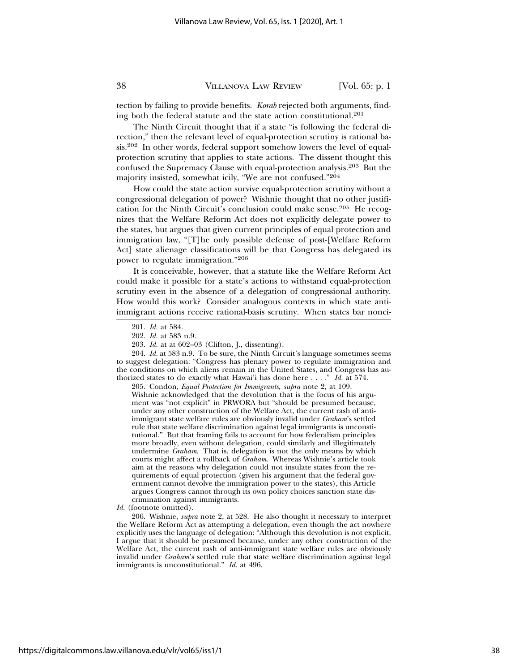tection by failing to provide benefits. *Korab* rejected both arguments, finding both the federal statute and the state action constitutional.201

The Ninth Circuit thought that if a state "is following the federal direction," then the relevant level of equal-protection scrutiny is rational basis.202 In other words, federal support somehow lowers the level of equalprotection scrutiny that applies to state actions. The dissent thought this confused the Supremacy Clause with equal-protection analysis.203 But the majority insisted, somewhat icily, "We are not confused."204

How could the state action survive equal-protection scrutiny without a congressional delegation of power? Wishnie thought that no other justification for the Ninth Circuit's conclusion could make sense.205 He recognizes that the Welfare Reform Act does not explicitly delegate power to the states, but argues that given current principles of equal protection and immigration law, "[T]he only possible defense of post-[Welfare Reform Act] state alienage classifications will be that Congress has delegated its power to regulate immigration."206

It is conceivable, however, that a statute like the Welfare Reform Act could make it possible for a state's actions to withstand equal-protection scrutiny even in the absence of a delegation of congressional authority. How would this work? Consider analogous contexts in which state antiimmigrant actions receive rational-basis scrutiny. When states bar nonci-

204. *Id.* at 583 n.9. To be sure, the Ninth Circuit's language sometimes seems to suggest delegation: "Congress has plenary power to regulate immigration and the conditions on which aliens remain in the United States, and Congress has authorized states to do exactly what Hawai'i has done here . . . ." *Id.* at 574.

205. Condon, *Equal Protection for Immigrants*, *supra* note 2, at 109. Wishnie acknowledged that the devolution that is the focus of his argument was "not explicit" in PRWORA but "should be presumed because, under any other construction of the Welfare Act, the current rash of antiimmigrant state welfare rules are obviously invalid under *Graham*'s settled rule that state welfare discrimination against legal immigrants is unconstitutional." But that framing fails to account for how federalism principles more broadly, even without delegation, could similarly and illegitimately undermine *Graham*. That is, delegation is not the only means by which courts might affect a rollback of *Graham*. Whereas Wishnie's article took aim at the reasons why delegation could not insulate states from the requirements of equal protection (given his argument that the federal government cannot devolve the immigration power to the states), this Article argues Congress cannot through its own policy choices sanction state discrimination against immigrants.

*Id.* (footnote omitted).

206. Wishnie, *supra* note 2, at 528. He also thought it necessary to interpret the Welfare Reform Act as attempting a delegation, even though the act nowhere explicitly uses the language of delegation: "Although this devolution is not explicit, I argue that it should be presumed because, under any other construction of the Welfare Act, the current rash of anti-immigrant state welfare rules are obviously invalid under *Graham*'s settled rule that state welfare discrimination against legal immigrants is unconstitutional." *Id.* at 496.

<sup>201.</sup> *Id.* at 584.

<sup>202.</sup> *Id.* at 583 n.9.

<sup>203.</sup> *Id.* at at 602–03 (Clifton, J., dissenting).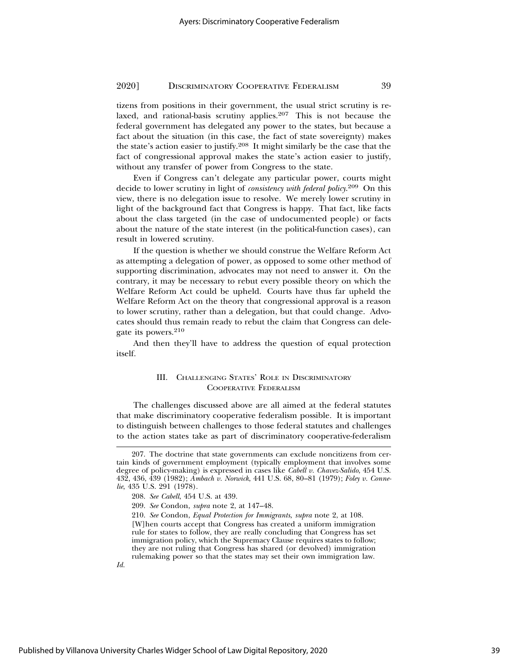tizens from positions in their government, the usual strict scrutiny is relaxed, and rational-basis scrutiny applies.207 This is not because the federal government has delegated any power to the states, but because a fact about the situation (in this case, the fact of state sovereignty) makes the state's action easier to justify.208 It might similarly be the case that the fact of congressional approval makes the state's action easier to justify, without any transfer of power from Congress to the state.

Even if Congress can't delegate any particular power, courts might decide to lower scrutiny in light of *consistency with federal policy*. 209 On this view, there is no delegation issue to resolve. We merely lower scrutiny in light of the background fact that Congress is happy. That fact, like facts about the class targeted (in the case of undocumented people) or facts about the nature of the state interest (in the political-function cases), can result in lowered scrutiny.

If the question is whether we should construe the Welfare Reform Act as attempting a delegation of power, as opposed to some other method of supporting discrimination, advocates may not need to answer it. On the contrary, it may be necessary to rebut every possible theory on which the Welfare Reform Act could be upheld. Courts have thus far upheld the Welfare Reform Act on the theory that congressional approval is a reason to lower scrutiny, rather than a delegation, but that could change. Advocates should thus remain ready to rebut the claim that Congress can delegate its powers.210

And then they'll have to address the question of equal protection itself.

### III. CHALLENGING STATES' ROLE IN DISCRIMINATORY COOPERATIVE FEDERALISM

The challenges discussed above are all aimed at the federal statutes that make discriminatory cooperative federalism possible. It is important to distinguish between challenges to those federal statutes and challenges to the action states take as part of discriminatory cooperative-federalism

210. *See* Condon, *Equal Protection for Immigrants*, *supra* note 2, at 108. [W]hen courts accept that Congress has created a uniform immigration rule for states to follow, they are really concluding that Congress has set immigration policy, which the Supremacy Clause requires states to follow; they are not ruling that Congress has shared (or devolved) immigration rulemaking power so that the states may set their own immigration law.

<sup>207.</sup> The doctrine that state governments can exclude noncitizens from certain kinds of government employment (typically employment that involves some degree of policy-making) is expressed in cases like *Cabell v. Chavez-Salido*, 454 U.S. 432, 436, 439 (1982); *Ambach v. Norwick*, 441 U.S. 68, 80–81 (1979); *Foley v. Connelie*, 435 U.S. 291 (1978).

<sup>208.</sup> *See Cabell*, 454 U.S. at 439.

<sup>209.</sup> *See* Condon, *supra* note 2, at 147–48.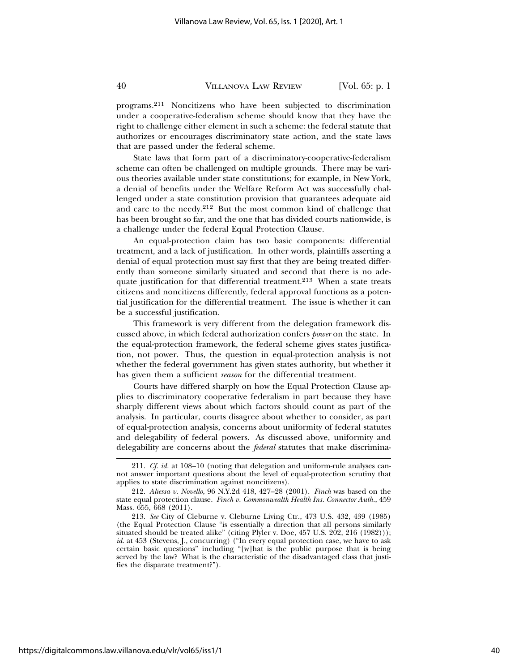programs.211 Noncitizens who have been subjected to discrimination under a cooperative-federalism scheme should know that they have the right to challenge either element in such a scheme: the federal statute that authorizes or encourages discriminatory state action, and the state laws that are passed under the federal scheme.

State laws that form part of a discriminatory-cooperative-federalism scheme can often be challenged on multiple grounds. There may be various theories available under state constitutions; for example, in New York, a denial of benefits under the Welfare Reform Act was successfully challenged under a state constitution provision that guarantees adequate aid and care to the needy.212 But the most common kind of challenge that has been brought so far, and the one that has divided courts nationwide, is a challenge under the federal Equal Protection Clause.

An equal-protection claim has two basic components: differential treatment, and a lack of justification. In other words, plaintiffs asserting a denial of equal protection must say first that they are being treated differently than someone similarly situated and second that there is no adequate justification for that differential treatment.<sup>213</sup> When a state treats citizens and noncitizens differently, federal approval functions as a potential justification for the differential treatment. The issue is whether it can be a successful justification.

This framework is very different from the delegation framework discussed above, in which federal authorization confers *power* on the state. In the equal-protection framework, the federal scheme gives states justification, not power. Thus, the question in equal-protection analysis is not whether the federal government has given states authority, but whether it has given them a sufficient *reason* for the differential treatment.

Courts have differed sharply on how the Equal Protection Clause applies to discriminatory cooperative federalism in part because they have sharply different views about which factors should count as part of the analysis. In particular, courts disagree about whether to consider, as part of equal-protection analysis, concerns about uniformity of federal statutes and delegability of federal powers. As discussed above, uniformity and delegability are concerns about the *federal* statutes that make discrimina-

<sup>211.</sup> *Cf. id.* at 108–10 (noting that delegation and uniform-rule analyses cannot answer important questions about the level of equal-protection scrutiny that applies to state discrimination against noncitizens).

<sup>212.</sup> *Aliessa v. Novello*, 96 N.Y.2d 418, 427–28 (2001). *Finch* was based on the state equal protection clause. *Finch v. Commonwealth Health Ins. Connector Auth.*, 459 Mass. 655, 668 (2011).

<sup>213.</sup> *See* City of Cleburne v. Cleburne Living Ctr., 473 U.S. 432, 439 (1985) (the Equal Protection Clause "is essentially a direction that all persons similarly situated should be treated alike" (citing Plyler v. Doe, 457 U.S. 202, 216 (1982))); *id.* at 453 (Stevens, J., concurring) ("In every equal protection case, we have to ask certain basic questions" including "[w]hat is the public purpose that is being served by the law? What is the characteristic of the disadvantaged class that justifies the disparate treatment?").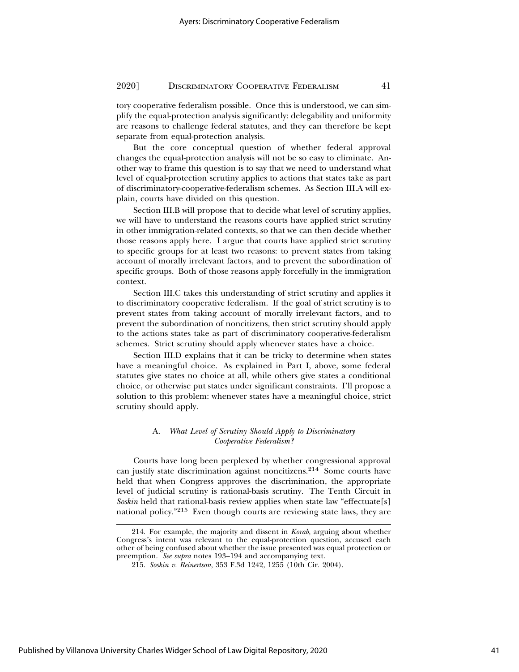tory cooperative federalism possible. Once this is understood, we can simplify the equal-protection analysis significantly: delegability and uniformity are reasons to challenge federal statutes, and they can therefore be kept separate from equal-protection analysis.

But the core conceptual question of whether federal approval changes the equal-protection analysis will not be so easy to eliminate. Another way to frame this question is to say that we need to understand what level of equal-protection scrutiny applies to actions that states take as part of discriminatory-cooperative-federalism schemes. As Section III.A will explain, courts have divided on this question.

Section III.B will propose that to decide what level of scrutiny applies, we will have to understand the reasons courts have applied strict scrutiny in other immigration-related contexts, so that we can then decide whether those reasons apply here. I argue that courts have applied strict scrutiny to specific groups for at least two reasons: to prevent states from taking account of morally irrelevant factors, and to prevent the subordination of specific groups. Both of those reasons apply forcefully in the immigration context.

Section III.C takes this understanding of strict scrutiny and applies it to discriminatory cooperative federalism. If the goal of strict scrutiny is to prevent states from taking account of morally irrelevant factors, and to prevent the subordination of noncitizens, then strict scrutiny should apply to the actions states take as part of discriminatory cooperative-federalism schemes. Strict scrutiny should apply whenever states have a choice.

Section III.D explains that it can be tricky to determine when states have a meaningful choice. As explained in Part I, above, some federal statutes give states no choice at all, while others give states a conditional choice, or otherwise put states under significant constraints. I'll propose a solution to this problem: whenever states have a meaningful choice, strict scrutiny should apply.

### A. *What Level of Scrutiny Should Apply to Discriminatory Cooperative Federalism?*

Courts have long been perplexed by whether congressional approval can justify state discrimination against noncitizens.214 Some courts have held that when Congress approves the discrimination, the appropriate level of judicial scrutiny is rational-basis scrutiny. The Tenth Circuit in *Soskin* held that rational-basis review applies when state law "effectuate<sup>[s]</sup> national policy."215 Even though courts are reviewing state laws, they are

<sup>214.</sup> For example, the majority and dissent in *Korab*, arguing about whether Congress's intent was relevant to the equal-protection question, accused each other of being confused about whether the issue presented was equal protection or preemption. *See supra* notes 193–194 and accompanying text.

<sup>215.</sup> *Soskin v. Reinertson*, 353 F.3d 1242, 1255 (10th Cir. 2004).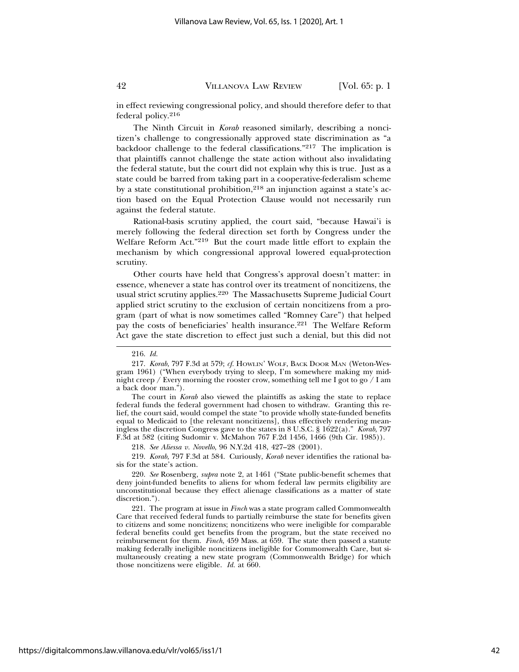in effect reviewing congressional policy, and should therefore defer to that federal policy.216

The Ninth Circuit in *Korab* reasoned similarly, describing a noncitizen's challenge to congressionally approved state discrimination as "a backdoor challenge to the federal classifications."217 The implication is that plaintiffs cannot challenge the state action without also invalidating the federal statute, but the court did not explain why this is true. Just as a state could be barred from taking part in a cooperative-federalism scheme by a state constitutional prohibition, $2^{18}$  an injunction against a state's action based on the Equal Protection Clause would not necessarily run against the federal statute.

Rational-basis scrutiny applied, the court said, "because Hawai'i is merely following the federal direction set forth by Congress under the Welfare Reform Act."219 But the court made little effort to explain the mechanism by which congressional approval lowered equal-protection scrutiny.

Other courts have held that Congress's approval doesn't matter: in essence, whenever a state has control over its treatment of noncitizens, the usual strict scrutiny applies.220 The Massachusetts Supreme Judicial Court applied strict scrutiny to the exclusion of certain noncitizens from a program (part of what is now sometimes called "Romney Care") that helped pay the costs of beneficiaries' health insurance.221 The Welfare Reform Act gave the state discretion to effect just such a denial, but this did not

The court in *Korab* also viewed the plaintiffs as asking the state to replace federal funds the federal government had chosen to withdraw. Granting this relief, the court said, would compel the state "to provide wholly state-funded benefits equal to Medicaid to [the relevant noncitizens], thus effectively rendering meaningless the discretion Congress gave to the states in 8 U.S.C. § 1622(a)." *Korab*, 797 F.3d at 582 (citing Sudomir v. McMahon 767 F.2d 1456, 1466 (9th Cir. 1985)).

218. *See Aliessa v. Novello*, 96 N.Y.2d 418, 427–28 (2001).

219. *Korab*, 797 F.3d at 584. Curiously, *Korab* never identifies the rational basis for the state's action.

<sup>216.</sup> *Id.*

<sup>217.</sup> *Korab*, 797 F.3d at 579; *cf.* HOWLIN' WOLF, BACK DOOR MAN (Weton-Wesgram 1961) ("When everybody trying to sleep, I'm somewhere making my midnight creep / Every morning the rooster crow, something tell me I got to go / I am a back door man.").

<sup>220.</sup> *See* Rosenberg, *supra* note 2, at 1461 ("State public-benefit schemes that deny joint-funded benefits to aliens for whom federal law permits eligibility are unconstitutional because they effect alienage classifications as a matter of state discretion.").

<sup>221.</sup> The program at issue in *Finch* was a state program called Commonwealth Care that received federal funds to partially reimburse the state for benefits given to citizens and some noncitizens; noncitizens who were ineligible for comparable federal benefits could get benefits from the program, but the state received no reimbursement for them. *Finch*, 459 Mass. at 659. The state then passed a statute making federally ineligible noncitizens ineligible for Commonwealth Care, but simultaneously creating a new state program (Commonwealth Bridge) for which those noncitizens were eligible. *Id.* at 660.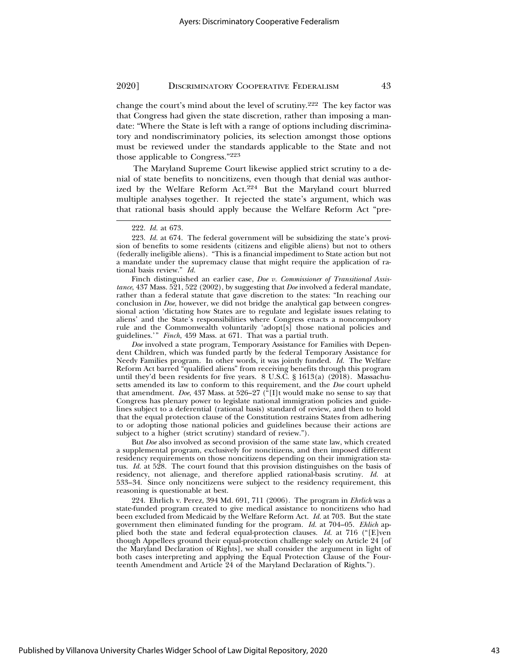change the court's mind about the level of scrutiny.222 The key factor was that Congress had given the state discretion, rather than imposing a mandate: "Where the State is left with a range of options including discriminatory and nondiscriminatory policies, its selection amongst those options must be reviewed under the standards applicable to the State and not those applicable to Congress."223

The Maryland Supreme Court likewise applied strict scrutiny to a denial of state benefits to noncitizens, even though that denial was authorized by the Welfare Reform Act.<sup>224</sup> But the Maryland court blurred multiple analyses together. It rejected the state's argument, which was that rational basis should apply because the Welfare Reform Act "pre-

Finch distinguished an earlier case, *Doe v. Commissioner of Transitional Assistance*, 437 Mass. 521, 522 (2002), by suggesting that *Doe* involved a federal mandate, rather than a federal statute that gave discretion to the states: "In reaching our conclusion in *Doe*, however, we did not bridge the analytical gap between congressional action 'dictating how States are to regulate and legislate issues relating to aliens' and the State's responsibilities where Congress enacts a noncompulsory rule and the Commonwealth voluntarily 'adopt[s] those national policies and guidelines.'" *Finch*, 459 Mass. at 671. That was a partial truth.

*Doe* involved a state program, Temporary Assistance for Families with Dependent Children, which was funded partly by the federal Temporary Assistance for Needy Families program. In other words, it was jointly funded. *Id.* The Welfare Reform Act barred "qualified aliens" from receiving benefits through this program until they'd been residents for five years. 8 U.S.C. § 1613(a) (2018). Massachusetts amended its law to conform to this requirement, and the *Doe* court upheld that amendment. *Doe*, 437 Mass. at 526–27 ("[I]t would make no sense to say that Congress has plenary power to legislate national immigration policies and guidelines subject to a deferential (rational basis) standard of review, and then to hold that the equal protection clause of the Constitution restrains States from adhering to or adopting those national policies and guidelines because their actions are subject to a higher (strict scrutiny) standard of review.").

But *Doe* also involved as second provision of the same state law, which created a supplemental program, exclusively for noncitizens, and then imposed different residency requirements on those noncitizens depending on their immigration status. *Id.* at 528. The court found that this provision distinguishes on the basis of residency, not alienage, and therefore applied rational-basis scrutiny. *Id.* at 533–34. Since only noncitizens were subject to the residency requirement, this reasoning is questionable at best.

224. Ehrlich v. Perez, 394 Md. 691, 711 (2006). The program in *Ehrlich* was a state-funded program created to give medical assistance to noncitizens who had been excluded from Medicaid by the Welfare Reform Act. *Id.* at 703. But the state government then eliminated funding for the program. *Id.* at 704–05. *Ehlich* applied both the state and federal equal-protection clauses. *Id.* at 716 ("[E]ven though Appellees ground their equal-protection challenge solely on Article 24 [of the Maryland Declaration of Rights], we shall consider the argument in light of both cases interpreting and applying the Equal Protection Clause of the Fourteenth Amendment and Article 24 of the Maryland Declaration of Rights.").

Published by Villanova University Charles Widger School of Law Digital Repository, 2020

<sup>222.</sup> *Id.* at 673.

<sup>223.</sup> *Id.* at 674. The federal government will be subsidizing the state's provision of benefits to some residents (citizens and eligible aliens) but not to others (federally ineligible aliens). "This is a financial impediment to State action but not a mandate under the supremacy clause that might require the application of rational basis review." *Id.*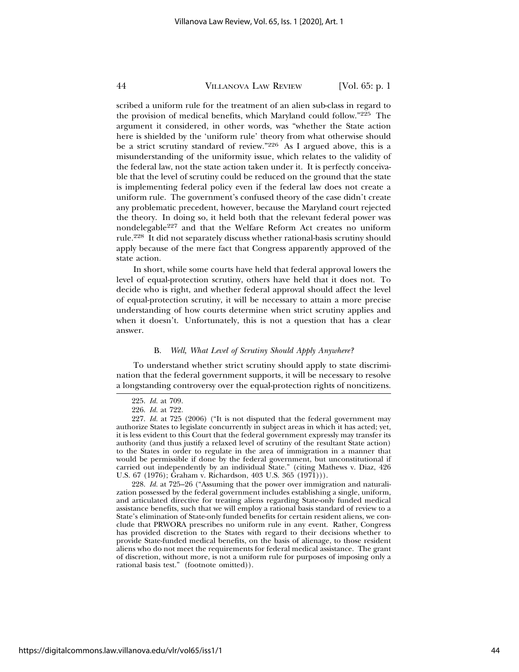scribed a uniform rule for the treatment of an alien sub-class in regard to the provision of medical benefits, which Maryland could follow."225 The argument it considered, in other words, was "whether the State action here is shielded by the 'uniform rule' theory from what otherwise should be a strict scrutiny standard of review."226 As I argued above, this is a misunderstanding of the uniformity issue, which relates to the validity of the federal law, not the state action taken under it. It is perfectly conceivable that the level of scrutiny could be reduced on the ground that the state is implementing federal policy even if the federal law does not create a uniform rule. The government's confused theory of the case didn't create any problematic precedent, however, because the Maryland court rejected the theory. In doing so, it held both that the relevant federal power was nondelegable227 and that the Welfare Reform Act creates no uniform rule.228 It did not separately discuss whether rational-basis scrutiny should apply because of the mere fact that Congress apparently approved of the state action.

In short, while some courts have held that federal approval lowers the level of equal-protection scrutiny, others have held that it does not. To decide who is right, and whether federal approval should affect the level of equal-protection scrutiny, it will be necessary to attain a more precise understanding of how courts determine when strict scrutiny applies and when it doesn't. Unfortunately, this is not a question that has a clear answer.

### B. *Well, What Level of Scrutiny Should Apply Anywhere?*

To understand whether strict scrutiny should apply to state discrimination that the federal government supports, it will be necessary to resolve a longstanding controversy over the equal-protection rights of noncitizens.

228. *Id.* at 725–26 ("Assuming that the power over immigration and naturalization possessed by the federal government includes establishing a single, uniform, and articulated directive for treating aliens regarding State-only funded medical assistance benefits, such that we will employ a rational basis standard of review to a State's elimination of State-only funded benefits for certain resident aliens, we conclude that PRWORA prescribes no uniform rule in any event. Rather, Congress has provided discretion to the States with regard to their decisions whether to provide State-funded medical benefits, on the basis of alienage, to those resident aliens who do not meet the requirements for federal medical assistance. The grant of discretion, without more, is not a uniform rule for purposes of imposing only a rational basis test." (footnote omitted)).

<sup>225.</sup> *Id.* at 709.

<sup>226.</sup> *Id.* at 722.

<sup>227.</sup> *Id.* at 725 (2006) ("It is not disputed that the federal government may authorize States to legislate concurrently in subject areas in which it has acted; yet, it is less evident to this Court that the federal government expressly may transfer its authority (and thus justify a relaxed level of scrutiny of the resultant State action) to the States in order to regulate in the area of immigration in a manner that would be permissible if done by the federal government, but unconstitutional if carried out independently by an individual State." (citing Mathews v. Diaz, 426 U.S. 67 (1976); Graham v. Richardson, 403 U.S. 365 (1971))).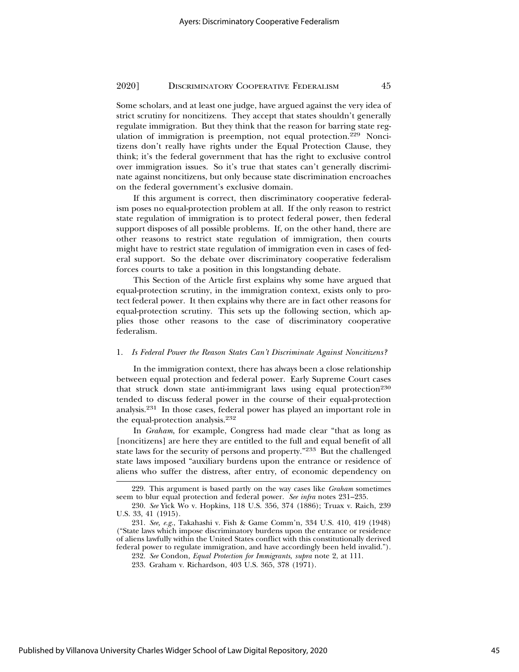Some scholars, and at least one judge, have argued against the very idea of strict scrutiny for noncitizens. They accept that states shouldn't generally regulate immigration. But they think that the reason for barring state regulation of immigration is preemption, not equal protection.229 Noncitizens don't really have rights under the Equal Protection Clause, they think; it's the federal government that has the right to exclusive control over immigration issues. So it's true that states can't generally discriminate against noncitizens, but only because state discrimination encroaches on the federal government's exclusive domain.

If this argument is correct, then discriminatory cooperative federalism poses no equal-protection problem at all. If the only reason to restrict state regulation of immigration is to protect federal power, then federal support disposes of all possible problems. If, on the other hand, there are other reasons to restrict state regulation of immigration, then courts might have to restrict state regulation of immigration even in cases of federal support. So the debate over discriminatory cooperative federalism forces courts to take a position in this longstanding debate.

This Section of the Article first explains why some have argued that equal-protection scrutiny, in the immigration context, exists only to protect federal power. It then explains why there are in fact other reasons for equal-protection scrutiny. This sets up the following section, which applies those other reasons to the case of discriminatory cooperative federalism.

### 1. *Is Federal Power the Reason States Can't Discriminate Against Noncitizens?*

In the immigration context, there has always been a close relationship between equal protection and federal power. Early Supreme Court cases that struck down state anti-immigrant laws using equal protection<sup>230</sup> tended to discuss federal power in the course of their equal-protection analysis.231 In those cases, federal power has played an important role in the equal-protection analysis.232

In *Graham*, for example, Congress had made clear "that as long as [noncitizens] are here they are entitled to the full and equal benefit of all state laws for the security of persons and property."233 But the challenged state laws imposed "auxiliary burdens upon the entrance or residence of aliens who suffer the distress, after entry, of economic dependency on

<sup>229.</sup> This argument is based partly on the way cases like *Graham* sometimes seem to blur equal protection and federal power. *See infra* notes 231–235.

<sup>230.</sup> *See* Yick Wo v. Hopkins, 118 U.S. 356, 374 (1886); Truax v. Raich, 239 U.S. 33, 41 (1915).

<sup>231.</sup> *See, e.g.*, Takahashi v. Fish & Game Comm'n, 334 U.S. 410, 419 (1948) ("State laws which impose discriminatory burdens upon the entrance or residence of aliens lawfully within the United States conflict with this constitutionally derived federal power to regulate immigration, and have accordingly been held invalid.").

<sup>232.</sup> *See* Condon, *Equal Protection for Immigrants*, *supra* note 2, at 111.

<sup>233.</sup> Graham v. Richardson, 403 U.S. 365, 378 (1971).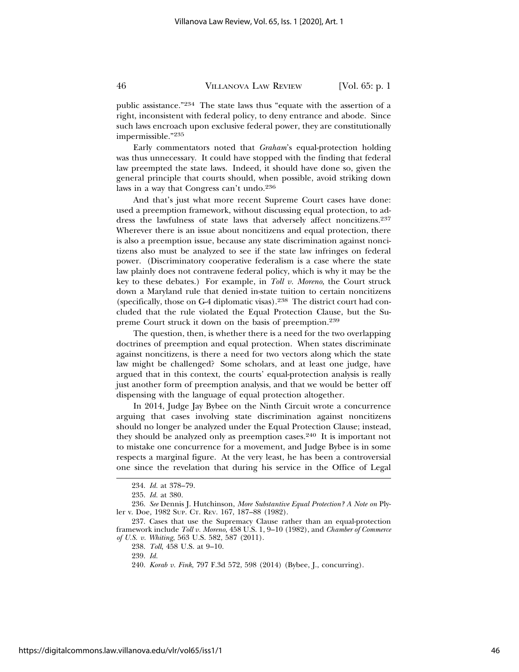public assistance."234 The state laws thus "equate with the assertion of a right, inconsistent with federal policy, to deny entrance and abode. Since such laws encroach upon exclusive federal power, they are constitutionally impermissible."<sup>235</sup>

Early commentators noted that *Graham*'s equal-protection holding was thus unnecessary. It could have stopped with the finding that federal law preempted the state laws. Indeed, it should have done so, given the general principle that courts should, when possible, avoid striking down laws in a way that Congress can't undo.236

And that's just what more recent Supreme Court cases have done: used a preemption framework, without discussing equal protection, to address the lawfulness of state laws that adversely affect noncitizens.237 Wherever there is an issue about noncitizens and equal protection, there is also a preemption issue, because any state discrimination against noncitizens also must be analyzed to see if the state law infringes on federal power. (Discriminatory cooperative federalism is a case where the state law plainly does not contravene federal policy, which is why it may be the key to these debates.) For example, in *Toll v. Moreno*, the Court struck down a Maryland rule that denied in-state tuition to certain noncitizens (specifically, those on G-4 diplomatic visas).238 The district court had concluded that the rule violated the Equal Protection Clause, but the Supreme Court struck it down on the basis of preemption.239

The question, then, is whether there is a need for the two overlapping doctrines of preemption and equal protection. When states discriminate against noncitizens, is there a need for two vectors along which the state law might be challenged? Some scholars, and at least one judge, have argued that in this context, the courts' equal-protection analysis is really just another form of preemption analysis, and that we would be better off dispensing with the language of equal protection altogether.

In 2014, Judge Jay Bybee on the Ninth Circuit wrote a concurrence arguing that cases involving state discrimination against noncitizens should no longer be analyzed under the Equal Protection Clause; instead, they should be analyzed only as preemption cases.240 It is important not to mistake one concurrence for a movement, and Judge Bybee is in some respects a marginal figure. At the very least, he has been a controversial one since the revelation that during his service in the Office of Legal

<sup>234.</sup> *Id.* at 378–79.

<sup>235.</sup> *Id.* at 380.

<sup>236.</sup> *See* Dennis J. Hutchinson, *More Substantive Equal Protection? A Note on* Plyler v. Doe*,* 1982 SUP. CT. REV. 167, 187–88 (1982).

<sup>237.</sup> Cases that use the Supremacy Clause rather than an equal-protection framework include *Toll v. Moreno*, 458 U.S. 1, 9–10 (1982), and *Chamber of Commerce of U.S. v. Whiting*, 563 U.S. 582, 587 (2011).

<sup>238.</sup> *Toll*, 458 U.S. at 9–10.

<sup>239.</sup> *Id.*

<sup>240.</sup> *Korab v. Fink*, 797 F.3d 572, 598 (2014) (Bybee, J., concurring).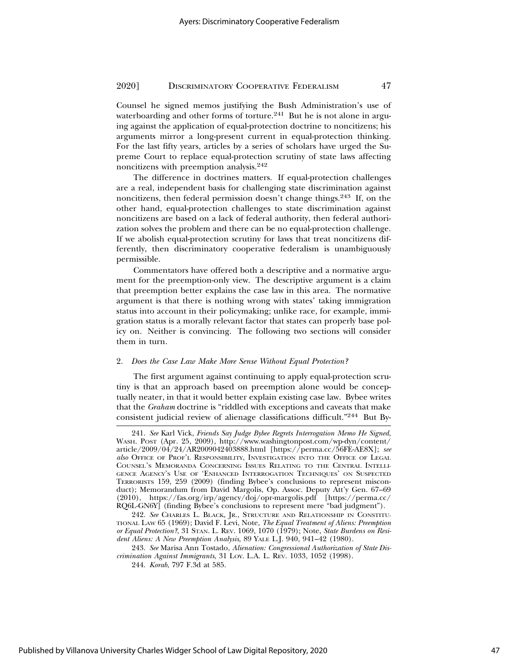Counsel he signed memos justifying the Bush Administration's use of waterboarding and other forms of torture.<sup>241</sup> But he is not alone in arguing against the application of equal-protection doctrine to noncitizens; his arguments mirror a long-present current in equal-protection thinking. For the last fifty years, articles by a series of scholars have urged the Supreme Court to replace equal-protection scrutiny of state laws affecting noncitizens with preemption analysis.242

The difference in doctrines matters. If equal-protection challenges are a real, independent basis for challenging state discrimination against noncitizens, then federal permission doesn't change things.243 If, on the other hand, equal-protection challenges to state discrimination against noncitizens are based on a lack of federal authority, then federal authorization solves the problem and there can be no equal-protection challenge. If we abolish equal-protection scrutiny for laws that treat noncitizens differently, then discriminatory cooperative federalism is unambiguously permissible.

Commentators have offered both a descriptive and a normative argument for the preemption-only view. The descriptive argument is a claim that preemption better explains the case law in this area. The normative argument is that there is nothing wrong with states' taking immigration status into account in their policymaking; unlike race, for example, immigration status is a morally relevant factor that states can properly base policy on. Neither is convincing. The following two sections will consider them in turn.

### 2. *Does the Case Law Make More Sense Without Equal Protection?*

The first argument against continuing to apply equal-protection scrutiny is that an approach based on preemption alone would be conceptually neater, in that it would better explain existing case law. Bybee writes that the *Graham* doctrine is "riddled with exceptions and caveats that make consistent judicial review of alienage classifications difficult."244 But By-

<sup>241.</sup> *See* Karl Vick, *Friends Say Judge Bybee Regrets Interrogation Memo He Signed*, WASH. POST (Apr. 25, 2009), http://www.washingtonpost.com/wp-dyn/content/ article/2009/04/24/AR2009042403888.html [https://perma.cc/56FE-AE8X]; *see also* OFFICE OF PROF'L RESPONSIBILITY, INVESTIGATION INTO THE OFFICE OF LEGAL COUNSEL'S MEMORANDA CONCERNING ISSUES RELATING TO THE CENTRAL INTELLI-GENCE AGENCY'S USE OF 'ENHANCED INTERROGATION TECHNIQUES' ON SUSPECTED TERRORISTS 159, 259 (2009) (finding Bybee's conclusions to represent misconduct); Memorandum from David Margolis, Op. Assoc. Deputy Att'y Gen. 67–69 (2010), https://fas.org/irp/agency/doj/opr-margolis.pdf [https://perma.cc/ RQ6L-GN6Y] (finding Bybee's conclusions to represent mere "bad judgment").

<sup>242.</sup> *See* CHARLES L. BLACK, JR., STRUCTURE AND RELATIONSHIP IN CONSTITU-TIONAL LAW 65 (1969); David F. Levi, Note, *The Equal Treatment of Aliens: Preemption or Equal Protection?*, 31 STAN. L. REV. 1069, 1070 (1979); Note, *State Burdens on Resident Aliens: A New Preemption Analysis*, 89 YALE L.J. 940, 941–42 (1980).

<sup>243.</sup> *See* Marisa Ann Tostado, *Alienation: Congressional Authorization of State Discrimination Against Immigrants*, 31 LOY. L.A. L. REV. 1033, 1052 (1998).

<sup>244.</sup> *Korab*, 797 F.3d at 585.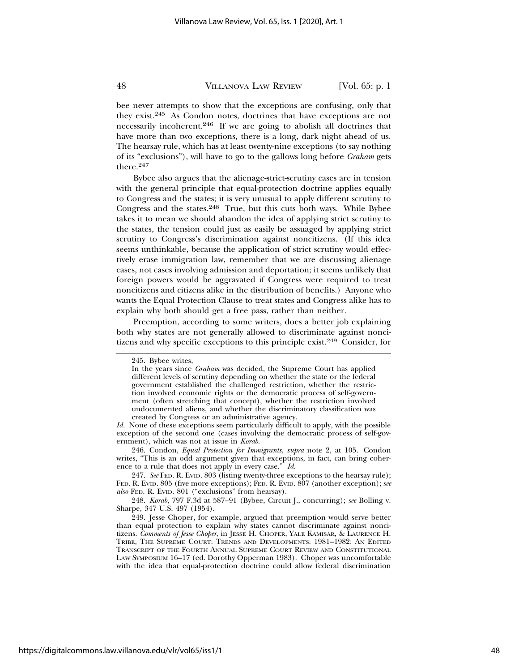bee never attempts to show that the exceptions are confusing, only that they exist.245 As Condon notes, doctrines that have exceptions are not necessarily incoherent.246 If we are going to abolish all doctrines that have more than two exceptions, there is a long, dark night ahead of us. The hearsay rule, which has at least twenty-nine exceptions (to say nothing of its "exclusions"), will have to go to the gallows long before *Graham* gets there.<sup>247</sup>

Bybee also argues that the alienage-strict-scrutiny cases are in tension with the general principle that equal-protection doctrine applies equally to Congress and the states; it is very unusual to apply different scrutiny to Congress and the states.248 True, but this cuts both ways. While Bybee takes it to mean we should abandon the idea of applying strict scrutiny to the states, the tension could just as easily be assuaged by applying strict scrutiny to Congress's discrimination against noncitizens. (If this idea seems unthinkable, because the application of strict scrutiny would effectively erase immigration law, remember that we are discussing alienage cases, not cases involving admission and deportation; it seems unlikely that foreign powers would be aggravated if Congress were required to treat noncitizens and citizens alike in the distribution of benefits.) Anyone who wants the Equal Protection Clause to treat states and Congress alike has to explain why both should get a free pass, rather than neither.

Preemption, according to some writers, does a better job explaining both why states are not generally allowed to discriminate against noncitizens and why specific exceptions to this principle exist.<sup>249</sup> Consider, for

<sup>245.</sup> Bybee writes,

In the years since *Graham* was decided, the Supreme Court has applied different levels of scrutiny depending on whether the state or the federal government established the challenged restriction, whether the restriction involved economic rights or the democratic process of self-government (often stretching that concept), whether the restriction involved undocumented aliens, and whether the discriminatory classification was created by Congress or an administrative agency.

*Id.* None of these exceptions seem particularly difficult to apply, with the possible exception of the second one (cases involving the democratic process of self-government), which was not at issue in *Korab*.

<sup>246.</sup> Condon, *Equal Protection for Immigrants*, *supra* note 2, at 105. Condon writes, "This is an odd argument given that exceptions, in fact, can bring coherence to a rule that does not apply in every case." *Id.*

<sup>247.</sup> *See* FED. R. EVID. 803 (listing twenty-three exceptions to the hearsay rule); FED. R. EVID. 805 (five more exceptions); FED. R. EVID. 807 (another exception); *see also* FED. R. EVID. 801 ("exclusions" from hearsay).

<sup>248.</sup> *Korab*, 797 F.3d at 587–91 (Bybee, Circuit J., concurring); *see* Bolling v. Sharpe, 347 U.S. 497 (1954).

<sup>249.</sup> Jesse Choper, for example, argued that preemption would serve better than equal protection to explain why states cannot discriminate against noncitizens. *Comments of Jesse Choper*, in JESSE H. CHOPER, YALE KAMISAR, & LAURENCE H. TRIBE, THE SUPREME COURT: TRENDS AND DEVELOPMENTS: 1981–1982: AN EDITED TRANSCRIPT OF THE FOURTH ANNUAL SUPREME COURT REVIEW AND CONSTITUTIONAL LAW SYMPOSIUM 16–17 (ed. Dorothy Opperman 1983). Choper was uncomfortable with the idea that equal-protection doctrine could allow federal discrimination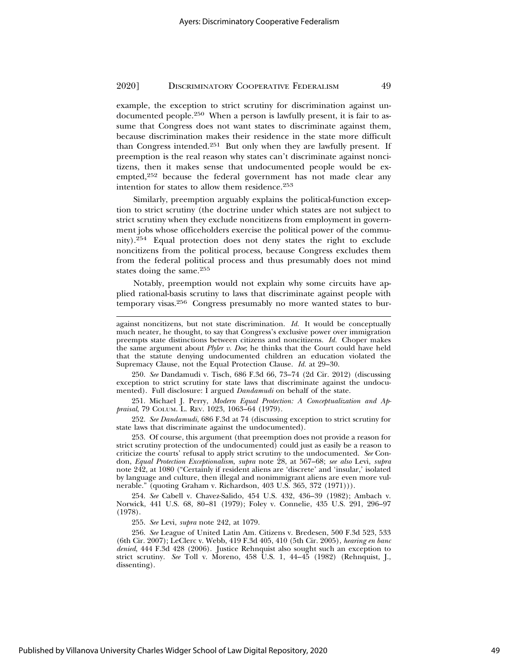example, the exception to strict scrutiny for discrimination against undocumented people.250 When a person is lawfully present, it is fair to assume that Congress does not want states to discriminate against them, because discrimination makes their residence in the state more difficult than Congress intended.251 But only when they are lawfully present. If preemption is the real reason why states can't discriminate against noncitizens, then it makes sense that undocumented people would be exempted,252 because the federal government has not made clear any intention for states to allow them residence.<sup>253</sup>

Similarly, preemption arguably explains the political-function exception to strict scrutiny (the doctrine under which states are not subject to strict scrutiny when they exclude noncitizens from employment in government jobs whose officeholders exercise the political power of the community).254 Equal protection does not deny states the right to exclude noncitizens from the political process, because Congress excludes them from the federal political process and thus presumably does not mind states doing the same.255

Notably, preemption would not explain why some circuits have applied rational-basis scrutiny to laws that discriminate against people with temporary visas.256 Congress presumably no more wanted states to bur-

250. *See* Dandamudi v. Tisch, 686 F.3d 66, 73–74 (2d Cir. 2012) (discussing exception to strict scrutiny for state laws that discriminate against the undocumented). Full disclosure: I argued *Dandamudi* on behalf of the state.

251. Michael J. Perry, *Modern Equal Protection: A Conceptualization and Appraisal*, 79 COLUM. L. REV. 1023, 1063–64 (1979).

252. *See Dandamudi*, 686 F.3d at 74 (discussing exception to strict scrutiny for state laws that discriminate against the undocumented).

253. Of course, this argument (that preemption does not provide a reason for strict scrutiny protection of the undocumented) could just as easily be a reason to criticize the courts' refusal to apply strict scrutiny to the undocumented. *See* Condon, *Equal Protection Exceptionalism*, *supra* note 28, at 567–68; *see also* Levi, *supra* note 242, at 1080 ("Certainly if resident aliens are 'discrete' and 'insular,' isolated by language and culture, then illegal and nonimmigrant aliens are even more vulnerable." (quoting Graham v. Richardson, 403 U.S. 365, 372 (1971))).

254. *See* Cabell v. Chavez-Salido, 454 U.S. 432, 436–39 (1982); Ambach v. Norwick, 441 U.S. 68, 80–81 (1979); Foley v. Connelie, 435 U.S. 291, 296–97 (1978).

255. *See* Levi, *supra* note 242, at 1079.

256. *See* League of United Latin Am. Citizens v. Bredesen, 500 F.3d 523, 533 (6th Cir. 2007); LeClerc v. Webb, 419 F.3d 405, 410 (5th Cir. 2005), *hearing en banc denied*, 444 F.3d 428 (2006). Justice Rehnquist also sought such an exception to strict scrutiny. *See* Toll v. Moreno, 458 U.S. 1, 44–45 (1982) (Rehnquist, J., dissenting).

against noncitizens, but not state discrimination. *Id.* It would be conceptually much neater, he thought, to say that Congress's exclusive power over immigration preempts state distinctions between citizens and noncitizens. *Id.* Choper makes the same argument about *Plyler v. Doe*; he thinks that the Court could have held that the statute denying undocumented children an education violated the Supremacy Clause, not the Equal Protection Clause. *Id.* at 29–30.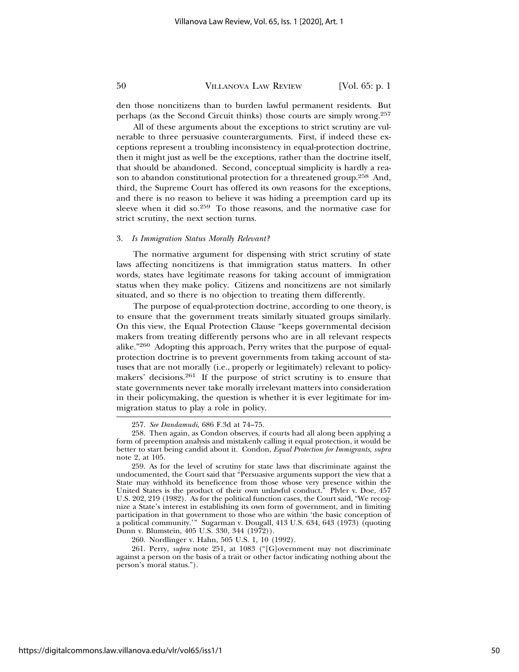den those noncitizens than to burden lawful permanent residents. But perhaps (as the Second Circuit thinks) those courts are simply wrong.257

All of these arguments about the exceptions to strict scrutiny are vulnerable to three persuasive counterarguments. First, if indeed these exceptions represent a troubling inconsistency in equal-protection doctrine, then it might just as well be the exceptions, rather than the doctrine itself, that should be abandoned. Second, conceptual simplicity is hardly a reason to abandon constitutional protection for a threatened group.258 And, third, the Supreme Court has offered its own reasons for the exceptions, and there is no reason to believe it was hiding a preemption card up its sleeve when it did so.259 To those reasons, and the normative case for strict scrutiny, the next section turns.

### 3. *Is Immigration Status Morally Relevant?*

The normative argument for dispensing with strict scrutiny of state laws affecting noncitizens is that immigration status matters. In other words, states have legitimate reasons for taking account of immigration status when they make policy. Citizens and noncitizens are not similarly situated, and so there is no objection to treating them differently.

The purpose of equal-protection doctrine, according to one theory, is to ensure that the government treats similarly situated groups similarly. On this view, the Equal Protection Clause "keeps governmental decision makers from treating differently persons who are in all relevant respects alike."260 Adopting this approach, Perry writes that the purpose of equalprotection doctrine is to prevent governments from taking account of statuses that are not morally (i.e., properly or legitimately) relevant to policymakers' decisions.261 If the purpose of strict scrutiny is to ensure that state governments never take morally irrelevant matters into consideration in their policymaking, the question is whether it is ever legitimate for immigration status to play a role in policy.

260. Nordlinger v. Hahn, 505 U.S. 1, 10 (1992).

261. Perry, *supra* note 251, at 1083 ("[G]overnment may not discriminate against a person on the basis of a trait or other factor indicating nothing about the person's moral status.").

<sup>257.</sup> *See Dandamudi*, 686 F.3d at 74–75.

<sup>258.</sup> Then again, as Condon observes, if courts had all along been applying a form of preemption analysis and mistakenly calling it equal protection, it would be better to start being candid about it. Condon, *Equal Protection for Immigrants*, *supra* note 2, at 105.

<sup>259.</sup> As for the level of scrutiny for state laws that discriminate against the undocumented, the Court said that "Persuasive arguments support the view that a State may withhold its beneficence from those whose very presence within the United States is the product of their own unlawful conduct." Plyler v. Doe, 457 U.S. 202, 219 (1982). As for the political function cases, the Court said, "We recognize a State's interest in establishing its own form of government, and in limiting participation in that government to those who are within 'the basic conception of a political community.'" Sugarman v. Dougall, 413 U.S. 634, 643 (1973) (quoting Dunn v. Blumstein, 405 U.S. 330, 344 (1972)).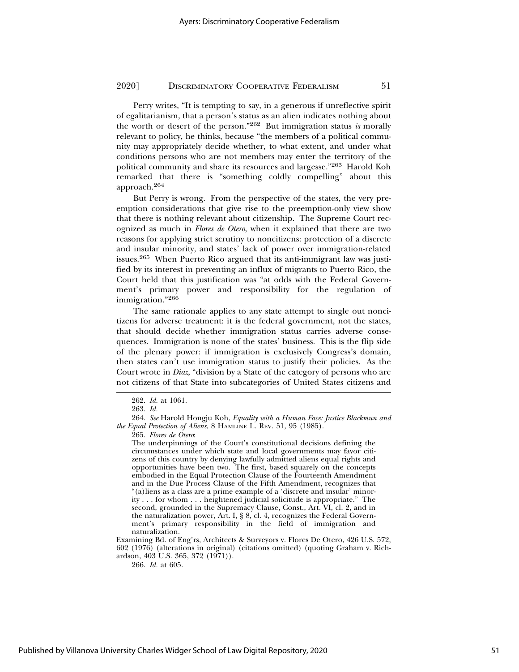Perry writes, "It is tempting to say, in a generous if unreflective spirit of egalitarianism, that a person's status as an alien indicates nothing about the worth or desert of the person."262 But immigration status *is* morally relevant to policy, he thinks, because "the members of a political community may appropriately decide whether, to what extent, and under what conditions persons who are not members may enter the territory of the political community and share its resources and largesse."263 Harold Koh remarked that there is "something coldly compelling" about this approach.<sup>264</sup>

But Perry is wrong. From the perspective of the states, the very preemption considerations that give rise to the preemption-only view show that there is nothing relevant about citizenship. The Supreme Court recognized as much in *Flores de Otero*, when it explained that there are two reasons for applying strict scrutiny to noncitizens: protection of a discrete and insular minority, and states' lack of power over immigration-related issues.265 When Puerto Rico argued that its anti-immigrant law was justified by its interest in preventing an influx of migrants to Puerto Rico, the Court held that this justification was "at odds with the Federal Government's primary power and responsibility for the regulation of immigration."<sup>266</sup>

The same rationale applies to any state attempt to single out noncitizens for adverse treatment: it is the federal government, not the states, that should decide whether immigration status carries adverse consequences. Immigration is none of the states' business. This is the flip side of the plenary power: if immigration is exclusively Congress's domain, then states can't use immigration status to justify their policies. As the Court wrote in *Diaz*, "division by a State of the category of persons who are not citizens of that State into subcategories of United States citizens and

265. *Flores de Otero*:

The underpinnings of the Court's constitutional decisions defining the circumstances under which state and local governments may favor citizens of this country by denying lawfully admitted aliens equal rights and opportunities have been two. The first, based squarely on the concepts embodied in the Equal Protection Clause of the Fourteenth Amendment and in the Due Process Clause of the Fifth Amendment, recognizes that "(a)liens as a class are a prime example of a 'discrete and insular' minority . . . for whom . . . heightened judicial solicitude is appropriate." The second, grounded in the Supremacy Clause, Const., Art. VI, cl. 2, and in the naturalization power, Art. I, § 8, cl. 4, recognizes the Federal Government's primary responsibility in the field of immigration and naturalization.

Examining Bd. of Eng'rs, Architects & Surveyors v. Flores De Otero, 426 U.S. 572, 602 (1976) (alterations in original) (citations omitted) (quoting Graham v. Richardson, 403 U.S. 365, 372 (1971)).

266. *Id.* at 605.

<sup>262.</sup> *Id.* at 1061.

<sup>263.</sup> *Id.*

<sup>264.</sup> *See* Harold Hongju Koh, *Equality with a Human Face: Justice Blackmun and the Equal Protection of Aliens*, 8 HAMLINE L. REV. 51, 95 (1985).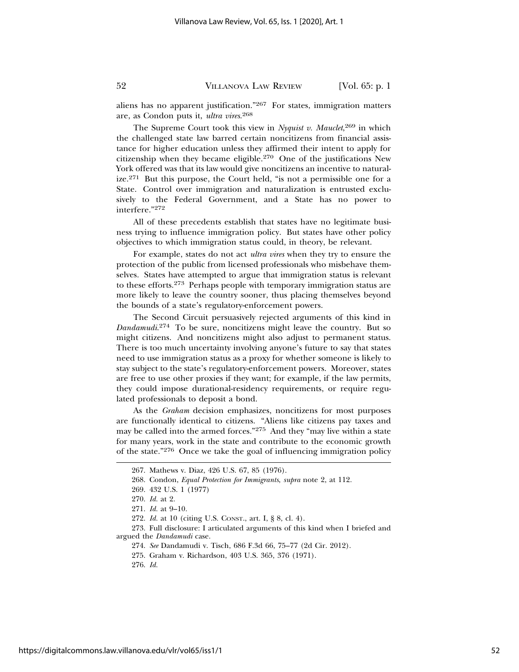aliens has no apparent justification."267 For states, immigration matters are, as Condon puts it, *ultra vires*. 268

The Supreme Court took this view in *Nyquist v. Mauclet*, 269 in which the challenged state law barred certain noncitizens from financial assistance for higher education unless they affirmed their intent to apply for citizenship when they became eligible.270 One of the justifications New York offered was that its law would give noncitizens an incentive to naturalize.271 But this purpose, the Court held, "is not a permissible one for a State. Control over immigration and naturalization is entrusted exclusively to the Federal Government, and a State has no power to interfere."<sup>272</sup>

All of these precedents establish that states have no legitimate business trying to influence immigration policy. But states have other policy objectives to which immigration status could, in theory, be relevant.

For example, states do not act *ultra vires* when they try to ensure the protection of the public from licensed professionals who misbehave themselves. States have attempted to argue that immigration status is relevant to these efforts.273 Perhaps people with temporary immigration status are more likely to leave the country sooner, thus placing themselves beyond the bounds of a state's regulatory-enforcement powers.

The Second Circuit persuasively rejected arguments of this kind in *Dandamudi*. 274 To be sure, noncitizens might leave the country. But so might citizens. And noncitizens might also adjust to permanent status. There is too much uncertainty involving anyone's future to say that states need to use immigration status as a proxy for whether someone is likely to stay subject to the state's regulatory-enforcement powers. Moreover, states are free to use other proxies if they want; for example, if the law permits, they could impose durational-residency requirements, or require regulated professionals to deposit a bond.

As the *Graham* decision emphasizes, noncitizens for most purposes are functionally identical to citizens. "Aliens like citizens pay taxes and may be called into the armed forces."275 And they "may live within a state for many years, work in the state and contribute to the economic growth of the state."276 Once we take the goal of influencing immigration policy

274. *See* Dandamudi v. Tisch, 686 F.3d 66, 75–77 (2d Cir. 2012).

<sup>267.</sup> Mathews v. Diaz, 426 U.S. 67, 85 (1976).

<sup>268.</sup> Condon, *Equal Protection for Immigrants*, *supra* note 2, at 112.

<sup>269. 432</sup> U.S. 1 (1977)

<sup>270.</sup> *Id.* at 2.

<sup>271.</sup> *Id.* at 9–10.

<sup>272.</sup> *Id.* at 10 (citing U.S. CONST., art. I, § 8, cl. 4).

<sup>273.</sup> Full disclosure: I articulated arguments of this kind when I briefed and argued the *Dandamudi* case.

<sup>275.</sup> Graham v. Richardson, 403 U.S. 365, 376 (1971).

<sup>276.</sup> *Id.*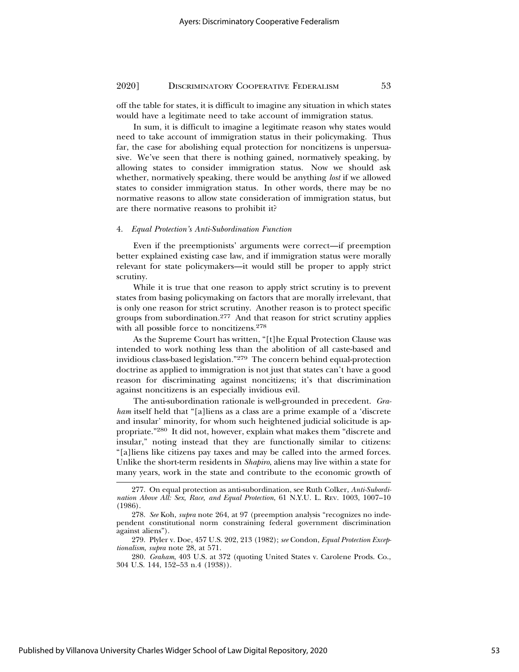off the table for states, it is difficult to imagine any situation in which states would have a legitimate need to take account of immigration status.

In sum, it is difficult to imagine a legitimate reason why states would need to take account of immigration status in their policymaking. Thus far, the case for abolishing equal protection for noncitizens is unpersuasive. We've seen that there is nothing gained, normatively speaking, by allowing states to consider immigration status. Now we should ask whether, normatively speaking, there would be anything *lost* if we allowed states to consider immigration status. In other words, there may be no normative reasons to allow state consideration of immigration status, but are there normative reasons to prohibit it?

### 4. *Equal Protection's Anti-Subordination Function*

Even if the preemptionists' arguments were correct—if preemption better explained existing case law, and if immigration status were morally relevant for state policymakers—it would still be proper to apply strict scrutiny.

While it is true that one reason to apply strict scrutiny is to prevent states from basing policymaking on factors that are morally irrelevant, that is only one reason for strict scrutiny. Another reason is to protect specific groups from subordination.277 And that reason for strict scrutiny applies with all possible force to noncitizens.<sup>278</sup>

As the Supreme Court has written, "[t]he Equal Protection Clause was intended to work nothing less than the abolition of all caste-based and invidious class-based legislation."279 The concern behind equal-protection doctrine as applied to immigration is not just that states can't have a good reason for discriminating against noncitizens; it's that discrimination against noncitizens is an especially invidious evil.

The anti-subordination rationale is well-grounded in precedent. *Graham* itself held that "[a]liens as a class are a prime example of a 'discrete and insular' minority, for whom such heightened judicial solicitude is appropriate."280 It did not, however, explain what makes them "discrete and insular," noting instead that they are functionally similar to citizens: "[a]liens like citizens pay taxes and may be called into the armed forces. Unlike the short-term residents in *Shapiro*, aliens may live within a state for many years, work in the state and contribute to the economic growth of

<sup>277.</sup> On equal protection as anti-subordination, see Ruth Colker, *Anti-Subordination Above All: Sex, Race, and Equal Protection*, 61 N.Y.U. L. REV. 1003, 1007–10 (1986).

<sup>278.</sup> *See* Koh, *supra* note 264, at 97 (preemption analysis "recognizes no independent constitutional norm constraining federal government discrimination against aliens").

<sup>279.</sup> Plyler v. Doe, 457 U.S. 202, 213 (1982); *see* Condon, *Equal Protection Exceptionalism*, *supra* note 28, at 571.

<sup>280.</sup> *Graham*, 403 U.S. at 372 (quoting United States v. Carolene Prods. Co., 304 U.S. 144, 152–53 n.4 (1938)).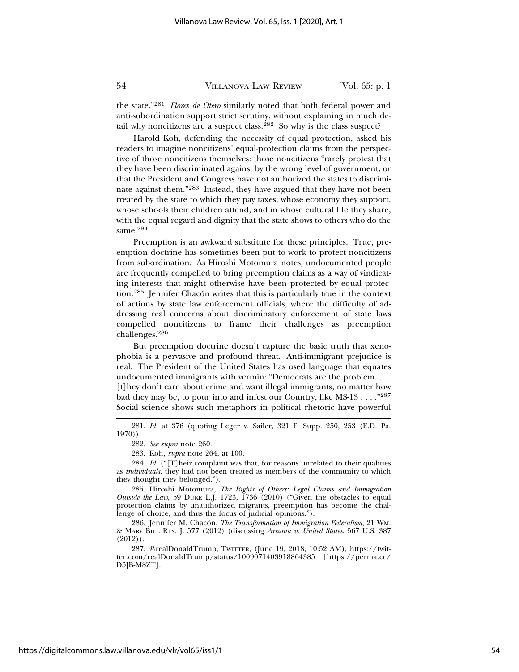the state."281 *Flores de Otero* similarly noted that both federal power and anti-subordination support strict scrutiny, without explaining in much detail why noncitizens are a suspect class.282 So why is the class suspect?

Harold Koh, defending the necessity of equal protection, asked his readers to imagine noncitizens' equal-protection claims from the perspective of those noncitizens themselves: those noncitizens "rarely protest that they have been discriminated against by the wrong level of government, or that the President and Congress have not authorized the states to discriminate against them."283 Instead, they have argued that they have not been treated by the state to which they pay taxes, whose economy they support, whose schools their children attend, and in whose cultural life they share, with the equal regard and dignity that the state shows to others who do the same.<sup>284</sup>

Preemption is an awkward substitute for these principles. True, preemption doctrine has sometimes been put to work to protect noncitizens from subordination. As Hiroshi Motomura notes, undocumented people are frequently compelled to bring preemption claims as a way of vindicating interests that might otherwise have been protected by equal protection.<sup>285</sup> Jennifer Chacón writes that this is particularly true in the context of actions by state law enforcement officials, where the difficulty of addressing real concerns about discriminatory enforcement of state laws compelled noncitizens to frame their challenges as preemption challenges.<sup>286</sup>

But preemption doctrine doesn't capture the basic truth that xenophobia is a pervasive and profound threat. Anti-immigrant prejudice is real. The President of the United States has used language that equates undocumented immigrants with vermin: "Democrats are the problem. . . . [t]hey don't care about crime and want illegal immigrants, no matter how bad they may be, to pour into and infest our Country, like MS-13 . . . ."287 Social science shows such metaphors in political rhetoric have powerful

<sup>281.</sup> *Id.* at 376 (quoting Leger v. Sailer, 321 F. Supp. 250, 253 (E.D. Pa. 1970)).

<sup>282.</sup> *See supra* note 260.

<sup>283.</sup> Koh, *supra* note 264, at 100.

<sup>284.</sup> *Id.* ("[T]heir complaint was that, for reasons unrelated to their qualities as *individuals*, they had not been treated as members of the community to which they thought they belonged.").

<sup>285.</sup> Hiroshi Motomura, *The Rights of Others: Legal Claims and Immigration Outside the Law*, 59 DUKE L.J. 1723, 1736 (2010) ("Given the obstacles to equal protection claims by unauthorized migrants, preemption has become the challenge of choice, and thus the focus of judicial opinions.").

<sup>286.</sup> Jennifer M. Chacón, *The Transformation of Immigration Federalism*, 21 WM. & MARY BILL RTS. J. 577 (2012) (discussing *Arizona v. United States*, 567 U.S. 387  $(2012)$ .

<sup>287. @</sup>realDonaldTrump, TWITTER, (June 19, 2018, 10:52 AM), https://twitter.com/realDonaldTrump/status/1009071403918864385 [https://perma.cc/ D5JB-M8ZT].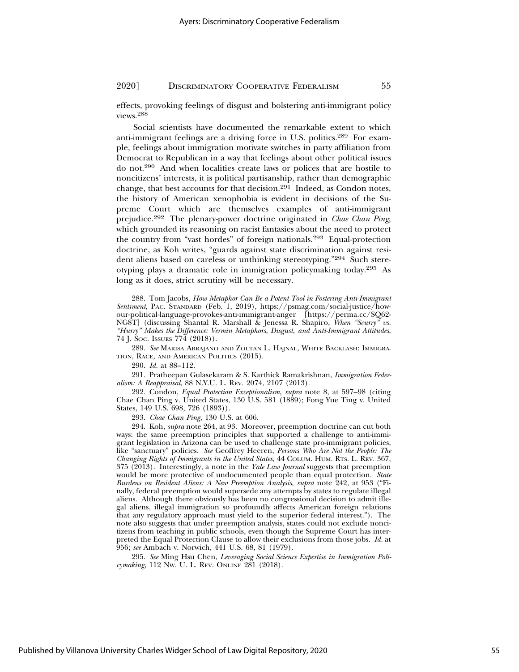effects, provoking feelings of disgust and bolstering anti-immigrant policy views.<sup>288</sup>

Social scientists have documented the remarkable extent to which anti-immigrant feelings are a driving force in U.S. politics.289 For example, feelings about immigration motivate switches in party affiliation from Democrat to Republican in a way that feelings about other political issues do not.290 And when localities create laws or polices that are hostile to noncitizens' interests, it is political partisanship, rather than demographic change, that best accounts for that decision.291 Indeed, as Condon notes, the history of American xenophobia is evident in decisions of the Supreme Court which are themselves examples of anti-immigrant prejudice.292 The plenary-power doctrine originated in *Chae Chan Ping*, which grounded its reasoning on racist fantasies about the need to protect the country from "vast hordes" of foreign nationals.293 Equal-protection doctrine, as Koh writes, "guards against state discrimination against resident aliens based on careless or unthinking stereotyping."294 Such stereotyping plays a dramatic role in immigration policymaking today.295 As long as it does, strict scrutiny will be necessary.

288. Tom Jacobs, *How Metaphor Can Be a Potent Tool in Fostering Anti-Immigrant Sentiment*, PAC. STANDARD (Feb. 1, 2019), https://psmag.com/social-justice/howour-political-language-provokes-anti-immigrant-anger [https://perma.cc/SQ62- NG8T] (discussing Shantal R. Marshall & Jenessa R. Shapiro, *When "Scurry" vs. "Hurry" Makes the Difference: Vermin Metaphors, Disgust, and Anti-Immigrant Attitudes*, 74 J. Soc. Issues 774 (2018)).

289. *See* MARISA ABRAJANO AND ZOLTAN L. HAJNAL, WHITE BACKLASH: IMMIGRA-TION, RACE, AND AMERICAN POLITICS (2015).

290. *Id.* at 88–112.

291. Pratheepan Gulasekaram & S. Karthick Ramakrishnan, *Immigration Federalism: A Reappraisal*, 88 N.Y.U. L. REV. 2074, 2107 (2013).

292. Condon, *Equal Protection Exceptionalism*, *supra* note 8, at 597–98 (citing Chae Chan Ping v. United States, 130 U.S. 581 (1889); Fong Yue Ting v. United States, 149 U.S. 698, 726 (1893)).

293. *Chae Chan Ping*, 130 U.S. at 606.

294. Koh, *supra* note 264, at 93. Moreover, preemption doctrine can cut both ways: the same preemption principles that supported a challenge to anti-immigrant legislation in Arizona can be used to challenge state pro-immigrant policies, like "sanctuary" policies. *See* Geoffrey Heeren, *Persons Who Are Not the People: The Changing Rights of Immigrants in the United States*, 44 COLUM. HUM. RTS. L. REV. 367, 375 (2013). Interestingly, a note in the *Yale Law Journal* suggests that preemption would be more protective of undocumented people than equal protection. *State Burdens on Resident Aliens: A New Preemption Analysis*, *supra* note 242, at 953 ("Finally, federal preemption would supersede any attempts by states to regulate illegal aliens. Although there obviously has been no congressional decision to admit illegal aliens, illegal immigration so profoundly affects American foreign relations that any regulatory approach must yield to the superior federal interest."). The note also suggests that under preemption analysis, states could not exclude noncitizens from teaching in public schools, even though the Supreme Court has interpreted the Equal Protection Clause to allow their exclusions from those jobs. *Id.* at 956; *see* Ambach v. Norwich, 441 U.S. 68, 81 (1979).

295. *See* Ming Hsu Chen, *Leveraging Social Science Expertise in Immigration Policymaking*, 112 NW. U. L. REV. ONLINE 281 (2018).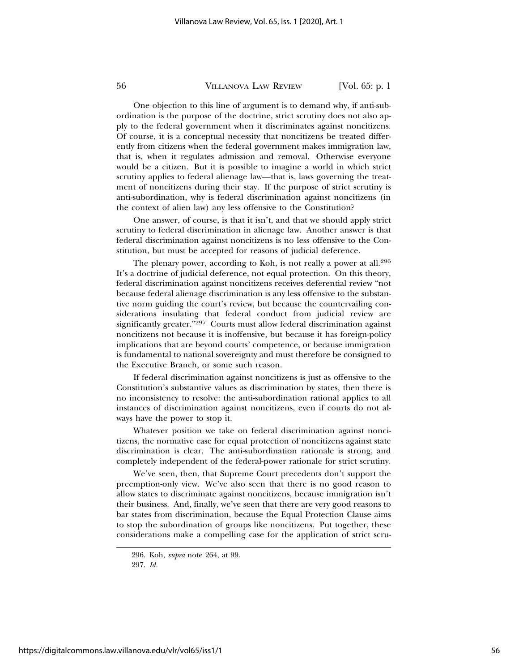One objection to this line of argument is to demand why, if anti-subordination is the purpose of the doctrine, strict scrutiny does not also apply to the federal government when it discriminates against noncitizens. Of course, it is a conceptual necessity that noncitizens be treated differently from citizens when the federal government makes immigration law, that is, when it regulates admission and removal. Otherwise everyone would be a citizen. But it is possible to imagine a world in which strict scrutiny applies to federal alienage law—that is, laws governing the treatment of noncitizens during their stay. If the purpose of strict scrutiny is anti-subordination, why is federal discrimination against noncitizens (in the context of alien law) any less offensive to the Constitution?

One answer, of course, is that it isn't, and that we should apply strict scrutiny to federal discrimination in alienage law. Another answer is that federal discrimination against noncitizens is no less offensive to the Constitution, but must be accepted for reasons of judicial deference.

The plenary power, according to Koh, is not really a power at all.<sup>296</sup> It's a doctrine of judicial deference, not equal protection. On this theory, federal discrimination against noncitizens receives deferential review "not because federal alienage discrimination is any less offensive to the substantive norm guiding the court's review, but because the countervailing considerations insulating that federal conduct from judicial review are significantly greater."297 Courts must allow federal discrimination against noncitizens not because it is inoffensive, but because it has foreign-policy implications that are beyond courts' competence, or because immigration is fundamental to national sovereignty and must therefore be consigned to the Executive Branch, or some such reason.

If federal discrimination against noncitizens is just as offensive to the Constitution's substantive values as discrimination by states, then there is no inconsistency to resolve: the anti-subordination rational applies to all instances of discrimination against noncitizens, even if courts do not always have the power to stop it.

Whatever position we take on federal discrimination against noncitizens, the normative case for equal protection of noncitizens against state discrimination is clear. The anti-subordination rationale is strong, and completely independent of the federal-power rationale for strict scrutiny.

We've seen, then, that Supreme Court precedents don't support the preemption-only view. We've also seen that there is no good reason to allow states to discriminate against noncitizens, because immigration isn't their business. And, finally, we've seen that there are very good reasons to bar states from discrimination, because the Equal Protection Clause aims to stop the subordination of groups like noncitizens. Put together, these considerations make a compelling case for the application of strict scru-

<sup>296.</sup> Koh, *supra* note 264, at 99.

<sup>297.</sup> *Id.*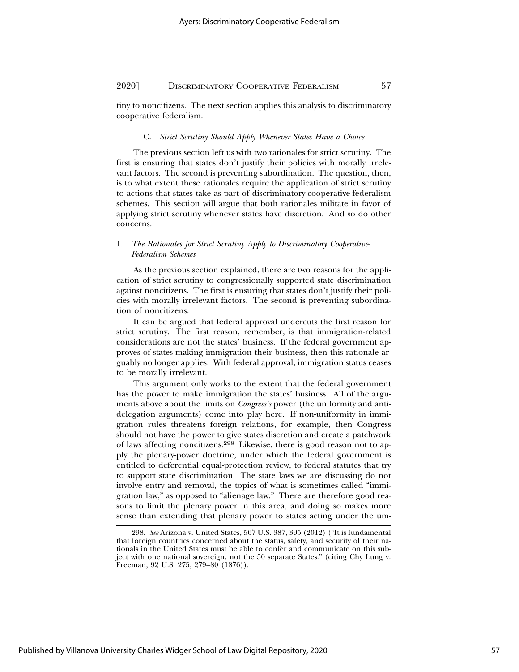tiny to noncitizens. The next section applies this analysis to discriminatory cooperative federalism.

### C. *Strict Scrutiny Should Apply Whenever States Have a Choice*

The previous section left us with two rationales for strict scrutiny. The first is ensuring that states don't justify their policies with morally irrelevant factors. The second is preventing subordination. The question, then, is to what extent these rationales require the application of strict scrutiny to actions that states take as part of discriminatory-cooperative-federalism schemes. This section will argue that both rationales militate in favor of applying strict scrutiny whenever states have discretion. And so do other concerns.

### 1. *The Rationales for Strict Scrutiny Apply to Discriminatory Cooperative-Federalism Schemes*

As the previous section explained, there are two reasons for the application of strict scrutiny to congressionally supported state discrimination against noncitizens. The first is ensuring that states don't justify their policies with morally irrelevant factors. The second is preventing subordination of noncitizens.

It can be argued that federal approval undercuts the first reason for strict scrutiny. The first reason, remember, is that immigration-related considerations are not the states' business. If the federal government approves of states making immigration their business, then this rationale arguably no longer applies. With federal approval, immigration status ceases to be morally irrelevant.

This argument only works to the extent that the federal government has the power to make immigration the states' business. All of the arguments above about the limits on *Congress's* power (the uniformity and antidelegation arguments) come into play here. If non-uniformity in immigration rules threatens foreign relations, for example, then Congress should not have the power to give states discretion and create a patchwork of laws affecting noncitizens.298 Likewise, there is good reason not to apply the plenary-power doctrine, under which the federal government is entitled to deferential equal-protection review, to federal statutes that try to support state discrimination. The state laws we are discussing do not involve entry and removal, the topics of what is sometimes called "immigration law," as opposed to "alienage law." There are therefore good reasons to limit the plenary power in this area, and doing so makes more sense than extending that plenary power to states acting under the um-

<sup>298.</sup> *See* Arizona v. United States, 567 U.S. 387, 395 (2012) ("It is fundamental that foreign countries concerned about the status, safety, and security of their nationals in the United States must be able to confer and communicate on this subject with one national sovereign, not the 50 separate States." (citing Chy Lung v. Freeman, 92 U.S. 275, 279–80 (1876)).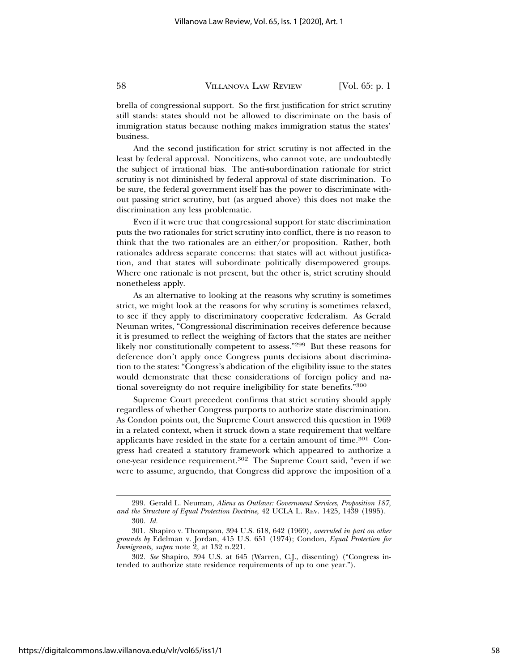brella of congressional support. So the first justification for strict scrutiny still stands: states should not be allowed to discriminate on the basis of immigration status because nothing makes immigration status the states' business.

And the second justification for strict scrutiny is not affected in the least by federal approval. Noncitizens, who cannot vote, are undoubtedly the subject of irrational bias. The anti-subordination rationale for strict scrutiny is not diminished by federal approval of state discrimination. To be sure, the federal government itself has the power to discriminate without passing strict scrutiny, but (as argued above) this does not make the discrimination any less problematic.

Even if it were true that congressional support for state discrimination puts the two rationales for strict scrutiny into conflict, there is no reason to think that the two rationales are an either/or proposition. Rather, both rationales address separate concerns: that states will act without justification, and that states will subordinate politically disempowered groups. Where one rationale is not present, but the other is, strict scrutiny should nonetheless apply.

As an alternative to looking at the reasons why scrutiny is sometimes strict, we might look at the reasons for why scrutiny is sometimes relaxed, to see if they apply to discriminatory cooperative federalism. As Gerald Neuman writes, "Congressional discrimination receives deference because it is presumed to reflect the weighing of factors that the states are neither likely nor constitutionally competent to assess."299 But these reasons for deference don't apply once Congress punts decisions about discrimination to the states: "Congress's abdication of the eligibility issue to the states would demonstrate that these considerations of foreign policy and national sovereignty do not require ineligibility for state benefits."300

Supreme Court precedent confirms that strict scrutiny should apply regardless of whether Congress purports to authorize state discrimination. As Condon points out, the Supreme Court answered this question in 1969 in a related context, when it struck down a state requirement that welfare applicants have resided in the state for a certain amount of time.301 Congress had created a statutory framework which appeared to authorize a one-year residence requirement.302 The Supreme Court said, "even if we were to assume, arguendo, that Congress did approve the imposition of a

<sup>299.</sup> Gerald L. Neuman, *Aliens as Outlaws: Government Services, Proposition 187, and the Structure of Equal Protection Doctrine*, 42 UCLA L. REV. 1425, 1439 (1995). 300. *Id.*

<sup>301.</sup> Shapiro v. Thompson, 394 U.S. 618, 642 (1969), *overruled in part on other grounds by* Edelman v. Jordan, 415 U.S. 651 (1974); Condon, *Equal Protection for Immigrants*, *supra* note 2, at 132 n.221.

<sup>302.</sup> *See* Shapiro, 394 U.S. at 645 (Warren, C.J., dissenting) ("Congress intended to authorize state residence requirements of up to one year.").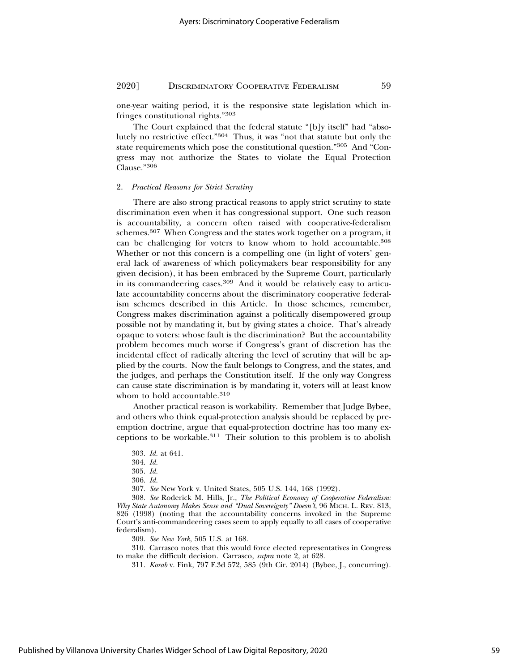one-year waiting period, it is the responsive state legislation which infringes constitutional rights."303

The Court explained that the federal statute "[b]y itself" had "absolutely no restrictive effect."304 Thus, it was "not that statute but only the state requirements which pose the constitutional question."305 And "Congress may not authorize the States to violate the Equal Protection Clause."<sup>306</sup>

### 2. *Practical Reasons for Strict Scrutiny*

There are also strong practical reasons to apply strict scrutiny to state discrimination even when it has congressional support. One such reason is accountability, a concern often raised with cooperative-federalism schemes.307 When Congress and the states work together on a program, it can be challenging for voters to know whom to hold accountable.308 Whether or not this concern is a compelling one (in light of voters' general lack of awareness of which policymakers bear responsibility for any given decision), it has been embraced by the Supreme Court, particularly in its commandeering cases.309 And it would be relatively easy to articulate accountability concerns about the discriminatory cooperative federalism schemes described in this Article. In those schemes, remember, Congress makes discrimination against a politically disempowered group possible not by mandating it, but by giving states a choice. That's already opaque to voters: whose fault is the discrimination? But the accountability problem becomes much worse if Congress's grant of discretion has the incidental effect of radically altering the level of scrutiny that will be applied by the courts. Now the fault belongs to Congress, and the states, and the judges, and perhaps the Constitution itself. If the only way Congress can cause state discrimination is by mandating it, voters will at least know whom to hold accountable.<sup>310</sup>

Another practical reason is workability. Remember that Judge Bybee, and others who think equal-protection analysis should be replaced by preemption doctrine, argue that equal-protection doctrine has too many exceptions to be workable.311 Their solution to this problem is to abolish

309. *See New York*, 505 U.S. at 168.

310. Carrasco notes that this would force elected representatives in Congress to make the difficult decision. Carrasco, *supra* note 2, at 628.

<sup>303.</sup> *Id.* at 641.

<sup>304.</sup> *Id.*

<sup>305.</sup> *Id.*

<sup>306.</sup> *Id.*

<sup>307.</sup> *See* New York v. United States, 505 U.S. 144, 168 (1992).

<sup>308.</sup> *See* Roderick M. Hills, Jr., *The Political Economy of Cooperative Federalism: Why State Autonomy Makes Sense and "Dual Sovereignty" Doesn't*, 96 MICH. L. REV. 813, 826 (1998) (noting that the accountability concerns invoked in the Supreme Court's anti-commandeering cases seem to apply equally to all cases of cooperative federalism).

<sup>311.</sup> *Korab* v. Fink, 797 F.3d 572, 585 (9th Cir. 2014) (Bybee, J., concurring).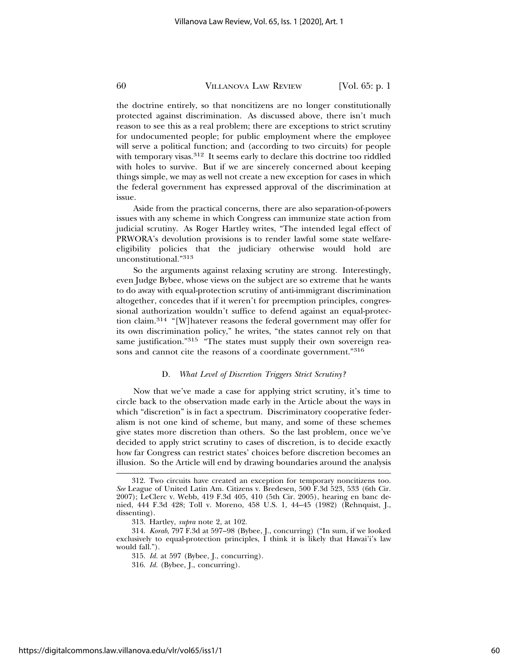the doctrine entirely, so that noncitizens are no longer constitutionally protected against discrimination. As discussed above, there isn't much reason to see this as a real problem; there are exceptions to strict scrutiny for undocumented people; for public employment where the employee will serve a political function; and (according to two circuits) for people with temporary visas.<sup>312</sup> It seems early to declare this doctrine too riddled with holes to survive. But if we are sincerely concerned about keeping things simple, we may as well not create a new exception for cases in which the federal government has expressed approval of the discrimination at issue.

Aside from the practical concerns, there are also separation-of-powers issues with any scheme in which Congress can immunize state action from judicial scrutiny. As Roger Hartley writes, "The intended legal effect of PRWORA's devolution provisions is to render lawful some state welfareeligibility policies that the judiciary otherwise would hold are unconstitutional."<sup>313</sup>

So the arguments against relaxing scrutiny are strong. Interestingly, even Judge Bybee, whose views on the subject are so extreme that he wants to do away with equal-protection scrutiny of anti-immigrant discrimination altogether, concedes that if it weren't for preemption principles, congressional authorization wouldn't suffice to defend against an equal-protection claim.314 "[W]hatever reasons the federal government may offer for its own discrimination policy," he writes, "the states cannot rely on that same justification."<sup>315</sup> "The states must supply their own sovereign reasons and cannot cite the reasons of a coordinate government."316

### D. *What Level of Discretion Triggers Strict Scrutiny?*

Now that we've made a case for applying strict scrutiny, it's time to circle back to the observation made early in the Article about the ways in which "discretion" is in fact a spectrum. Discriminatory cooperative federalism is not one kind of scheme, but many, and some of these schemes give states more discretion than others. So the last problem, once we've decided to apply strict scrutiny to cases of discretion, is to decide exactly how far Congress can restrict states' choices before discretion becomes an illusion. So the Article will end by drawing boundaries around the analysis

<sup>312.</sup> Two circuits have created an exception for temporary noncitizens too. *See* League of United Latin Am. Citizens v. Bredesen, 500 F.3d 523, 533 (6th Cir. 2007); LeClerc v. Webb, 419 F.3d 405, 410 (5th Cir. 2005), hearing en banc denied, 444 F.3d 428; Toll v. Moreno, 458 U.S. 1, 44–45 (1982) (Rehnquist, J., dissenting).

<sup>313.</sup> Hartley, *supra* note 2, at 102.

<sup>314.</sup> *Korab*, 797 F.3d at 597–98 (Bybee, J., concurring) ("In sum, if we looked exclusively to equal-protection principles, I think it is likely that Hawai'i's law would fall.").

<sup>315.</sup> *Id.* at 597 (Bybee, J., concurring).

<sup>316.</sup> *Id.* (Bybee, J., concurring).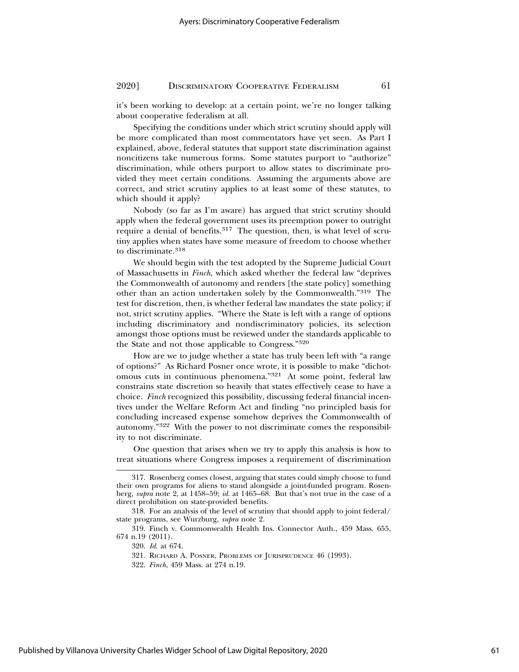it's been working to develop: at a certain point, we're no longer talking about cooperative federalism at all.

Specifying the conditions under which strict scrutiny should apply will be more complicated than most commentators have yet seen. As Part I explained, above, federal statutes that support state discrimination against noncitizens take numerous forms. Some statutes purport to "authorize" discrimination, while others purport to allow states to discriminate provided they meet certain conditions. Assuming the arguments above are correct, and strict scrutiny applies to at least some of these statutes, to which should it apply?

Nobody (so far as I'm aware) has argued that strict scrutiny should apply when the federal government uses its preemption power to outright require a denial of benefits.317 The question, then, is what level of scrutiny applies when states have some measure of freedom to choose whether to discriminate.<sup>318</sup>

We should begin with the test adopted by the Supreme Judicial Court of Massachusetts in *Finch*, which asked whether the federal law "deprives the Commonwealth of autonomy and renders [the state policy] something other than an action undertaken solely by the Commonwealth."319 The test for discretion, then, is whether federal law mandates the state policy; if not, strict scrutiny applies. "Where the State is left with a range of options including discriminatory and nondiscriminatory policies, its selection amongst those options must be reviewed under the standards applicable to the State and not those applicable to Congress."320

How are we to judge whether a state has truly been left with "a range of options?" As Richard Posner once wrote, it is possible to make "dichotomous cuts in continuous phenomena."321 At some point, federal law constrains state discretion so heavily that states effectively cease to have a choice. *Finch* recognized this possibility, discussing federal financial incentives under the Welfare Reform Act and finding "no principled basis for concluding increased expense somehow deprives the Commonwealth of autonomy."322 With the power to not discriminate comes the responsibility to not discriminate.

One question that arises when we try to apply this analysis is how to treat situations where Congress imposes a requirement of discrimination

<sup>317.</sup> Rosenberg comes closest, arguing that states could simply choose to fund their own programs for aliens to stand alongside a joint-funded program. Rosenberg, *supra* note 2, at 1458–59; *id.* at 1465–68. But that's not true in the case of a direct prohibition on state-provided benefits.

<sup>318.</sup> For an analysis of the level of scrutiny that should apply to joint federal/ state programs, see Wurzburg, *supra* note 2.

<sup>319.</sup> Finch v. Commonwealth Health Ins. Connector Auth., 459 Mass. 655, 674 n.19 (2011).

<sup>320.</sup> *Id.* at 674.

<sup>321.</sup> RICHARD A. POSNER, PROBLEMS OF JURISPRUDENCE 46 (1993).

<sup>322.</sup> *Finch*, 459 Mass. at 274 n.19.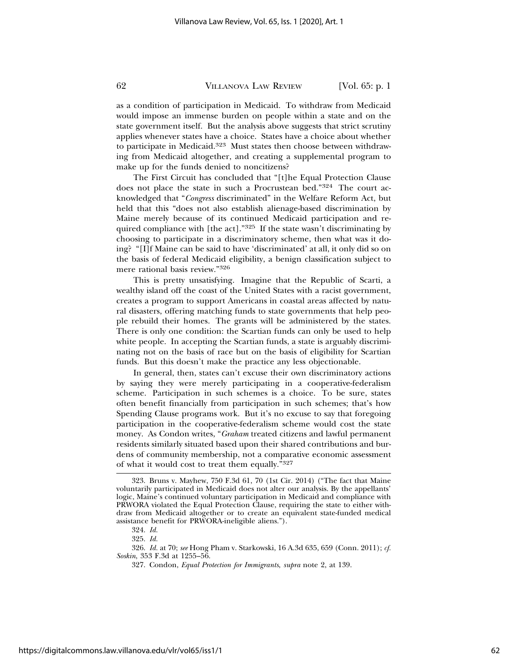as a condition of participation in Medicaid. To withdraw from Medicaid would impose an immense burden on people within a state and on the state government itself. But the analysis above suggests that strict scrutiny applies whenever states have a choice. States have a choice about whether to participate in Medicaid.323 Must states then choose between withdrawing from Medicaid altogether, and creating a supplemental program to make up for the funds denied to noncitizens?

The First Circuit has concluded that "[t]he Equal Protection Clause does not place the state in such a Procrustean bed."324 The court acknowledged that "*Congress* discriminated" in the Welfare Reform Act, but held that this "does not also establish alienage-based discrimination by Maine merely because of its continued Medicaid participation and required compliance with [the act]."325 If the state wasn't discriminating by choosing to participate in a discriminatory scheme, then what was it doing? "[I]f Maine can be said to have 'discriminated' at all, it only did so on the basis of federal Medicaid eligibility, a benign classification subject to mere rational basis review."326

This is pretty unsatisfying. Imagine that the Republic of Scarti, a wealthy island off the coast of the United States with a racist government, creates a program to support Americans in coastal areas affected by natural disasters, offering matching funds to state governments that help people rebuild their homes. The grants will be administered by the states. There is only one condition: the Scartian funds can only be used to help white people. In accepting the Scartian funds, a state is arguably discriminating not on the basis of race but on the basis of eligibility for Scartian funds. But this doesn't make the practice any less objectionable.

In general, then, states can't excuse their own discriminatory actions by saying they were merely participating in a cooperative-federalism scheme. Participation in such schemes is a choice. To be sure, states often benefit financially from participation in such schemes; that's how Spending Clause programs work. But it's no excuse to say that foregoing participation in the cooperative-federalism scheme would cost the state money. As Condon writes, "*Graham* treated citizens and lawful permanent residents similarly situated based upon their shared contributions and burdens of community membership, not a comparative economic assessment of what it would cost to treat them equally."327

326. *Id.* at 70; *see* Hong Pham v. Starkowski, 16 A.3d 635, 659 (Conn. 2011); *cf. Soskin*, 353 F.3d at 1255–56.

<sup>323.</sup> Bruns v. Mayhew, 750 F.3d 61, 70 (1st Cir. 2014) ("The fact that Maine voluntarily participated in Medicaid does not alter our analysis. By the appellants' logic, Maine's continued voluntary participation in Medicaid and compliance with PRWORA violated the Equal Protection Clause, requiring the state to either withdraw from Medicaid altogether or to create an equivalent state-funded medical assistance benefit for PRWORA-ineligible aliens.").

<sup>324.</sup> *Id.*

<sup>325.</sup> *Id.*

<sup>327.</sup> Condon, *Equal Protection for Immigrants*, *supra* note 2, at 139.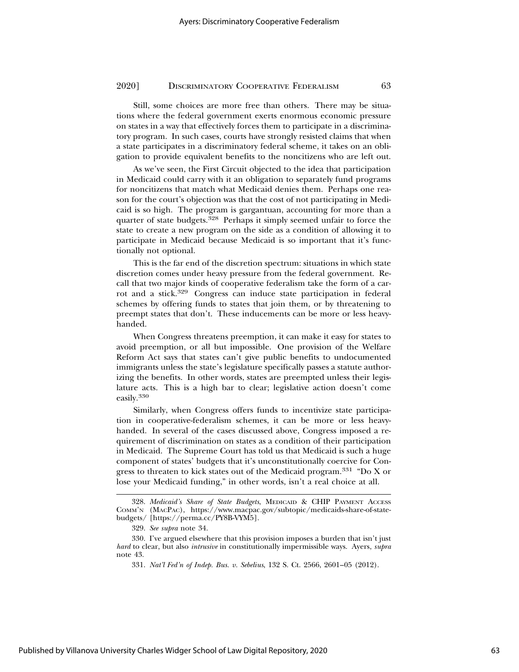Still, some choices are more free than others. There may be situations where the federal government exerts enormous economic pressure on states in a way that effectively forces them to participate in a discriminatory program. In such cases, courts have strongly resisted claims that when a state participates in a discriminatory federal scheme, it takes on an obligation to provide equivalent benefits to the noncitizens who are left out.

As we've seen, the First Circuit objected to the idea that participation in Medicaid could carry with it an obligation to separately fund programs for noncitizens that match what Medicaid denies them. Perhaps one reason for the court's objection was that the cost of not participating in Medicaid is so high. The program is gargantuan, accounting for more than a quarter of state budgets.<sup>328</sup> Perhaps it simply seemed unfair to force the state to create a new program on the side as a condition of allowing it to participate in Medicaid because Medicaid is so important that it's functionally not optional.

This is the far end of the discretion spectrum: situations in which state discretion comes under heavy pressure from the federal government. Recall that two major kinds of cooperative federalism take the form of a carrot and a stick.329 Congress can induce state participation in federal schemes by offering funds to states that join them, or by threatening to preempt states that don't. These inducements can be more or less heavyhanded.

When Congress threatens preemption, it can make it easy for states to avoid preemption, or all but impossible. One provision of the Welfare Reform Act says that states can't give public benefits to undocumented immigrants unless the state's legislature specifically passes a statute authorizing the benefits. In other words, states are preempted unless their legislature acts. This is a high bar to clear; legislative action doesn't come easily.<sup>330</sup>

Similarly, when Congress offers funds to incentivize state participation in cooperative-federalism schemes, it can be more or less heavyhanded. In several of the cases discussed above, Congress imposed a requirement of discrimination on states as a condition of their participation in Medicaid. The Supreme Court has told us that Medicaid is such a huge component of states' budgets that it's unconstitutionally coercive for Congress to threaten to kick states out of the Medicaid program.331 "Do X or lose your Medicaid funding," in other words, isn't a real choice at all.

331. *Nat'l Fed'n of Indep. Bus. v. Sebelius*, 132 S. Ct. 2566, 2601–05 (2012).

<sup>328.</sup> *Medicaid's Share of State Budgets*, MEDICAID & CHIP PAYMENT ACCESS COMM'N (MACPAC), https://www.macpac.gov/subtopic/medicaids-share-of-statebudgets/ [https://perma.cc/PY8B-VYM5].

<sup>329.</sup> *See supra* note 34.

<sup>330.</sup> I've argued elsewhere that this provision imposes a burden that isn't just *hard* to clear, but also *intrusive* in constitutionally impermissible ways. Ayers, *supra* note 43.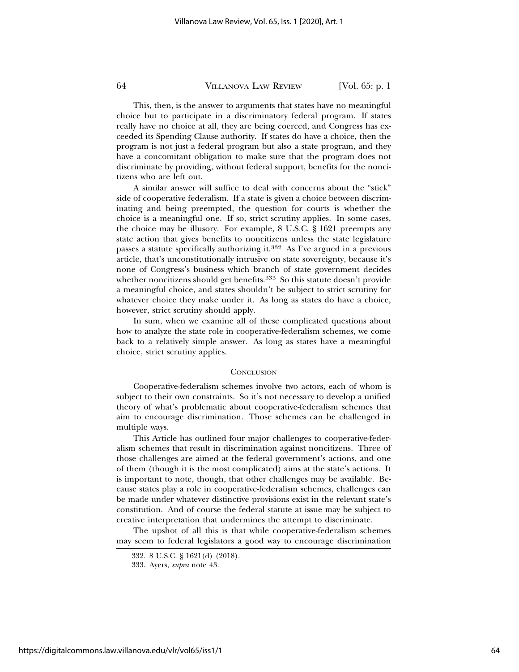This, then, is the answer to arguments that states have no meaningful choice but to participate in a discriminatory federal program. If states really have no choice at all, they are being coerced, and Congress has exceeded its Spending Clause authority. If states do have a choice, then the program is not just a federal program but also a state program, and they have a concomitant obligation to make sure that the program does not discriminate by providing, without federal support, benefits for the noncitizens who are left out.

A similar answer will suffice to deal with concerns about the "stick" side of cooperative federalism. If a state is given a choice between discriminating and being preempted, the question for courts is whether the choice is a meaningful one. If so, strict scrutiny applies. In some cases, the choice may be illusory. For example, 8 U.S.C. § 1621 preempts any state action that gives benefits to noncitizens unless the state legislature passes a statute specifically authorizing it.<sup>332</sup> As I've argued in a previous article, that's unconstitutionally intrusive on state sovereignty, because it's none of Congress's business which branch of state government decides whether noncitizens should get benefits.<sup>333</sup> So this statute doesn't provide a meaningful choice, and states shouldn't be subject to strict scrutiny for whatever choice they make under it. As long as states do have a choice, however, strict scrutiny should apply.

In sum, when we examine all of these complicated questions about how to analyze the state role in cooperative-federalism schemes, we come back to a relatively simple answer. As long as states have a meaningful choice, strict scrutiny applies.

### **CONCLUSION**

Cooperative-federalism schemes involve two actors, each of whom is subject to their own constraints. So it's not necessary to develop a unified theory of what's problematic about cooperative-federalism schemes that aim to encourage discrimination. Those schemes can be challenged in multiple ways.

This Article has outlined four major challenges to cooperative-federalism schemes that result in discrimination against noncitizens. Three of those challenges are aimed at the federal government's actions, and one of them (though it is the most complicated) aims at the state's actions. It is important to note, though, that other challenges may be available. Because states play a role in cooperative-federalism schemes, challenges can be made under whatever distinctive provisions exist in the relevant state's constitution. And of course the federal statute at issue may be subject to creative interpretation that undermines the attempt to discriminate.

The upshot of all this is that while cooperative-federalism schemes may seem to federal legislators a good way to encourage discrimination

<sup>332. 8</sup> U.S.C. § 1621(d) (2018).

<sup>333.</sup> Ayers, *supra* note 43.